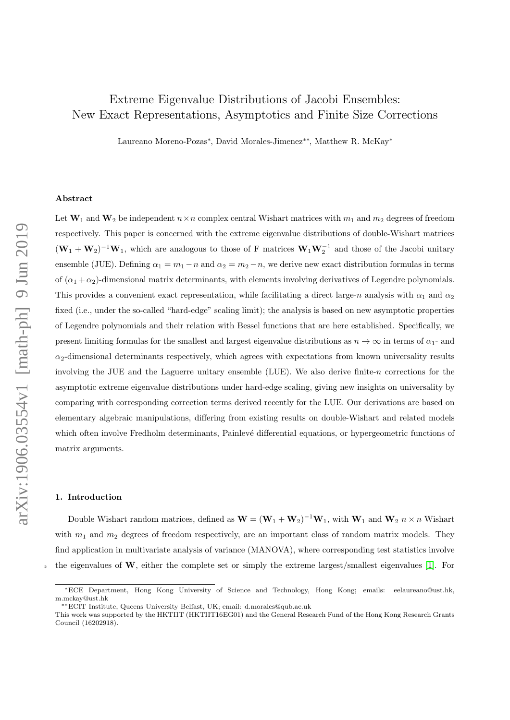# Extreme Eigenvalue Distributions of Jacobi Ensembles: New Exact Representations, Asymptotics and Finite Size Corrections

Laureano Moreno-Pozas<sup>∗</sup> , David Morales-Jimenez∗∗, Matthew R. McKay<sup>∗</sup>

#### Abstract

Let  $W_1$  and  $W_2$  be independent  $n \times n$  complex central Wishart matrices with  $m_1$  and  $m_2$  degrees of freedom respectively. This paper is concerned with the extreme eigenvalue distributions of double-Wishart matrices  $(W_1 + W_2)^{-1}W_1$ , which are analogous to those of F matrices  $W_1W_2^{-1}$  and those of the Jacobi unitary ensemble (JUE). Defining  $\alpha_1 = m_1 - n$  and  $\alpha_2 = m_2 - n$ , we derive new exact distribution formulas in terms of  $(\alpha_1 + \alpha_2)$ -dimensional matrix determinants, with elements involving derivatives of Legendre polynomials. This provides a convenient exact representation, while facilitating a direct large-n analysis with  $\alpha_1$  and  $\alpha_2$ fixed (i.e., under the so-called "hard-edge" scaling limit); the analysis is based on new asymptotic properties of Legendre polynomials and their relation with Bessel functions that are here established. Specifically, we present limiting formulas for the smallest and largest eigenvalue distributions as  $n \to \infty$  in terms of  $\alpha_1$ - and  $\alpha_2$ -dimensional determinants respectively, which agrees with expectations from known universality results involving the JUE and the Laguerre unitary ensemble (LUE). We also derive finite- $n$  corrections for the asymptotic extreme eigenvalue distributions under hard-edge scaling, giving new insights on universality by comparing with corresponding correction terms derived recently for the LUE. Our derivations are based on elementary algebraic manipulations, differing from existing results on double-Wishart and related models which often involve Fredholm determinants, Painlevé differential equations, or hypergeometric functions of matrix arguments.

## 1. Introduction

Double Wishart random matrices, defined as  $W = (W_1 + W_2)^{-1}W_1$ , with  $W_1$  and  $W_2$   $n \times n$  Wishart with  $m_1$  and  $m_2$  degrees of freedom respectively, are an important class of random matrix models. They find application in multivariate analysis of variance (MANOVA), where corresponding test statistics involve  $\frac{1}{5}$  the eigenvalues of W, either the complete set or simply the extreme largest/smallest eigenvalues [\[1\]](#page-38-0). For

<sup>∗</sup>ECE Department, Hong Kong University of Science and Technology, Hong Kong; emails: eelaureano@ust.hk, m.mckay@ust.hk

<sup>∗∗</sup>ECIT Institute, Queens University Belfast, UK; email: d.morales@qub.ac.uk

This work was supported by the HKTIIT (HKTIIT16EG01) and the General Research Fund of the Hong Kong Research Grants Council (16202918).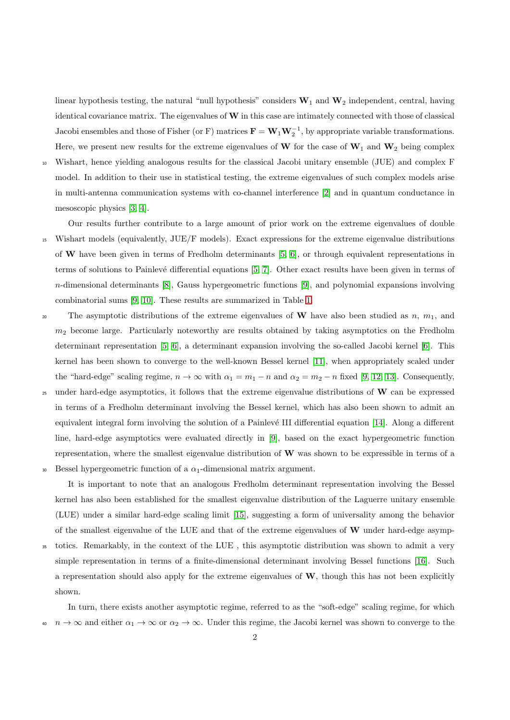linear hypothesis testing, the natural "null hypothesis" considers  $W_1$  and  $W_2$  independent, central, having identical covariance matrix. The eigenvalues of  $W$  in this case are intimately connected with those of classical Jacobi ensembles and those of Fisher (or F) matrices  $\mathbf{F} = \mathbf{W}_1 \mathbf{W}_2^{-1}$ , by appropriate variable transformations. Here, we present new results for the extreme eigenvalues of W for the case of  $W_1$  and  $W_2$  being complex

<sup>10</sup> Wishart, hence yielding analogous results for the classical Jacobi unitary ensemble (JUE) and complex F model. In addition to their use in statistical testing, the extreme eigenvalues of such complex models arise in multi-antenna communication systems with co-channel interference [\[2\]](#page-38-1) and in quantum conductance in mesoscopic physics [\[3,](#page-38-2) [4\]](#page-38-3).

Our results further contribute to a large amount of prior work on the extreme eigenvalues of double <sup>15</sup> Wishart models (equivalently, JUE/F models). Exact expressions for the extreme eigenvalue distributions of W have been given in terms of Fredholm determinants [\[5,](#page-38-4) [6\]](#page-38-5), or through equivalent representations in terms of solutions to Painlevé differential equations [\[5,](#page-38-4) [7\]](#page-38-6). Other exact results have been given in terms of n-dimensional determinants [\[8\]](#page-38-7), Gauss hypergeometric functions [\[9\]](#page-39-0), and polynomial expansions involving combinatorial sums [\[9,](#page-39-0) [10\]](#page-39-1). These results are summarized in Table [1.](#page-2-0)

20 The asymptotic distributions of the extreme eigenvalues of W have also been studied as n,  $m_1$ , and  $m<sub>2</sub>$  become large. Particularly noteworthy are results obtained by taking asymptotics on the Fredholm determinant representation [\[5,](#page-38-4) [6\]](#page-38-5), a determinant expansion involving the so-called Jacobi kernel [\[6\]](#page-38-5). This kernel has been shown to converge to the well-known Bessel kernel [\[11\]](#page-39-2), when appropriately scaled under the "hard-edge" scaling regime,  $n \to \infty$  with  $\alpha_1 = m_1 - n$  and  $\alpha_2 = m_2 - n$  fixed [\[9,](#page-39-0) [12,](#page-39-3) [13\]](#page-39-4). Consequently,

25 under hard-edge asymptotics, it follows that the extreme eigenvalue distributions of  $W$  can be expressed in terms of a Fredholm determinant involving the Bessel kernel, which has also been shown to admit an equivalent integral form involving the solution of a Painlevé III differential equation [\[14\]](#page-39-5). Along a different line, hard-edge asymptotics were evaluated directly in [\[9\]](#page-39-0), based on the exact hypergeometric function representation, where the smallest eigenvalue distribution of  $W$  was shown to be expressible in terms of a Bessel hypergeometric function of a  $\alpha_1$ -dimensional matrix argument.

It is important to note that an analogous Fredholm determinant representation involving the Bessel kernel has also been established for the smallest eigenvalue distribution of the Laguerre unitary ensemble (LUE) under a similar hard-edge scaling limit [\[15\]](#page-39-6), suggesting a form of universality among the behavior of the smallest eigenvalue of the LUE and that of the extreme eigenvalues of W under hard-edge asymp-

<sup>35</sup> totics. Remarkably, in the context of the LUE , this asymptotic distribution was shown to admit a very simple representation in terms of a finite-dimensional determinant involving Bessel functions [\[16\]](#page-39-7). Such a representation should also apply for the extreme eigenvalues of  $W$ , though this has not been explicitly shown.

In turn, there exists another asymptotic regime, referred to as the "soft-edge" scaling regime, for which  $n \to \infty$  and either  $\alpha_1 \to \infty$  or  $\alpha_2 \to \infty$ . Under this regime, the Jacobi kernel was shown to converge to the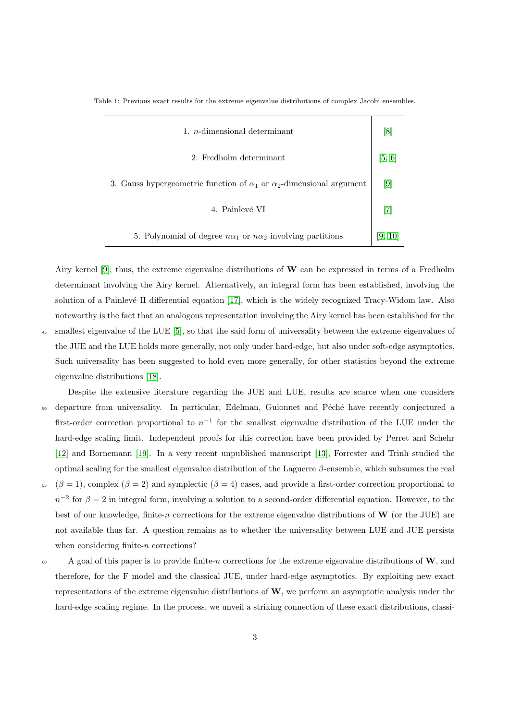<span id="page-2-0"></span>Table 1: Previous exact results for the extreme eigenvalue distributions of complex Jacobi ensembles.

| 1. <i>n</i> -dimensional determinant                                               | 8      |
|------------------------------------------------------------------------------------|--------|
| 2. Fredholm determinant                                                            | [5, 6] |
| 3. Gauss hypergeometric function of $\alpha_1$ or $\alpha_2$ -dimensional argument | 9      |
| 4. Painlevé VI                                                                     |        |
| 5. Polynomial of degree $n\alpha_1$ or $n\alpha_2$ involving partitions            | 19.    |

Airy kernel [\[9\]](#page-39-0); thus, the extreme eigenvalue distributions of  $W$  can be expressed in terms of a Fredholm determinant involving the Airy kernel. Alternatively, an integral form has been established, involving the solution of a Painlevé II differential equation [\[17\]](#page-39-8), which is the widely recognized Tracy-Widom law. Also noteworthy is the fact that an analogous representation involving the Airy kernel has been established for the <sup>45</sup> smallest eigenvalue of the LUE [\[5\]](#page-38-4), so that the said form of universality between the extreme eigenvalues of the JUE and the LUE holds more generally, not only under hard-edge, but also under soft-edge asymptotics. Such universality has been suggested to hold even more generally, for other statistics beyond the extreme eigenvalue distributions [\[18\]](#page-39-9).

- Despite the extensive literature regarding the JUE and LUE, results are scarce when one considers <sub>50</sub> departure from universality. In particular, Edelman, Guionnet and Péché have recently conjectured a first-order correction proportional to  $n^{-1}$  for the smallest eigenvalue distribution of the LUE under the hard-edge scaling limit. Independent proofs for this correction have been provided by Perret and Schehr [\[12\]](#page-39-3) and Bornemann [\[19\]](#page-39-10). In a very recent unpublished manuscript [\[13\]](#page-39-4), Forrester and Trinh studied the optimal scaling for the smallest eigenvalue distribution of the Laguerre  $\beta$ -ensemble, which subsumes the real
- 55 ( $\beta = 1$ ), complex ( $\beta = 2$ ) and symplectic ( $\beta = 4$ ) cases, and provide a first-order correction proportional to  $n^{-2}$  for  $\beta = 2$  in integral form, involving a solution to a second-order differential equation. However, to the best of our knowledge, finite-n corrections for the extreme eigenvalue distributions of  $\bf{W}$  (or the JUE) are not available thus far. A question remains as to whether the universality between LUE and JUE persists when considering finite-*n* corrections?
- 60 A goal of this paper is to provide finite-n corrections for the extreme eigenvalue distributions of  $W$ , and therefore, for the F model and the classical JUE, under hard-edge asymptotics. By exploiting new exact representations of the extreme eigenvalue distributions of  $W$ , we perform an asymptotic analysis under the hard-edge scaling regime. In the process, we unveil a striking connection of these exact distributions, classi-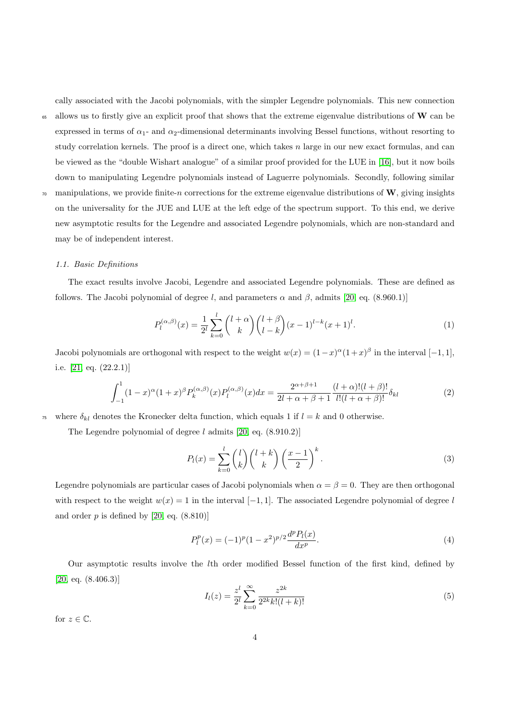cally associated with the Jacobi polynomials, with the simpler Legendre polynomials. This new connection <sup>65</sup> allows us to firstly give an explicit proof that shows that the extreme eigenvalue distributions of W can be expressed in terms of  $\alpha_1$ - and  $\alpha_2$ -dimensional determinants involving Bessel functions, without resorting to study correlation kernels. The proof is a direct one, which takes  $n$  large in our new exact formulas, and can be viewed as the "double Wishart analogue" of a similar proof provided for the LUE in [\[16\]](#page-39-7), but it now boils down to manipulating Legendre polynomials instead of Laguerre polynomials. Secondly, following similar  $\pi$  manipulations, we provide finite-n corrections for the extreme eigenvalue distributions of W, giving insights

on the universality for the JUE and LUE at the left edge of the spectrum support. To this end, we derive new asymptotic results for the Legendre and associated Legendre polynomials, which are non-standard and may be of independent interest.

#### 1.1. Basic Definitions

The exact results involve Jacobi, Legendre and associated Legendre polynomials. These are defined as follows. The Jacobi polynomial of degree l, and parameters  $\alpha$  and  $\beta$ , admits [\[20,](#page-39-11) eq. (8.960.1)]

$$
P_l^{(\alpha,\beta)}(x) = \frac{1}{2^l} \sum_{k=0}^l \binom{l+\alpha}{k} \binom{l+\beta}{l-k} (x-1)^{l-k} (x+1)^l.
$$
 (1)

Jacobi polynomials are orthogonal with respect to the weight  $w(x) = (1-x)^{\alpha}(1+x)^{\beta}$  in the interval  $[-1, 1]$ , i.e. [\[21,](#page-39-12) eq. (22.2.1)]

$$
\int_{-1}^{1} (1-x)^{\alpha} (1+x)^{\beta} P_k^{(\alpha,\beta)}(x) P_l^{(\alpha,\beta)}(x) dx = \frac{2^{\alpha+\beta+1}}{2l+\alpha+\beta+1} \frac{(l+\alpha)!(l+\beta)!}{l!(l+\alpha+\beta)!} \delta_{kl}
$$
(2)

<sup>75</sup> where  $\delta_{kl}$  denotes the Kronecker delta function, which equals 1 if  $l = k$  and 0 otherwise.

The Legendre polynomial of degree  $l$  admits [\[20,](#page-39-11) eq.  $(8.910.2)$ ]

$$
P_l(x) = \sum_{k=0}^l \binom{l}{k} \binom{l+k}{k} \left(\frac{x-1}{2}\right)^k.
$$
 (3)

Legendre polynomials are particular cases of Jacobi polynomials when  $\alpha = \beta = 0$ . They are then orthogonal with respect to the weight  $w(x) = 1$  in the interval [−1, 1]. The associated Legendre polynomial of degree l and order  $p$  is defined by [\[20,](#page-39-11) eq.  $(8.810)$ ]

<span id="page-3-1"></span>
$$
P_l^p(x) = (-1)^p (1 - x^2)^{p/2} \frac{d^p P_l(x)}{dx^p}.
$$
\n(4)

<span id="page-3-0"></span>Our asymptotic results involve the lth order modified Bessel function of the first kind, defined by  $[20, \text{eq. } (8.406.3)]$  $[20, \text{eq. } (8.406.3)]$ 

$$
I_l(z) = \frac{z^l}{2^l} \sum_{k=0}^{\infty} \frac{z^{2k}}{2^{2k}k!(l+k)!}
$$
 (5)

for  $z \in \mathbb{C}$ .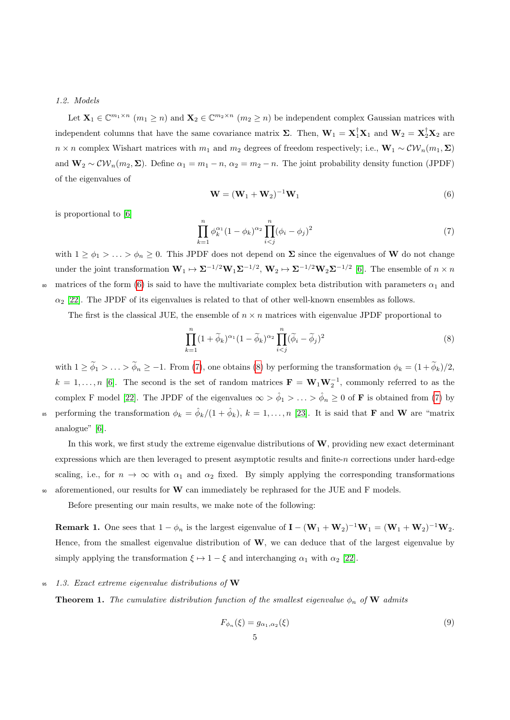#### <span id="page-4-4"></span>1.2. Models

Let  $\mathbf{X}_1 \in \mathbb{C}^{m_1 \times n}$   $(m_1 \geq n)$  and  $\mathbf{X}_2 \in \mathbb{C}^{m_2 \times n}$   $(m_2 \geq n)$  be independent complex Gaussian matrices with independent columns that have the same covariance matrix  $\Sigma$ . Then,  $\mathbf{W}_1 = \mathbf{X}_1^{\dagger} \mathbf{X}_1$  and  $\mathbf{W}_2 = \mathbf{X}_2^{\dagger} \mathbf{X}_2$  are  $n \times n$  complex Wishart matrices with  $m_1$  and  $m_2$  degrees of freedom respectively; i.e.,  $\mathbf{W}_1 \sim \mathcal{CW}_n(m_1, \Sigma)$ and  $\mathbf{W}_2 \sim \mathcal{CW}_n(m_2, \Sigma)$ . Define  $\alpha_1 = m_1 - n$ ,  $\alpha_2 = m_2 - n$ . The joint probability density function (JPDF) of the eigenvalues of

<span id="page-4-2"></span><span id="page-4-0"></span>
$$
\mathbf{W} = (\mathbf{W}_1 + \mathbf{W}_2)^{-1} \mathbf{W}_1 \tag{6}
$$

is proportional to [\[6\]](#page-38-5)

<span id="page-4-1"></span>
$$
\prod_{k=1}^{n} \phi_k^{\alpha_1} (1 - \phi_k)^{\alpha_2} \prod_{i < j}^{n} (\phi_i - \phi_j)^2 \tag{7}
$$

with  $1 \ge \phi_1 > \ldots > \phi_n \ge 0$ . This JPDF does not depend on  $\Sigma$  since the eigenvalues of **W** do not change under the joint transformation  $\mathbf{W}_1 \mapsto \Sigma^{-1/2} \mathbf{W}_1 \Sigma^{-1/2}$ ,  $\mathbf{W}_2 \mapsto \Sigma^{-1/2} \mathbf{W}_2 \Sigma^{-1/2}$  [\[6\]](#page-38-5). The ensemble of  $n \times n$ 80 matrices of the form [\(6\)](#page-4-0) is said to have the multivariate complex beta distribution with parameters  $\alpha_1$  and  $\alpha_2$  [\[22\]](#page-39-13). The JPDF of its eigenvalues is related to that of other well-known ensembles as follows.

The first is the classical JUE, the ensemble of  $n \times n$  matrices with eigenvalue JPDF proportional to

$$
\prod_{k=1}^{n} (1 + \widetilde{\phi}_k)^{\alpha_1} (1 - \widetilde{\phi}_k)^{\alpha_2} \prod_{i < j}^{n} (\widetilde{\phi}_i - \widetilde{\phi}_j)^2 \tag{8}
$$

with  $1 \ge \tilde{\phi}_1 > \ldots > \tilde{\phi}_n \ge -1$ . From [\(7\)](#page-4-1), one obtains [\(8\)](#page-4-2) by performing the transformation  $\phi_k = (1 + \tilde{\phi}_k)/2$ .  $k = 1, \ldots, n$  [\[6\]](#page-38-5). The second is the set of random matrices  $\mathbf{F} = \mathbf{W}_1 \mathbf{W}_2^{-1}$ , commonly referred to as the complex F model [\[22\]](#page-39-13). The JPDF of the eigenvalues  $\infty > \hat{\phi}_1 > ... > \hat{\phi}_n \geq 0$  of **F** is obtained from [\(7\)](#page-4-1) by between the transformation  $\phi_k = \hat{\phi}_k/(1 + \hat{\phi}_k)$ ,  $k = 1, \ldots, n$  [\[23\]](#page-39-14). It is said that **F** and **W** are "matrix analogue" [\[6\]](#page-38-5).

In this work, we first study the extreme eigenvalue distributions of  $W$ , providing new exact determinant expressions which are then leveraged to present asymptotic results and finite-n corrections under hard-edge scaling, i.e., for  $n \to \infty$  with  $\alpha_1$  and  $\alpha_2$  fixed. By simply applying the corresponding transformations <sup>90</sup> aforementioned, our results for W can immediately be rephrased for the JUE and F models.

Before presenting our main results, we make note of the following:

<span id="page-4-5"></span>**Remark 1.** One sees that  $1 - \phi_n$  is the largest eigenvalue of  $I - (\mathbf{W}_1 + \mathbf{W}_2)^{-1}\mathbf{W}_1 = (\mathbf{W}_1 + \mathbf{W}_2)^{-1}\mathbf{W}_2$ . Hence, from the smallest eigenvalue distribution of W, we can deduce that of the largest eigenvalue by simply applying the transformation  $\xi \mapsto 1 - \xi$  and interchanging  $\alpha_1$  with  $\alpha_2$  [\[22\]](#page-39-13).

## 95 1.3. Exact extreme eigenvalue distributions of  $W$

<span id="page-4-3"></span>**Theorem 1.** The cumulative distribution function of the smallest eigenvalue  $\phi_n$  of W admits

<span id="page-4-6"></span>
$$
F_{\phi_n}(\xi) = g_{\alpha_1, \alpha_2}(\xi) \tag{9}
$$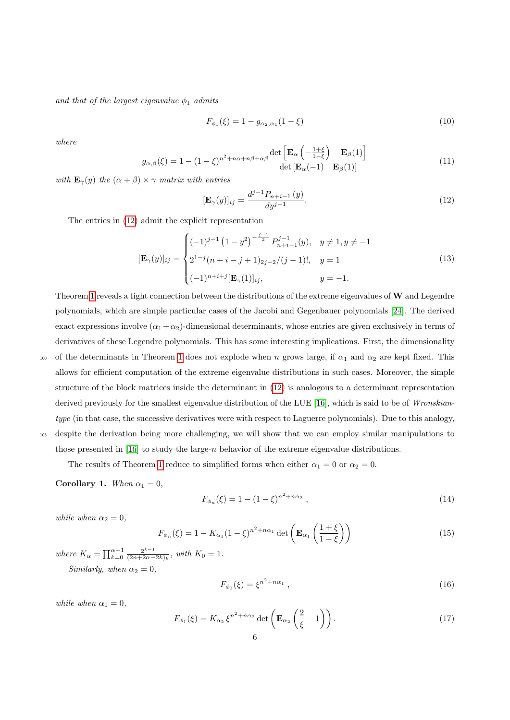and that of the largest eigenvalue  $\phi_1$  admits

<span id="page-5-5"></span>
$$
F_{\phi_1}(\xi) = 1 - g_{\alpha_2, \alpha_1}(1 - \xi)
$$
\n(10)

<span id="page-5-7"></span>where

$$
g_{\alpha,\beta}(\xi) = 1 - (1 - \xi)^{n^2 + n\alpha + n\beta + \alpha\beta} \frac{\det \left[ \mathbf{E}_{\alpha} \left( -\frac{1+\xi}{1-\xi} \right) \mathbf{E}_{\beta}(1) \right]}{\det \left[ \mathbf{E}_{\alpha}(-1) \mathbf{E}_{\beta}(1) \right]}
$$
(11)

with  $\mathbf{E}_{\gamma}(y)$  the  $(\alpha + \beta) \times \gamma$  matrix with entries

<span id="page-5-6"></span><span id="page-5-0"></span>
$$
[\mathbf{E}_{\gamma}(y)]_{ij} = \frac{d^{j-1}P_{n+i-1}(y)}{dy^{j-1}}.
$$
\n(12)

The entries in [\(12\)](#page-5-0) admit the explicit representation

$$
[\mathbf{E}_{\gamma}(y)]_{ij} = \begin{cases} (-1)^{j-1} (1-y^2)^{-\frac{j-1}{2}} P_{n+i-1}^{j-1}(y), & y \neq 1, y \neq -1 \\ 2^{1-j} (n+i-j+1)_{2j-2}/(j-1)!, & y = 1 \\ (-1)^{n+i+j} [\mathbf{E}_{\gamma}(1)]_{ij}, & y = -1. \end{cases}
$$
(13)

Theorem [1](#page-4-3) reveals a tight connection between the distributions of the extreme eigenvalues of  $W$  and Legendre polynomials, which are simple particular cases of the Jacobi and Gegenbauer polynomials [\[24\]](#page-39-15). The derived exact expressions involve  $(\alpha_1+\alpha_2)$ -dimensional determinants, whose entries are given exclusively in terms of derivatives of these Legendre polynomials. This has some interesting implications. First, the dimensionality

100 of the determinants in Theorem [1](#page-4-3) does not explode when n grows large, if  $\alpha_1$  and  $\alpha_2$  are kept fixed. This allows for efficient computation of the extreme eigenvalue distributions in such cases. Moreover, the simple structure of the block matrices inside the determinant in [\(12\)](#page-5-0) is analogous to a determinant representation derived previously for the smallest eigenvalue distribution of the LUE [\[16\]](#page-39-7), which is said to be of Wronskiantype (in that case, the successive derivatives were with respect to Laguerre polynomials). Due to this analogy, <sup>105</sup> despite the derivation being more challenging, we will show that we can employ similar manipulations to those presented in [\[16\]](#page-39-7) to study the large-n behavior of the extreme eigenvalue distributions.

The results of Theorem [1](#page-4-3) reduce to simplified forms when either  $\alpha_1 = 0$  or  $\alpha_2 = 0$ .

<span id="page-5-8"></span>Corollary 1. When  $\alpha_1 = 0$ ,

<span id="page-5-1"></span>
$$
F_{\phi_n}(\xi) = 1 - (1 - \xi)^{n^2 + n\alpha_2}, \qquad (14)
$$

while when  $\alpha_2 = 0$ ,

<span id="page-5-3"></span><span id="page-5-2"></span>
$$
F_{\phi_n}(\xi) = 1 - K_{\alpha_1} (1 - \xi)^{n^2 + n\alpha_1} \det \left( \mathbf{E}_{\alpha_1} \left( \frac{1 + \xi}{1 - \xi} \right) \right)
$$
(15)

where  $K_{\alpha} = \prod_{k=0}^{\alpha-1} \frac{2^{k-1}}{(2n+2\alpha-1)}$  $\frac{2^{k-1}}{(2n+2\alpha-2k)_k}$ , with  $K_0=1$ . Similarly, when  $\alpha_2 = 0$ ,

$$
F_{\phi_1}(\xi) = \xi^{n^2 + n\alpha_1} \,, \tag{16}
$$

while when  $\alpha_1 = 0$ ,

<span id="page-5-4"></span>
$$
F_{\phi_1}(\xi) = K_{\alpha_2} \xi^{n^2 + n\alpha_2} \det \left( \mathbf{E}_{\alpha_2} \left( \frac{2}{\xi} - 1 \right) \right). \tag{17}
$$

 $\mathcal{L} = \mathcal{L}$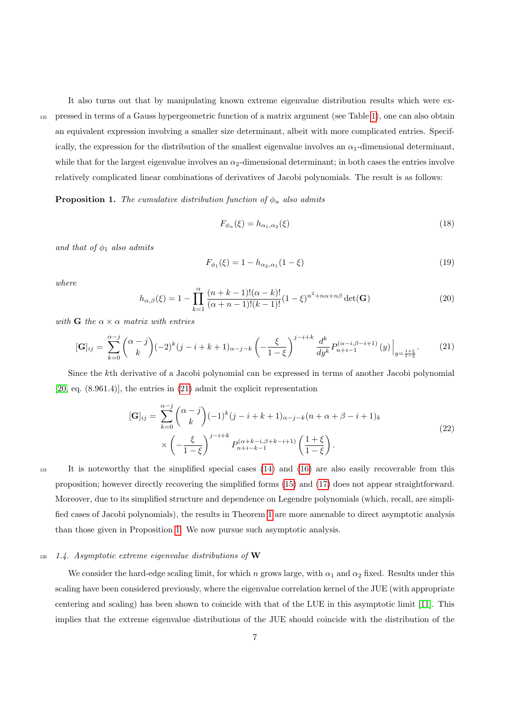It also turns out that by manipulating known extreme eigenvalue distribution results which were ex-<sup>110</sup> pressed in terms of a Gauss hypergeometric function of a matrix argument (see Table [1\)](#page-2-0), one can also obtain an equivalent expression involving a smaller size determinant, albeit with more complicated entries. Specifically, the expression for the distribution of the smallest eigenvalue involves an  $\alpha_1$ -dimensional determinant, while that for the largest eigenvalue involves an  $\alpha_2$ -dimensional determinant; in both cases the entries involve relatively complicated linear combinations of derivatives of Jacobi polynomials. The result is as follows:

<span id="page-6-1"></span>**Proposition 1.** The cumulative distribution function of  $\phi_n$  also admits

$$
F_{\phi_n}(\xi) = h_{\alpha_1, \alpha_2}(\xi) \tag{18}
$$

and that of  $\phi_1$  also admits

<span id="page-6-0"></span>
$$
F_{\phi_1}(\xi) = 1 - h_{\alpha_2, \alpha_1}(1 - \xi)
$$
\n(19)

where

$$
h_{\alpha,\beta}(\xi) = 1 - \prod_{k=1}^{\alpha} \frac{(n+k-1)!(\alpha-k)!}{(\alpha+n-1)!(k-1)!} (1-\xi)^{n^2+n\alpha+n\beta} \det(\mathbf{G})
$$
(20)

with G the  $\alpha \times \alpha$  matrix with entries

$$
[\mathbf{G}]_{ij} = \sum_{k=0}^{\alpha-j} {\alpha-j \choose k} (-2)^k (j-i+k+1)_{\alpha-j-k} \left( -\frac{\xi}{1-\xi} \right)^{j-i+k} \frac{d^k}{dy^k} P_{n+i-1}^{(\alpha-i,\beta-i+1)}(y) \Big|_{y=\frac{1+\xi}{1-\xi}}.
$$
(21)

Since the kth derivative of a Jacobi polynomial can be expressed in terms of another Jacobi polynomial [\[20,](#page-39-11) eq. (8.961.4)], the entries in [\(21\)](#page-6-0) admit the explicit representation

$$
[\mathbf{G}]_{ij} = \sum_{k=0}^{\alpha-j} {\alpha-j \choose k} (-1)^k (j-i+k+1)_{\alpha-j-k} (n+\alpha+\beta-i+1)_k
$$
  
 
$$
\times \left(-\frac{\xi}{1-\xi}\right)^{j-i+k} P_{n+i-k-1}^{(\alpha+k-i,\beta+k-i+1)} \left(\frac{1+\xi}{1-\xi}\right).
$$
 (22)

<sup>115</sup> It is noteworthy that the simplified special cases [\(14\)](#page-5-1) and [\(16\)](#page-5-2) are also easily recoverable from this proposition; however directly recovering the simplified forms [\(15\)](#page-5-3) and [\(17\)](#page-5-4) does not appear straightforward. Moreover, due to its simplified structure and dependence on Legendre polynomials (which, recall, are simplified cases of Jacobi polynomials), the results in Theorem [1](#page-4-3) are more amenable to direct asymptotic analysis than those given in Proposition [1.](#page-6-1) We now pursue such asymptotic analysis.

## $120$  1.4. Asymptotic extreme eigenvalue distributions of W

We consider the hard-edge scaling limit, for which n grows large, with  $\alpha_1$  and  $\alpha_2$  fixed. Results under this scaling have been considered previously, where the eigenvalue correlation kernel of the JUE (with appropriate centering and scaling) has been shown to coincide with that of the LUE in this asymptotic limit [\[11\]](#page-39-2). This implies that the extreme eigenvalue distributions of the JUE should coincide with the distribution of the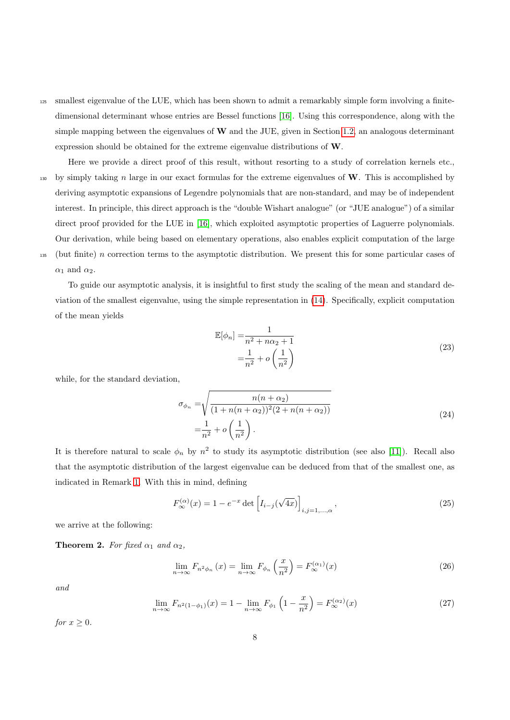<sup>125</sup> smallest eigenvalue of the LUE, which has been shown to admit a remarkably simple form involving a finitedimensional determinant whose entries are Bessel functions [\[16\]](#page-39-7). Using this correspondence, along with the simple mapping between the eigenvalues of  $W$  and the JUE, given in Section [1.2,](#page-4-4) an analogous determinant expression should be obtained for the extreme eigenvalue distributions of W.

Here we provide a direct proof of this result, without resorting to a study of correlation kernels etc., 130 by simply taking n large in our exact formulas for the extreme eigenvalues of  $W$ . This is accomplished by deriving asymptotic expansions of Legendre polynomials that are non-standard, and may be of independent interest. In principle, this direct approach is the "double Wishart analogue" (or "JUE analogue") of a similar direct proof provided for the LUE in [\[16\]](#page-39-7), which exploited asymptotic properties of Laguerre polynomials. Our derivation, while being based on elementary operations, also enables explicit computation of the large 135 (but finite) n correction terms to the asymptotic distribution. We present this for some particular cases of  $\alpha_1$  and  $\alpha_2$ .

To guide our asymptotic analysis, it is insightful to first study the scaling of the mean and standard deviation of the smallest eigenvalue, using the simple representation in [\(14\)](#page-5-1). Specifically, explicit computation of the mean yields

$$
\mathbb{E}[\phi_n] = \frac{1}{n^2 + n\alpha_2 + 1}
$$
  
= 
$$
\frac{1}{n^2} + o\left(\frac{1}{n^2}\right)
$$
 (23)

while, for the standard deviation,

$$
\sigma_{\phi_n} = \sqrt{\frac{n(n + \alpha_2)}{(1 + n(n + \alpha_2))^2 (2 + n(n + \alpha_2))}}
$$
\n
$$
= \frac{1}{n^2} + o\left(\frac{1}{n^2}\right).
$$
\n(24)

It is therefore natural to scale  $\phi_n$  by  $n^2$  to study its asymptotic distribution (see also [\[11\]](#page-39-2)). Recall also that the asymptotic distribution of the largest eigenvalue can be deduced from that of the smallest one, as indicated in Remark [1.](#page-4-5) With this in mind, defining

<span id="page-7-1"></span>
$$
F_{\infty}^{(\alpha)}(x) = 1 - e^{-x} \det \left[ I_{i-j}(\sqrt{4x}) \right]_{i,j=1,\dots,\alpha},
$$
\n(25)

<span id="page-7-0"></span>we arrive at the following:

**Theorem 2.** For fixed  $\alpha_1$  and  $\alpha_2$ ,

<span id="page-7-2"></span>
$$
\lim_{n \to \infty} F_{n^2 \phi_n} \left( x \right) = \lim_{n \to \infty} F_{\phi_n} \left( \frac{x}{n^2} \right) = F_{\infty}^{(\alpha_1)}(x) \tag{26}
$$

<span id="page-7-3"></span>and

$$
\lim_{n \to \infty} F_{n^2(1-\phi_1)}(x) = 1 - \lim_{n \to \infty} F_{\phi_1} \left( 1 - \frac{x}{n^2} \right) = F_{\infty}^{(\alpha_2)}(x)
$$
\n(27)

for  $x \geq 0$ .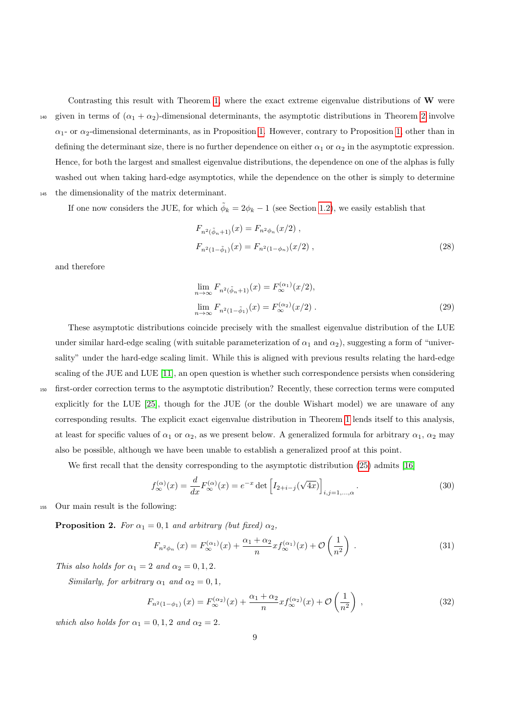Contrasting this result with Theorem [1,](#page-4-3) where the exact extreme eigenvalue distributions of W were 140 given in terms of  $(\alpha_1 + \alpha_2)$ -dimensional determinants, the asymptotic distributions in Theorem [2](#page-7-0) involve  $\alpha_1$ - or  $\alpha_2$ -dimensional determinants, as in Proposition [1.](#page-6-1) However, contrary to Proposition [1,](#page-6-1) other than in defining the determinant size, there is no further dependence on either  $\alpha_1$  or  $\alpha_2$  in the asymptotic expression. Hence, for both the largest and smallest eigenvalue distributions, the dependence on one of the alphas is fully washed out when taking hard-edge asymptotics, while the dependence on the other is simply to determine <sup>145</sup> the dimensionality of the matrix determinant.

If one now considers the JUE, for which  $\tilde{\phi}_k = 2\phi_k - 1$  (see Section [1.2\)](#page-4-4), we easily establish that

<span id="page-8-4"></span>
$$
F_{n^2(\tilde{\phi}_n+1)}(x) = F_{n^2\phi_n}(x/2) ,
$$
  
\n
$$
F_{n^2(1-\tilde{\phi}_1)}(x) = F_{n^2(1-\phi_n)}(x/2) ,
$$
\n(28)

and therefore

$$
\lim_{n \to \infty} F_{n^2(\tilde{\phi}_n + 1)}(x) = F_{\infty}^{(\alpha_1)}(x/2),
$$
  

$$
\lim_{n \to \infty} F_{n^2(1 - \tilde{\phi}_1)}(x) = F_{\infty}^{(\alpha_2)}(x/2).
$$
 (29)

These asymptotic distributions coincide precisely with the smallest eigenvalue distribution of the LUE under similar hard-edge scaling (with suitable parameterization of  $\alpha_1$  and  $\alpha_2$ ), suggesting a form of "universality" under the hard-edge scaling limit. While this is aligned with previous results relating the hard-edge scaling of the JUE and LUE [\[11\]](#page-39-2), an open question is whether such correspondence persists when considering <sup>150</sup> first-order correction terms to the asymptotic distribution? Recently, these correction terms were computed explicitly for the LUE [\[25\]](#page-39-16), though for the JUE (or the double Wishart model) we are unaware of any corresponding results. The explicit exact eigenvalue distribution in Theorem [1](#page-4-3) lends itself to this analysis, at least for specific values of  $\alpha_1$  or  $\alpha_2$ , as we present below. A generalized formula for arbitrary  $\alpha_1$ ,  $\alpha_2$  may also be possible, although we have been unable to establish a generalized proof at this point.

We first recall that the density corresponding to the asymptotic distribution [\(25\)](#page-7-1) admits [\[16\]](#page-39-7)

<span id="page-8-1"></span>
$$
f_{\infty}^{(\alpha)}(x) = \frac{d}{dx} F_{\infty}^{(\alpha)}(x) = e^{-x} \det \left[ I_{2+i-j}(\sqrt{4x}) \right]_{i,j=1,\ldots,\alpha}.
$$
 (30)

<sup>155</sup> Our main result is the following:

<span id="page-8-0"></span>**Proposition 2.** For  $\alpha_1 = 0, 1$  and arbitrary (but fixed)  $\alpha_2$ ,

<span id="page-8-3"></span><span id="page-8-2"></span>
$$
F_{n^2\phi_n}(x) = F_{\infty}^{(\alpha_1)}(x) + \frac{\alpha_1 + \alpha_2}{n} x f_{\infty}^{(\alpha_1)}(x) + \mathcal{O}\left(\frac{1}{n^2}\right) \tag{31}
$$

This also holds for  $\alpha_1 = 2$  and  $\alpha_2 = 0, 1, 2$ .

Similarly, for arbitrary  $\alpha_1$  and  $\alpha_2 = 0, 1$ ,

$$
F_{n^2(1-\phi_1)}(x) = F_{\infty}^{(\alpha_2)}(x) + \frac{\alpha_1 + \alpha_2}{n} x f_{\infty}^{(\alpha_2)}(x) + \mathcal{O}\left(\frac{1}{n^2}\right) ,\qquad (32)
$$

which also holds for  $\alpha_1 = 0, 1, 2$  and  $\alpha_2 = 2$ .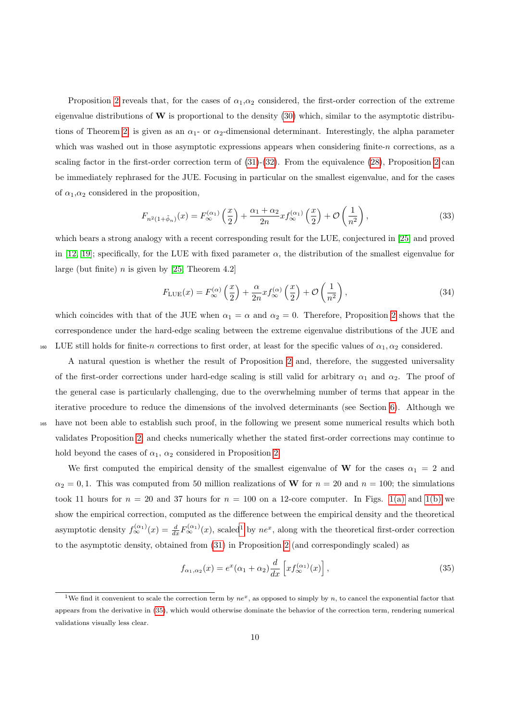Proposition [2](#page-8-0) reveals that, for the cases of  $\alpha_1,\alpha_2$  considered, the first-order correction of the extreme eigenvalue distributions of  $W$  is proportional to the density [\(30\)](#page-8-1) which, similar to the asymptotic distribu-tions of Theorem [2,](#page-7-0) is given as an  $\alpha_1$ - or  $\alpha_2$ -dimensional determinant. Interestingly, the alpha parameter which was washed out in those asymptotic expressions appears when considering finite- $n$  corrections, as a scaling factor in the first-order correction term of [\(31\)](#page-8-2)-[\(32\)](#page-8-3). From the equivalence [\(28\)](#page-8-4), Proposition [2](#page-8-0) can be immediately rephrased for the JUE. Focusing in particular on the smallest eigenvalue, and for the cases of  $\alpha_1, \alpha_2$  considered in the proposition,

$$
F_{n^2(1+\tilde{\phi}_n)}(x) = F_{\infty}^{(\alpha_1)}\left(\frac{x}{2}\right) + \frac{\alpha_1 + \alpha_2}{2n} x f_{\infty}^{(\alpha_1)}\left(\frac{x}{2}\right) + \mathcal{O}\left(\frac{1}{n^2}\right),\tag{33}
$$

which bears a strong analogy with a recent corresponding result for the LUE, conjectured in [\[25\]](#page-39-16) and proved in [\[12,](#page-39-3) [19\]](#page-39-10); specifically, for the LUE with fixed parameter  $\alpha$ , the distribution of the smallest eigenvalue for large (but finite)  $n$  is given by [\[25,](#page-39-16) Theorem 4.2]

$$
F_{\text{LUE}}(x) = F_{\infty}^{(\alpha)}\left(\frac{x}{2}\right) + \frac{\alpha}{2n} x f_{\infty}^{(\alpha)}\left(\frac{x}{2}\right) + \mathcal{O}\left(\frac{1}{n^2}\right),\tag{34}
$$

which coincides with that of the JUE when  $\alpha_1 = \alpha$  and  $\alpha_2 = 0$ . Therefore, Proposition [2](#page-8-0) shows that the correspondence under the hard-edge scaling between the extreme eigenvalue distributions of the JUE and 160 LUE still holds for finite-n corrections to first order, at least for the specific values of  $\alpha_1, \alpha_2$  considered.

A natural question is whether the result of Proposition [2](#page-8-0) and, therefore, the suggested universality of the first-order corrections under hard-edge scaling is still valid for arbitrary  $\alpha_1$  and  $\alpha_2$ . The proof of the general case is particularly challenging, due to the overwhelming number of terms that appear in the iterative procedure to reduce the dimensions of the involved determinants (see Section [6\)](#page-30-0). Although we <sup>165</sup> have not been able to establish such proof, in the following we present some numerical results which both validates Proposition [2,](#page-8-0) and checks numerically whether the stated first-order corrections may continue to hold beyond the cases of  $\alpha_1$ ,  $\alpha_2$  considered in Proposition [2.](#page-8-0)

We first computed the empirical density of the smallest eigenvalue of W for the cases  $\alpha_1 = 2$  and  $\alpha_2 = 0, 1$ . This was computed from 50 million realizations of W for  $n = 20$  and  $n = 100$ ; the simulations took 11 hours for  $n = 20$  and 37 hours for  $n = 100$  on a 12-core computer. In Figs. [1\(a\)](#page-11-0) and [1\(b\)](#page-11-0) we show the empirical correction, computed as the difference between the empirical density and the theoretical asymptotic density  $f_{\infty}^{(\alpha_1)}(x) = \frac{d}{dx} F_{\infty}^{(\alpha_1)}(x)$  $f_{\infty}^{(\alpha_1)}(x) = \frac{d}{dx} F_{\infty}^{(\alpha_1)}(x)$  $f_{\infty}^{(\alpha_1)}(x) = \frac{d}{dx} F_{\infty}^{(\alpha_1)}(x)$ , scaled<sup>1</sup> by  $ne^x$ , along with the theoretical first-order correction to the asymptotic density, obtained from [\(31\)](#page-8-2) in Proposition [2](#page-8-0) (and correspondingly scaled) as

<span id="page-9-1"></span>
$$
f_{\alpha_1,\alpha_2}(x) = e^x(\alpha_1 + \alpha_2) \frac{d}{dx} \left[ x f_{\infty}^{(\alpha_1)}(x) \right],
$$
\n(35)

<span id="page-9-0"></span><sup>&</sup>lt;sup>1</sup>We find it convenient to scale the correction term by  $ne^x$ , as opposed to simply by n, to cancel the exponential factor that appears from the derivative in [\(35\)](#page-9-1), which would otherwise dominate the behavior of the correction term, rendering numerical validations visually less clear.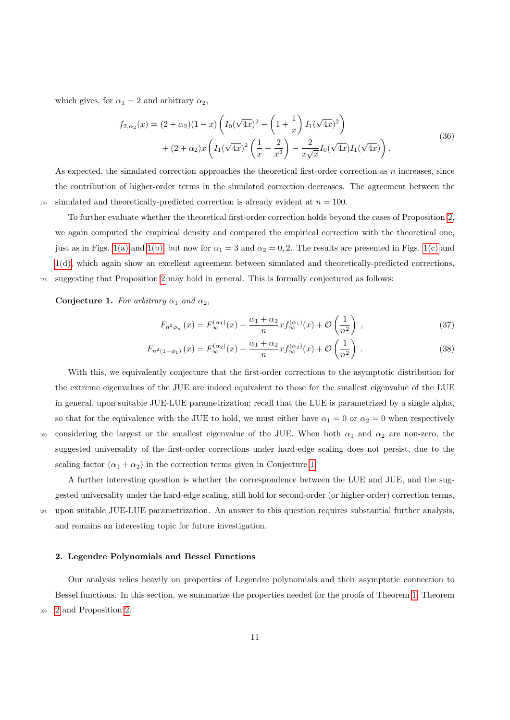which gives, for  $\alpha_1 = 2$  and arbitrary  $\alpha_2$ ,

$$
f_{2,\alpha_2}(x) = (2+\alpha_2)(1-x)\left(I_0(\sqrt{4x})^2 - \left(1+\frac{1}{x}\right)I_1(\sqrt{4x})^2\right) + (2+\alpha_2)x\left(I_1(\sqrt{4x})^2\left(\frac{1}{x}+\frac{2}{x^2}\right) - \frac{2}{x\sqrt{x}}I_0(\sqrt{4x})I_1(\sqrt{4x})\right).
$$
\n(36)

As expected, the simulated correction approaches the theoretical first-order correction as  $n$  increases, since the contribution of higher-order terms in the simulated correction decreases. The agreement between the  $_{170}$  simulated and theoretically-predicted correction is already evident at  $n = 100$ .

To further evaluate whether the theoretical first-order correction holds beyond the cases of Proposition [2,](#page-8-0) we again computed the empirical density and compared the empirical correction with the theoretical one, just as in Figs. [1\(a\)](#page-11-0) and [1\(b\),](#page-11-0) but now for  $\alpha_1 = 3$  and  $\alpha_2 = 0, 2$ . The results are presented in Figs. [1\(c\)](#page-11-0) and [1\(d\),](#page-11-0) which again show an excellent agreement between simulated and theoretically-predicted corrections, <sup>175</sup> suggesting that Proposition [2](#page-8-0) may hold in general. This is formally conjectured as follows:

<span id="page-10-0"></span>Conjecture 1. For arbitrary  $\alpha_1$  and  $\alpha_2$ ,

$$
F_{n^2\phi_n}(x) = F_{\infty}^{(\alpha_1)}(x) + \frac{\alpha_1 + \alpha_2}{n} x f_{\infty}^{(\alpha_1)}(x) + \mathcal{O}\left(\frac{1}{n^2}\right) ,\qquad (37)
$$

$$
F_{n^2(1-\phi_1)}(x) = F_{\infty}^{(\alpha_2)}(x) + \frac{\alpha_1 + \alpha_2}{n} x f_{\infty}^{(\alpha_2)}(x) + \mathcal{O}\left(\frac{1}{n^2}\right) \,. \tag{38}
$$

With this, we equivalently conjecture that the first-order corrections to the asymptotic distribution for the extreme eigenvalues of the JUE are indeed equivalent to those for the smallest eigenvalue of the LUE in general, upon suitable JUE-LUE parametrization; recall that the LUE is parametrized by a single alpha, so that for the equivalence with the JUE to hold, we must either have  $\alpha_1 = 0$  or  $\alpha_2 = 0$  when respectively 180 considering the largest or the smallest eigenvalue of the JUE. When both  $\alpha_1$  and  $\alpha_2$  are non-zero, the suggested universality of the first-order corrections under hard-edge scaling does not persist, due to the scaling factor  $(\alpha_1 + \alpha_2)$  in the correction terms given in Conjecture [1.](#page-10-0)

A further interesting question is whether the correspondence between the LUE and JUE, and the suggested universality under the hard-edge scaling, still hold for second-order (or higher-order) correction terms, <sup>185</sup> upon suitable JUE-LUE parametrization. An answer to this question requires substantial further analysis, and remains an interesting topic for future investigation.

#### <span id="page-10-1"></span>2. Legendre Polynomials and Bessel Functions

Our analysis relies heavily on properties of Legendre polynomials and their asymptotic connection to Bessel functions. In this section, we summarize the properties needed for the proofs of Theorem [1,](#page-4-3) Theorem <sup>190</sup> [2](#page-7-0) and Proposition [2.](#page-8-0)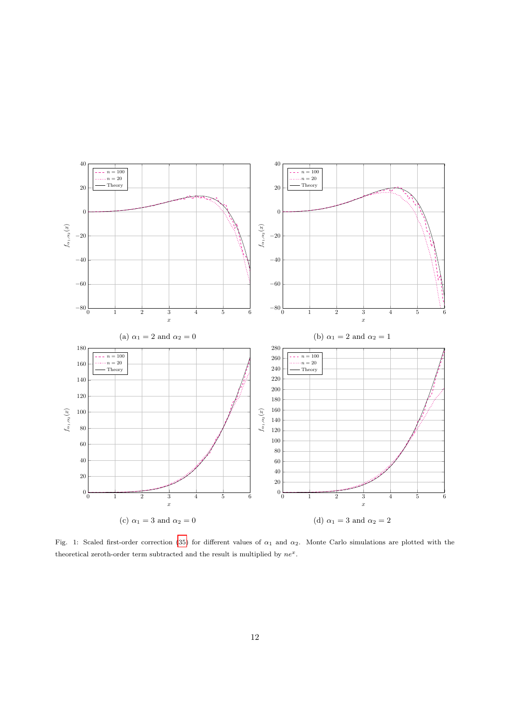<span id="page-11-0"></span>

Fig. 1: Scaled first-order correction [\(35\)](#page-9-1) for different values of  $\alpha_1$  and  $\alpha_2$ . Monte Carlo simulations are plotted with the theoretical zeroth-order term subtracted and the result is multiplied by  $ne^x$ .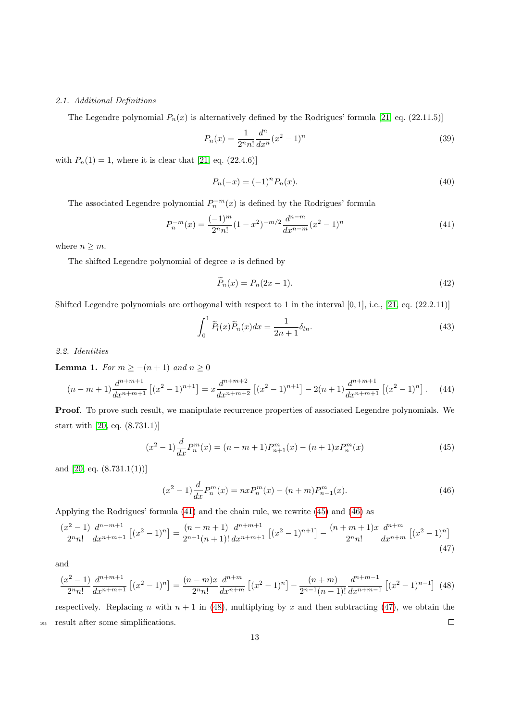#### 2.1. Additional Definitions

The Legendre polynomial  $P_n(x)$  is alternatively defined by the Rodrigues' formula [\[21,](#page-39-12) eq. (22.11.5)]

$$
P_n(x) = \frac{1}{2^n n!} \frac{d^n}{dx^n} (x^2 - 1)^n
$$
\n(39)

with  $P_n(1) = 1$ , where it is clear that [\[21,](#page-39-12) eq. (22.4.6)]

<span id="page-12-8"></span><span id="page-12-6"></span><span id="page-12-0"></span>
$$
P_n(-x) = (-1)^n P_n(x). \tag{40}
$$

The associated Legendre polynomial  $P_n^{-m}(x)$  is defined by the Rodrigues' formula

$$
P_n^{-m}(x) = \frac{(-1)^m}{2^n n!} (1 - x^2)^{-m/2} \frac{d^{n-m}}{dx^{n-m}} (x^2 - 1)^n
$$
\n(41)

where  $n \geq m$ .

The shifted Legendre polynomial of degree  $n$  is defined by

<span id="page-12-9"></span>
$$
\widetilde{P}_n(x) = P_n(2x - 1). \tag{42}
$$

Shifted Legendre polynomials are orthogonal with respect to 1 in the interval  $[0, 1]$ , i.e.,  $[21, \text{ eq. } (22.2.11)]$  $[21, \text{ eq. } (22.2.11)]$ 

$$
\int_0^1 \widetilde{P}_l(x)\widetilde{P}_n(x)dx = \frac{1}{2n+1}\delta_{ln}.
$$
\n(43)

<span id="page-12-5"></span>2.2. Identities

**Lemma 1.** For  $m \ge -(n+1)$  and  $n \ge 0$ 

$$
(n-m+1)\frac{d^{n+m+1}}{dx^{n+m+1}}\left[(x^2-1)^{n+1}\right] = x\frac{d^{n+m+2}}{dx^{n+m+2}}\left[(x^2-1)^{n+1}\right] - 2(n+1)\frac{d^{n+m+1}}{dx^{n+m+1}}\left[(x^2-1)^n\right].\tag{44}
$$

Proof. To prove such result, we manipulate recurrence properties of associated Legendre polynomials. We start with [\[20,](#page-39-11) eq. (8.731.1)]

<span id="page-12-2"></span><span id="page-12-1"></span>
$$
(x^{2} - 1)\frac{d}{dx}P_{n}^{m}(x) = (n - m + 1)P_{n+1}^{m}(x) - (n + 1)xP_{n}^{m}(x)
$$
\n(45)

and [\[20,](#page-39-11) eq. (8.731.1(1))]

<span id="page-12-4"></span>
$$
(x^{2} - 1)\frac{d}{dx}P_{n}^{m}(x) = nxP_{n}^{m}(x) - (n + m)P_{n-1}^{m}(x).
$$
\n(46)

Applying the Rodrigues' formula [\(41\)](#page-12-0) and the chain rule, we rewrite [\(45\)](#page-12-1) and [\(46\)](#page-12-2) as

$$
\frac{(x^2-1)}{2^n n!} \frac{d^{n+m+1}}{dx^{n+m+1}} \left[ (x^2-1)^n \right] = \frac{(n-m+1)}{2^{n+1}(n+1)!} \frac{d^{n+m+1}}{dx^{n+m+1}} \left[ (x^2-1)^{n+1} \right] - \frac{(n+m+1)x}{2^n n!} \frac{d^{n+m}}{dx^{n+m}} \left[ (x^2-1)^n \right] \tag{47}
$$

<span id="page-12-3"></span>and

$$
\frac{(x^2-1)}{2^n n!} \frac{d^{n+m+1}}{dx^{n+m+1}} \left[ (x^2-1)^n \right] = \frac{(n-m)x}{2^n n!} \frac{d^{n+m}}{dx^{n+m}} \left[ (x^2-1)^n \right] - \frac{(n+m)}{2^{n-1}(n-1)!} \frac{d^{n+m-1}}{dx^{n+m-1}} \left[ (x^2-1)^{n-1} \right] \tag{48}
$$

<span id="page-12-7"></span>respectively. Replacing n with  $n + 1$  in [\(48\)](#page-12-3), multiplying by x and then subtracting [\(47\)](#page-12-4), we obtain the <sup>195</sup> result after some simplifications.  $\Box$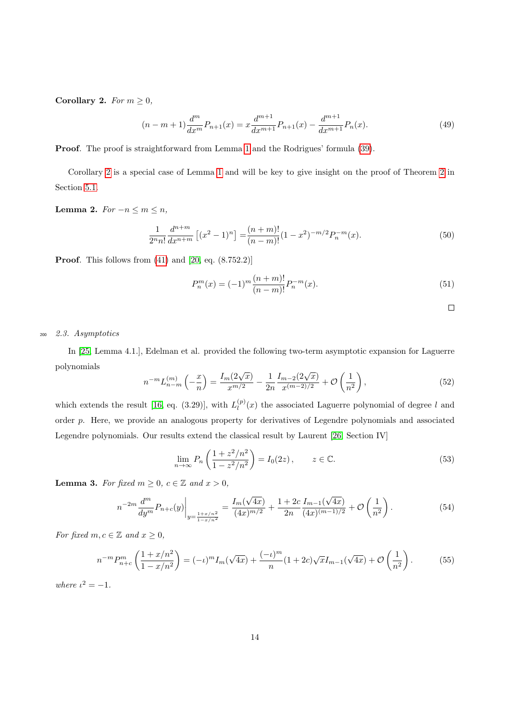Corollary 2. For  $m \geq 0$ ,

$$
(n-m+1)\frac{d^m}{dx^m}P_{n+1}(x) = x\frac{d^{m+1}}{dx^{m+1}}P_{n+1}(x) - \frac{d^{m+1}}{dx^{m+1}}P_n(x).
$$
\n(49)

Proof. The proof is straightforward from Lemma [1](#page-12-5) and the Rodrigues' formula [\(39\)](#page-12-6).

Corollary [2](#page-12-7) is a special case of Lemma [1](#page-12-5) and will be key to give insight on the proof of Theorem [2](#page-7-0) in Section [5.1.](#page-20-0)

<span id="page-13-4"></span>Lemma 2.  $For -n \leq m \leq n$ ,

$$
\frac{1}{2^n n!} \frac{d^{n+m}}{dx^{n+m}} \left[ (x^2 - 1)^n \right] = \frac{(n+m)!}{(n-m)!} (1 - x^2)^{-m/2} P_n^{-m}(x). \tag{50}
$$

Proof. This follows from [\(41\)](#page-12-0) and [\[20,](#page-39-11) eq. (8.752.2)]

$$
P_n^m(x) = (-1)^m \frac{(n+m)!}{(n-m)!} P_n^{-m}(x).
$$
\n(51)

$$
\Box
$$

## <sup>200</sup> 2.3. Asymptotics

In [\[25,](#page-39-16) Lemma 4.1.], Edelman et al. provided the following two-term asymptotic expansion for Laguerre polynomials

<span id="page-13-2"></span>
$$
n^{-m}L_{n-m}^{(m)}\left(-\frac{x}{n}\right) = \frac{I_m(2\sqrt{x})}{x^{m/2}} - \frac{1}{2n}\frac{I_{m-2}(2\sqrt{x})}{x^{(m-2)/2}} + \mathcal{O}\left(\frac{1}{n^2}\right),\tag{52}
$$

which extends the result [\[16,](#page-39-7) eq. (3.29)], with  $L_l^{(p)}$  $\binom{p}{l}(x)$  the associated Laguerre polynomial of degree l and order p. Here, we provide an analogous property for derivatives of Legendre polynomials and associated Legendre polynomials. Our results extend the classical result by Laurent [\[26,](#page-39-17) Section IV]

<span id="page-13-0"></span>
$$
\lim_{n \to \infty} P_n \left( \frac{1 + z^2 / n^2}{1 - z^2 / n^2} \right) = I_0(2z), \qquad z \in \mathbb{C}.
$$
 (53)

<span id="page-13-3"></span>**Lemma 3.** For fixed  $m \geq 0$ ,  $c \in \mathbb{Z}$  and  $x > 0$ ,

<span id="page-13-1"></span>
$$
n^{-2m} \frac{d^m}{dy^m} P_{n+c}(y) \Big|_{y=\frac{1+x/n^2}{1-x/n^2}} = \frac{I_m(\sqrt{4x})}{(4x)^{m/2}} + \frac{1+2c}{2n} \frac{I_{m-1}(\sqrt{4x})}{(4x)^{(m-1)/2}} + \mathcal{O}\left(\frac{1}{n^2}\right). \tag{54}
$$

For fixed  $m, c \in \mathbb{Z}$  and  $x \geq 0$ ,

$$
n^{-m} P_{n+c}^m \left(\frac{1+x/n^2}{1-x/n^2}\right) = (-\iota)^m I_m(\sqrt{4x}) + \frac{(-\iota)^m}{n} (1+2c)\sqrt{x} I_{m-1}(\sqrt{4x}) + \mathcal{O}\left(\frac{1}{n^2}\right). \tag{55}
$$

where  $\iota^2 = -1$ .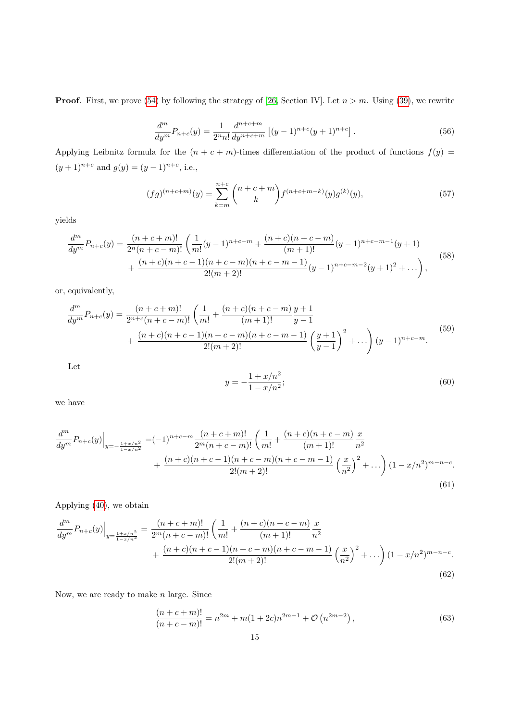**Proof.** First, we prove [\(54\)](#page-13-0) by following the strategy of [\[26,](#page-39-17) Section IV]. Let  $n > m$ . Using [\(39\)](#page-12-6), we rewrite

$$
\frac{d^m}{dy^m}P_{n+c}(y) = \frac{1}{2^n n!} \frac{d^{n+c+m}}{dy^{n+c+m}} \left[ (y-1)^{n+c} (y+1)^{n+c} \right].
$$
\n(56)

Applying Leibnitz formula for the  $(n + c + m)$ -times differentiation of the product of functions  $f(y)$  =  $(y+1)^{n+c}$  and  $g(y) = (y-1)^{n+c}$ , i.e.,

$$
(fg)^{(n+c+m)}(y) = \sum_{k=m}^{n+c} \binom{n+c+m}{k} f^{(n+c+m-k)}(y) g^{(k)}(y),\tag{57}
$$

yields

$$
\frac{d^m}{dy^m}P_{n+c}(y) = \frac{(n+c+m)!}{2^n(n+c-m)!} \left( \frac{1}{m!}(y-1)^{n+c-m} + \frac{(n+c)(n+c-m)}{(m+1)!}(y-1)^{n+c-m-1}(y+1) + \frac{(n+c)(n+c-1)(n+c-m)(n+c-m-1)}{2!(m+2)!}(y-1)^{n+c-m-2}(y+1)^2 + \dots \right),
$$
\n(58)

or, equivalently,

$$
\frac{d^m}{dy^m}P_{n+c}(y) = \frac{(n+c+m)!}{2^{n+c}(n+c-m)!} \left(\frac{1}{m!} + \frac{(n+c)(n+c-m)}{(m+1)!} \frac{y+1}{y-1} + \frac{(n+c)(n+c-1)(n+c-m)(n+c-m-1)}{2!(m+2)!} \left(\frac{y+1}{y-1}\right)^2 + \dots\right) (y-1)^{n+c-m}.\tag{59}
$$

Let

$$
y = -\frac{1 + x/n^2}{1 - x/n^2};\tag{60}
$$

we have

$$
\frac{d^{m}}{dy^{m}}P_{n+c}(y)\Big|_{y=-\frac{1+x/n^{2}}{1-x/n^{2}}} = (-1)^{n+c-m} \frac{(n+c+m)!}{2^{m}(n+c-m)!} \left(\frac{1}{m!} + \frac{(n+c)(n+c-m)}{(m+1)!} \frac{x}{n^{2}} + \frac{(n+c)(n+c-1)(n+c-m)(n+c-m-1)}{2!(m+2)!} \left(\frac{x}{n^{2}}\right)^{2} + \ldots\right) (1-x/n^{2})^{m-n-c}.
$$
\n(61)

<span id="page-14-0"></span>Applying [\(40\)](#page-12-8), we obtain

$$
\frac{d^m}{dy^m} P_{n+c}(y) \Big|_{y=\frac{1+x/n^2}{1-x/n^2}} = \frac{(n+c+m)!}{2^m(n+c-m)!} \left( \frac{1}{m!} + \frac{(n+c)(n+c-m)}{(m+1)!} \frac{x}{n^2} + \frac{(n+c)(n+c-1)(n+c-m)(n+c-m-1)}{2!(m+2)!} \left( \frac{x}{n^2} \right)^2 + \dots \right) (1-x/n^2)^{m-n-c}.
$$
\n(62)

Now, we are ready to make  $n$  large. Since

$$
\frac{(n+c+m)!}{(n+c-m)!} = n^{2m} + m(1+2c)n^{2m-1} + \mathcal{O}\left(n^{2m-2}\right),\tag{63}
$$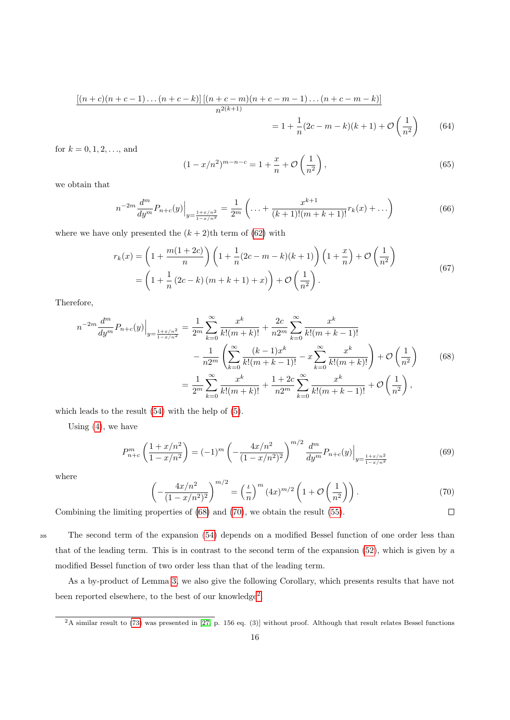$$
\frac{[(n+c)(n+c-1)\dots(n+c-k)]\left[(n+c-m)(n+c-m-1)\dots(n+c-m-k)\right]}{n^{2(k+1)}}
$$
  
=  $1 + \frac{1}{n}(2c-m-k)(k+1) + \mathcal{O}\left(\frac{1}{n^2}\right)$  (64)

for  $k = 0, 1, 2, \ldots$ , and

$$
(1 - x/n^2)^{m-n-c} = 1 + \frac{x}{n} + \mathcal{O}\left(\frac{1}{n^2}\right),\tag{65}
$$

we obtain that

$$
n^{-2m} \frac{d^m}{dy^m} P_{n+c}(y) \Big|_{y=\frac{1+x/n^2}{1-x/n^2}} = \frac{1}{2^m} \left( \dots + \frac{x^{k+1}}{(k+1)!(m+k+1)!} r_k(x) + \dots \right) \tag{66}
$$

where we have only presented the  $(k + 2)$ th term of  $(62)$  with

$$
r_k(x) = \left(1 + \frac{m(1+2c)}{n}\right) \left(1 + \frac{1}{n}(2c - m - k)(k+1)\right) \left(1 + \frac{x}{n}\right) + \mathcal{O}\left(\frac{1}{n^2}\right)
$$
  
=  $\left(1 + \frac{1}{n}(2c - k)(m + k + 1) + x\right) + \mathcal{O}\left(\frac{1}{n^2}\right).$  (67)

Therefore,

<span id="page-15-0"></span>
$$
n^{-2m} \frac{d^m}{dy^m} P_{n+c}(y) \Big|_{y=\frac{1+x/n^2}{1-x/n^2}} = \frac{1}{2^m} \sum_{k=0}^{\infty} \frac{x^k}{k!(m+k)!} + \frac{2c}{n2^m} \sum_{k=0}^{\infty} \frac{x^k}{k!(m+k-1)!} - \frac{1}{n2^m} \left( \sum_{k=0}^{\infty} \frac{(k-1)x^k}{k!(m+k-1)!} - x \sum_{k=0}^{\infty} \frac{x^k}{k!(m+k)!} \right) + \mathcal{O}\left(\frac{1}{n^2}\right) \qquad (68)
$$

$$
= \frac{1}{2^m} \sum_{k=0}^{\infty} \frac{x^k}{k!(m+k)!} + \frac{1+2c}{n2^m} \sum_{k=0}^{\infty} \frac{x^k}{k!(m+k-1)!} + \mathcal{O}\left(\frac{1}{n^2}\right),
$$

which leads to the result [\(54\)](#page-13-0) with the help of [\(5\)](#page-3-0).

Using  $(4)$ , we have

$$
P_{n+c}^{m} \left( \frac{1+x/n^2}{1-x/n^2} \right) = (-1)^m \left( -\frac{4x/n^2}{(1-x/n^2)^2} \right)^{m/2} \frac{d^m}{dy^m} P_{n+c}(y) \Big|_{y=\frac{1+x/n^2}{1-x/n^2}} \tag{69}
$$

<span id="page-15-1"></span>where

$$
\left(-\frac{4x/n^2}{(1-x/n^2)^2}\right)^{m/2} = \left(\frac{\iota}{n}\right)^m (4x)^{m/2} \left(1+\mathcal{O}\left(\frac{1}{n^2}\right)\right).
$$
\n(70)

\nproperties of (68) and (70), we obtain the result (55).

Combining the limiting properties of [\(68\)](#page-15-0) and [\(70\)](#page-15-1), we obtain the result [\(55\)](#page-13-1).

<sup>205</sup> The second term of the expansion [\(54\)](#page-13-0) depends on a modified Bessel function of one order less than that of the leading term. This is in contrast to the second term of the expansion [\(52\)](#page-13-2), which is given by a modified Bessel function of two order less than that of the leading term.

As a by-product of Lemma [3,](#page-13-3) we also give the following Corollary, which presents results that have not been reported elsewhere, to the best of our knowledge<sup>[2](#page-15-2)</sup>.

<span id="page-15-3"></span><span id="page-15-2"></span> $^{2}$ A similar result to [\(73\)](#page-16-0) was presented in [\[27,](#page-39-18) p. 156 eq. (3)] without proof. Although that result relates Bessel functions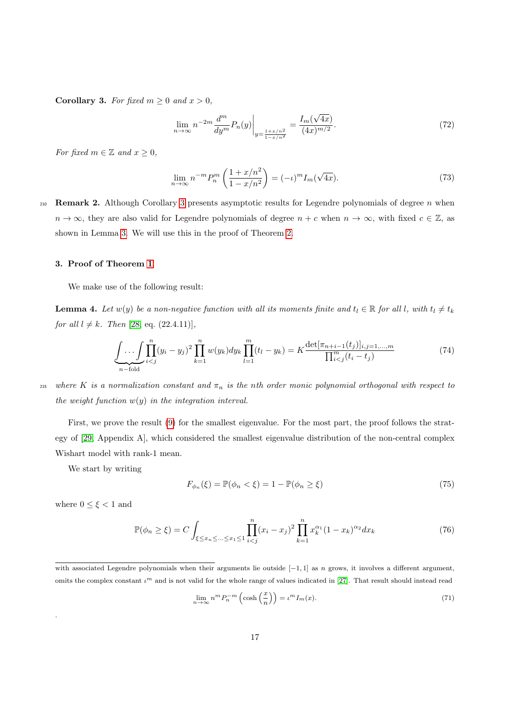Corollary 3. For fixed  $m \geq 0$  and  $x > 0$ ,

$$
\lim_{n \to \infty} n^{-2m} \frac{d^m}{dy^m} P_n(y) \Big|_{y = \frac{1+x/n^2}{1-x/n^2}} = \frac{I_m(\sqrt{4x})}{(4x)^{m/2}}.
$$
\n(72)

For fixed  $m \in \mathbb{Z}$  and  $x \geq 0$ ,

<span id="page-16-0"></span>
$$
\lim_{n \to \infty} n^{-m} P_n^m \left( \frac{1 + x/n^2}{1 - x/n^2} \right) = (-\iota)^m I_m(\sqrt{4x}). \tag{73}
$$

<span id="page-16-4"></span>210 Remark 2. Although Corollary [3](#page-15-3) presents asymptotic results for Legendre polynomials of degree n when  $n \to \infty$ , they are also valid for Legendre polynomials of degree  $n + c$  when  $n \to \infty$ , with fixed  $c \in \mathbb{Z}$ , as shown in Lemma [3.](#page-13-3) We will use this in the proof of Theorem [2.](#page-7-0)

#### 3. Proof of Theorem [1](#page-4-3)

<span id="page-16-2"></span>We make use of the following result:

**Lemma 4.** Let  $w(y)$  be a non-negative function with all its moments finite and  $t_l \in \mathbb{R}$  for all l, with  $t_l \neq t_k$ for all  $l \neq k$ . Then [\[28,](#page-39-19) eq. (22.4.11)],

<span id="page-16-1"></span>
$$
\underbrace{\int \ldots \int}_{n-\text{fold}} \prod_{i(74)
$$

215 where K is a normalization constant and  $\pi_n$  is the nth order monic polynomial orthogonal with respect to the weight function  $w(y)$  in the integration interval.

First, we prove the result [\(9\)](#page-4-6) for the smallest eigenvalue. For the most part, the proof follows the strategy of [\[29,](#page-39-20) Appendix A], which considered the smallest eigenvalue distribution of the non-central complex Wishart model with rank-1 mean.

We start by writing

<span id="page-16-3"></span>
$$
F_{\phi_n}(\xi) = \mathbb{P}(\phi_n < \xi) = 1 - \mathbb{P}(\phi_n \ge \xi) \tag{75}
$$

where  $0 \leq \xi < 1$  and

.

$$
\mathbb{P}(\phi_n \ge \xi) = C \int_{\xi \le x_n \le \dots \le x_1 \le 1} \prod_{i < j}^n (x_i - x_j)^2 \prod_{k=1}^n x_k^{\alpha_1} (1 - x_k)^{\alpha_2} dx_k \tag{76}
$$

$$
\lim_{n \to \infty} n^m P_n^{-m} \left( \cosh\left(\frac{x}{n}\right) \right) = \iota^m I_m(x). \tag{71}
$$

with associated Legendre polynomials when their arguments lie outside  $[-1, 1]$  as n grows, it involves a different argument, omits the complex constant  $\iota^m$  and is not valid for the whole range of values indicated in [\[27\]](#page-39-18). That result should instead read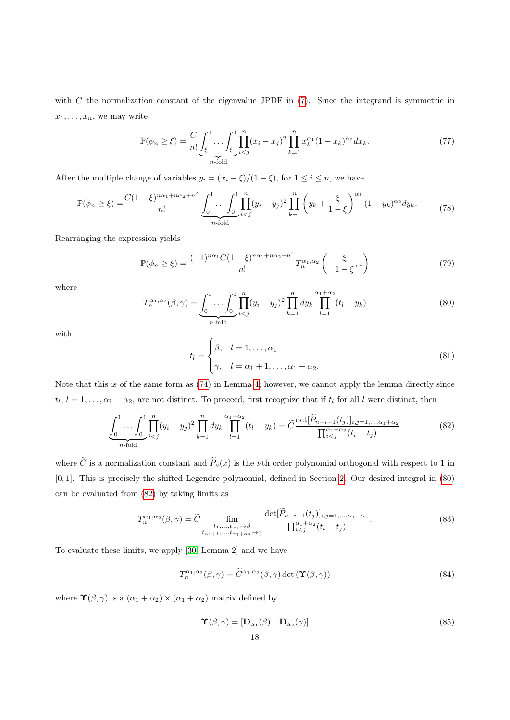with  $C$  the normalization constant of the eigenvalue JPDF in  $(7)$ . Since the integrand is symmetric in  $x_1, \ldots, x_n$ , we may write

$$
\mathbb{P}(\phi_n \ge \xi) = \frac{C}{n!} \underbrace{\int_{\xi}^1 \dots \int_{\xi}^1 \prod_{i < j}^n (x_i - x_j)^2 \prod_{k=1}^n x_k^{\alpha_1} (1 - x_k)^{\alpha_2} dx_k}_{n \text{-fold}}.
$$
\n
$$
(77)
$$

After the multiple change of variables  $y_i = (x_i - \xi)/(1 - \xi)$ , for  $1 \le i \le n$ , we have

$$
\mathbb{P}(\phi_n \ge \xi) = \frac{C(1-\xi)^{n\alpha_1+n\alpha_2+n^2}}{n!} \underbrace{\int_0^1 \dots \int_0^1 \prod_{i
$$

Rearranging the expression yields

<span id="page-17-3"></span>
$$
\mathbb{P}(\phi_n \ge \xi) = \frac{(-1)^{n\alpha_1} C (1-\xi)^{n\alpha_1 + n\alpha_2 + n^2}}{n!} T_n^{\alpha_1, \alpha_2} \left( -\frac{\xi}{1-\xi}, 1 \right)
$$
(79)

<span id="page-17-0"></span>where

$$
T_n^{\alpha_1, \alpha_2}(\beta, \gamma) = \underbrace{\int_0^1 \dots \int_0^1 \prod_{i < j}^n (y_i - y_j)^2 \prod_{k=1}^n dy_k}_{n \text{-fold}} dy_k \prod_{l=1}^{\alpha_1 + \alpha_2} (t_l - y_k) \tag{80}
$$

with

<span id="page-17-1"></span>
$$
t_l = \begin{cases} \beta, & l = 1, \dots, \alpha_1 \\ \gamma, & l = \alpha_1 + 1, \dots, \alpha_1 + \alpha_2. \end{cases}
$$
 (81)

Note that this is of the same form as [\(74\)](#page-16-1) in Lemma [4;](#page-16-2) however, we cannot apply the lemma directly since  $t_l, l = 1, \ldots, \alpha_1 + \alpha_2$ , are not distinct. To proceed, first recognize that if  $t_l$  for all l were distinct, then

$$
\underbrace{\int_{0}^{1} \dots \int_{0}^{1} \prod_{i(82)
$$

where  $\tilde{C}$  is a normalization constant and  $\tilde{P}_{\nu}(x)$  is the *v*th order polynomial orthogonal with respect to 1 in [0, 1]. This is precisely the shifted Legendre polynomial, defined in Section [2.](#page-10-1) Our desired integral in [\(80\)](#page-17-0) can be evaluated from [\(82\)](#page-17-1) by taking limits as

$$
T_n^{\alpha_1,\alpha_2}(\beta,\gamma) = \widetilde{C} \lim_{\substack{t_1,\ldots,t_{\alpha_1}\to\beta\\t_{\alpha_1+1},\ldots,t_{\alpha_1+\alpha_2}\to\gamma}} \frac{\det[P_{n+i-1}(t_j)]_{i,j=1,\ldots,\alpha_1+\alpha_2}}{\prod_{i(83)
$$

To evaluate these limits, we apply [\[30,](#page-39-21) Lemma 2] and we have

<span id="page-17-2"></span>
$$
T_n^{\alpha_1,\alpha_2}(\beta,\gamma) = \tilde{C}^{\alpha_1,\alpha_2}(\beta,\gamma) \det(\mathbf{T}(\beta,\gamma))
$$
\n(84)

where  $\Upsilon(\beta, \gamma)$  is a  $(\alpha_1 + \alpha_2) \times (\alpha_1 + \alpha_2)$  matrix defined by

$$
\mathbf{\hat{Y}}(\beta,\gamma) = [\mathbf{D}_{\alpha_1}(\beta) \quad \mathbf{D}_{\alpha_2}(\gamma)] \tag{85}
$$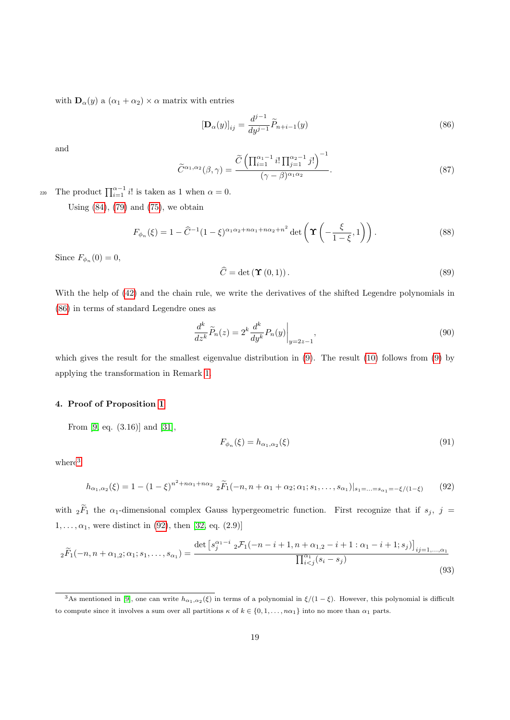with  $\mathbf{D}_{\alpha}(y)$  a  $(\alpha_1 + \alpha_2) \times \alpha$  matrix with entries

<span id="page-18-0"></span>
$$
[\mathbf{D}_{\alpha}(y)]_{ij} = \frac{d^{j-1}}{dy^{j-1}} \widetilde{P}_{n+i-1}(y)
$$
\n(86)

and

$$
\widetilde{C}^{\alpha_1,\alpha_2}(\beta,\gamma) = \frac{\widetilde{C}\left(\prod_{i=1}^{\alpha_1-1} i! \prod_{j=1}^{\alpha_2-1} j! \right)^{-1}}{(\gamma-\beta)^{\alpha_1\alpha_2}}.
$$
\n(87)

220 The product  $\prod_{i=1}^{\alpha-1} i!$  is taken as 1 when  $\alpha = 0$ .

Using  $(84)$ ,  $(79)$  and  $(75)$ , we obtain

$$
F_{\phi_n}(\xi) = 1 - \widehat{C}^{-1} (1 - \xi)^{\alpha_1 \alpha_2 + n\alpha_1 + n\alpha_2 + n^2} \det \left( \Upsilon \left( -\frac{\xi}{1 - \xi}, 1 \right) \right). \tag{88}
$$

Since  $F_{\phi_n}(0) = 0$ ,

$$
\widehat{C} = \det\left(\mathbf{\Upsilon}\left(0,1\right)\right). \tag{89}
$$

With the help of [\(42\)](#page-12-9) and the chain rule, we write the derivatives of the shifted Legendre polynomials in [\(86\)](#page-18-0) in terms of standard Legendre ones as

$$
\frac{d^k}{dz^k}\widetilde{P}_n(z) = 2^k \frac{d^k}{dy^k} P_n(y) \Big|_{y=2z-1},\tag{90}
$$

which gives the result for the smallest eigenvalue distribution in [\(9\)](#page-4-6). The result [\(10\)](#page-5-5) follows from (9) by applying the transformation in Remark [1.](#page-4-5)

# 4. Proof of Proposition [1](#page-6-1)

From [\[9,](#page-39-0) eq. (3.16)] and [\[31\]](#page-39-22),

<span id="page-18-3"></span>
$$
F_{\phi_n}(\xi) = h_{\alpha_1, \alpha_2}(\xi) \tag{91}
$$

<span id="page-18-2"></span>where<sup>[3](#page-18-1)</sup>

$$
h_{\alpha_1,\alpha_2}(\xi) = 1 - (1 - \xi)^{n^2 + n\alpha_1 + n\alpha_2} \, {}_2\widetilde{F}_1(-n, n + \alpha_1 + \alpha_2; \alpha_1; s_1, \dots, s_{\alpha_1})|_{s_1 = \dots = s_{\alpha_1} = -\xi/(1-\xi)} \tag{92}
$$

with  $2\widetilde{F}_1$  the  $\alpha_1$ -dimensional complex Gauss hypergeometric function. First recognize that if  $s_j$ ,  $j =$  $1, \ldots, \alpha_1$ , were distinct in [\(92\)](#page-18-2), then [\[32,](#page-39-23) eq. (2.9)]

$$
{}_{2}\widetilde{F}_{1}(-n,n+\alpha_{1,2};\alpha_{1};s_{1},\ldots,s_{\alpha_{1}}) = \frac{\det\left[s_{j}^{\alpha_{1}-i} \ {}_{2}\mathcal{F}_{1}(-n-i+1,n+\alpha_{1,2}-i+1:\alpha_{1}-i+1;s_{j})\right]_{ij=1,\ldots,\alpha_{1}}}{\prod_{i(93)
$$

<span id="page-18-1"></span><sup>&</sup>lt;sup>3</sup>As mentioned in [\[9\]](#page-39-0), one can write  $h_{\alpha_1,\alpha_2}(\xi)$  in terms of a polynomial in  $\xi/(1-\xi)$ . However, this polynomial is difficult to compute since it involves a sum over all partitions  $\kappa$  of  $k \in \{0, 1, \ldots, n\alpha_1\}$  into no more than  $\alpha_1$  parts.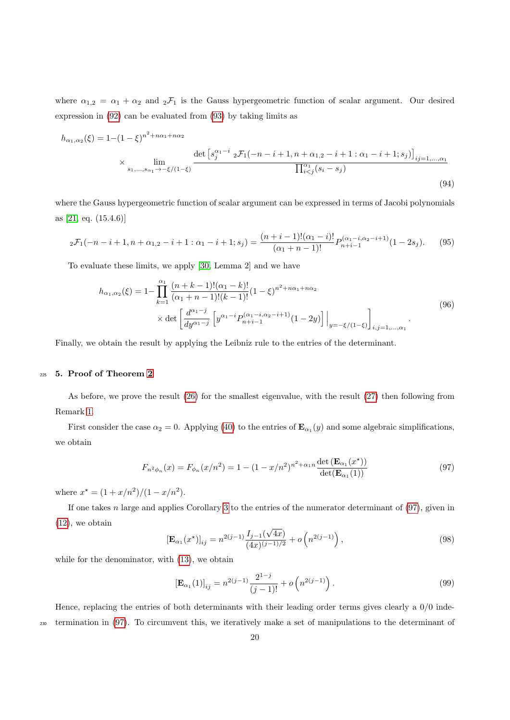where  $\alpha_{1,2} = \alpha_1 + \alpha_2$  and  ${}_2\mathcal{F}_1$  is the Gauss hypergeometric function of scalar argument. Our desired expression in [\(92\)](#page-18-2) can be evaluated from [\(93\)](#page-18-3) by taking limits as

$$
h_{\alpha_1,\alpha_2}(\xi) = 1 - (1 - \xi)^{n^2 + n\alpha_1 + n\alpha_2}
$$
  
 
$$
\times \lim_{s_1, ..., s_{\alpha_1} \to -\xi/(1 - \xi)} \frac{\det \left[ s_j^{\alpha_1 - i} \, _2\mathcal{F}_1(-n - i + 1, n + \alpha_{1,2} - i + 1 : \alpha_1 - i + 1; s_j) \right]_{ij=1,...,\alpha_1}}{\prod_{i < j}^{\alpha_1} (s_i - s_j)}
$$
\n(94)

where the Gauss hypergeometric function of scalar argument can be expressed in terms of Jacobi polynomials as [\[21,](#page-39-12) eq. (15.4.6)]

$$
{}_2\mathcal{F}_1(-n-i+1,n+\alpha_{1,2}-i+1:\alpha_1-i+1;s_j) = \frac{(n+i-1)!(\alpha_1-i)!}{(\alpha_1+n-1)!}P_{n+i-1}^{(\alpha_1-i,\alpha_2-i+1)}(1-2s_j). \tag{95}
$$

To evaluate these limits, we apply [\[30,](#page-39-21) Lemma 2] and we have

$$
h_{\alpha_1,\alpha_2}(\xi) = 1 - \prod_{k=1}^{\alpha_1} \frac{(n+k-1)!(\alpha_1-k)!}{(\alpha_1+n-1)!(k-1)!} (1-\xi)^{n^2+n\alpha_1+n\alpha_2}
$$
  
 
$$
\times \det \left[ \frac{d^{\alpha_1-j}}{dy^{\alpha_1-j}} \left[ y^{\alpha_1-i} P_{n+i-1}^{(\alpha_1-i,\alpha_2-i+1)}(1-2y) \right] \Big|_{y=-\xi/(1-\xi)} \right]_{i,j=1,\dots,\alpha_1}.
$$
 (96)

Finally, we obtain the result by applying the Leibniz rule to the entries of the determinant.

## <sup>225</sup> 5. Proof of Theorem [2](#page-7-0)

As before, we prove the result [\(26\)](#page-7-2) for the smallest eigenvalue, with the result [\(27\)](#page-7-3) then following from Remark [1.](#page-4-5)

<span id="page-19-0"></span>First consider the case  $\alpha_2 = 0$ . Applying [\(40\)](#page-12-8) to the entries of  $\mathbf{E}_{\alpha_1}(y)$  and some algebraic simplifications, we obtain

$$
F_{n^2 \phi_n}(x) = F_{\phi_n}(x/n^2) = 1 - (1 - x/n^2)^{n^2 + \alpha_1 n} \frac{\det(\mathbf{E}_{\alpha_1}(x^*))}{\det(\mathbf{E}_{\alpha_1}(1))}
$$
(97)

where  $x^* = (1 + x/n^2)/(1 - x/n^2)$ .

If one takes  $n$  large and applies Corollary [3](#page-15-3) to the entries of the numerator determinant of  $(97)$ , given in [\(12\)](#page-5-0), we obtain

$$
\left[\mathbf{E}_{\alpha_1}(x^*)\right]_{ij} = n^{2(j-1)} \frac{I_{j-1}(\sqrt{4x})}{(4x)^{(j-1)/2}} + o\left(n^{2(j-1)}\right),\tag{98}
$$

while for the denominator, with [\(13\)](#page-5-6), we obtain

$$
\left[\mathbf{E}_{\alpha_1}(1)\right]_{ij} = n^{2(j-1)} \frac{2^{1-j}}{(j-1)!} + o\left(n^{2(j-1)}\right). \tag{99}
$$

Hence, replacing the entries of both determinants with their leading order terms gives clearly a  $0/0$  inde-<sup>230</sup> termination in [\(97\)](#page-19-0). To circumvent this, we iteratively make a set of manipulations to the determinant of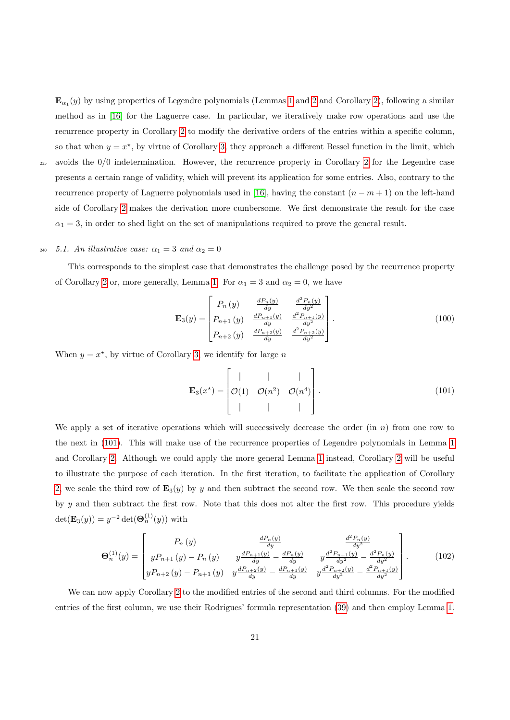$\mathbf{E}_{\alpha_1}(y)$  by using properties of Legendre polynomials (Lemmas [1](#page-12-5) and [2](#page-13-4) and Corollary [2\)](#page-12-7), following a similar method as in [\[16\]](#page-39-7) for the Laguerre case. In particular, we iteratively make row operations and use the recurrence property in Corollary [2](#page-12-7) to modify the derivative orders of the entries within a specific column, so that when  $y = x^*$ , by virtue of Corollary [3,](#page-15-3) they approach a different Bessel function in the limit, which <sup>235</sup> avoids the 0/0 indetermination. However, the recurrence property in Corollary [2](#page-12-7) for the Legendre case

presents a certain range of validity, which will prevent its application for some entries. Also, contrary to the recurrence property of Laguerre polynomials used in [\[16\]](#page-39-7), having the constant  $(n - m + 1)$  on the left-hand side of Corollary [2](#page-12-7) makes the derivation more cumbersome. We first demonstrate the result for the case  $\alpha_1 = 3$ , in order to shed light on the set of manipulations required to prove the general result.

# <span id="page-20-0"></span>240 5.1. An illustrative case:  $\alpha_1 = 3$  and  $\alpha_2 = 0$

This corresponds to the simplest case that demonstrates the challenge posed by the recurrence property of Corollary [2](#page-12-7) or, more generally, Lemma [1.](#page-12-5) For  $\alpha_1 = 3$  and  $\alpha_2 = 0$ , we have

$$
\mathbf{E}_{3}(y) = \begin{bmatrix} P_{n}(y) & \frac{dP_{n}(y)}{dy} & \frac{d^{2}P_{n}(y)}{dy^{2}} \\ P_{n+1}(y) & \frac{dP_{n+1}(y)}{dy} & \frac{d^{2}P_{n+1}(y)}{dy^{2}} \\ P_{n+2}(y) & \frac{dP_{n+2}(y)}{dy} & \frac{d^{2}P_{n+2}(y)}{dy^{2}} \end{bmatrix}.
$$
 (100)

When  $y = x^*$ , by virtue of Corollary [3,](#page-15-3) we identify for large n

<span id="page-20-1"></span>
$$
\mathbf{E}_3(x^*) = \begin{bmatrix} | & | & | & | \\ \mathcal{O}(1) & \mathcal{O}(n^2) & \mathcal{O}(n^4) \\ | & | & | & | \end{bmatrix}.
$$
 (101)

We apply a set of iterative operations which will successively decrease the order (in  $n$ ) from one row to the next in [\(101\)](#page-20-1). This will make use of the recurrence properties of Legendre polynomials in Lemma [1](#page-12-5) and Corollary [2.](#page-12-7) Although we could apply the more general Lemma [1](#page-12-5) instead, Corollary [2](#page-12-7) will be useful to illustrate the purpose of each iteration. In the first iteration, to facilitate the application of Corollary [2,](#page-12-7) we scale the third row of  $\mathbf{E}_3(y)$  by y and then subtract the second row. We then scale the second row by y and then subtract the first row. Note that this does not alter the first row. This procedure yields  $\det(\mathbf{E}_3(y)) = y^{-2} \det(\mathbf{\Theta}_n^{(1)}(y))$  with

$$
\Theta_{n}^{(1)}(y) = \begin{bmatrix} P_{n}(y) & \frac{dP_{n}(y)}{dy} & \frac{d^{2}P_{n}(y)}{dy^{2}} \\ yP_{n+1}(y) - P_{n}(y) & y\frac{dP_{n+1}(y)}{dy} - \frac{dP_{n}(y)}{dy} & y\frac{d^{2}P_{n+1}(y)}{dy^{2}} - \frac{d^{2}P_{n}(y)}{dy^{2}} \\ yP_{n+2}(y) - P_{n+1}(y) & y\frac{dP_{n+2}(y)}{dy} - \frac{dP_{n+1}(y)}{dy} & y\frac{d^{2}P_{n+2}(y)}{dy^{2}} - \frac{d^{2}P_{n+1}(y)}{dy^{2}} \end{bmatrix}.
$$
 (102)

We can now apply Corollary [2](#page-12-7) to the modified entries of the second and third columns. For the modified entries of the first column, we use their Rodrigues' formula representation [\(39\)](#page-12-6) and then employ Lemma [1.](#page-12-5)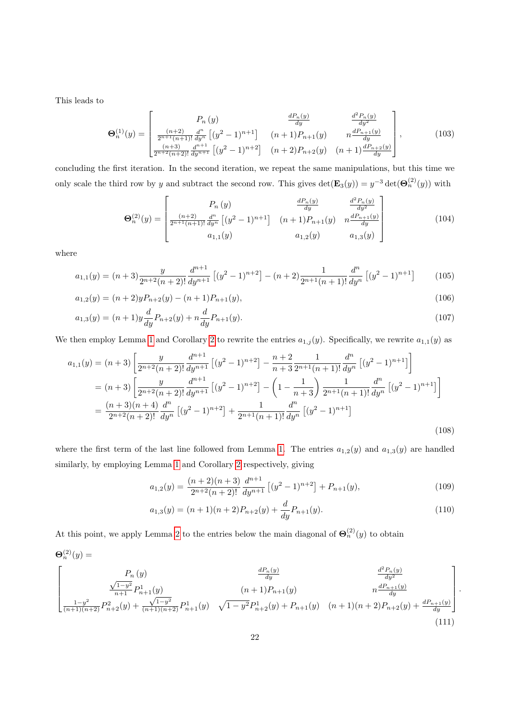This leads to

$$
\Theta_n^{(1)}(y) = \begin{bmatrix} P_n(y) & \frac{dP_n(y)}{dy} & \frac{d^2P_n(y)}{dy^2} \\ \frac{(n+2)}{2^{n+1}(n+1)!} \frac{d^n}{dy^n} \left[ (y^2 - 1)^{n+1} \right] & (n+1)P_{n+1}(y) & n\frac{dP_{n+1}(y)}{dy} \\ \frac{(n+3)}{2^{n+2}(n+2)!} \frac{d^{n+1}}{dy^{n+1}} \left[ (y^2 - 1)^{n+2} \right] & (n+2)P_{n+2}(y) & (n+1)\frac{dP_{n+2}(y)}{dy} \end{bmatrix},
$$
(103)

concluding the first iteration. In the second iteration, we repeat the same manipulations, but this time we only scale the third row by y and subtract the second row. This gives  $\det(\mathbf{E}_3(y)) = y^{-3} \det(\mathbf{\Theta}_n^{(2)}(y))$  with

$$
\Theta_n^{(2)}(y) = \begin{bmatrix} P_n(y) & \frac{dP_n(y)}{dy} & \frac{d^2P_n(y)}{dy^2} \\ \frac{(n+2)}{2^{n+1}(n+1)!} \frac{d^n}{dy^n} \left[ (y^2 - 1)^{n+1} \right] & (n+1)P_{n+1}(y) & n\frac{dP_{n+1}(y)}{dy} \\ a_{1,1}(y) & a_{1,2}(y) & a_{1,3}(y) \end{bmatrix}
$$
(104)

where

$$
a_{1,1}(y) = (n+3)\frac{y}{2^{n+2}(n+2)!} \frac{d^{n+1}}{dy^{n+1}} \left[ (y^2 - 1)^{n+2} \right] - (n+2)\frac{1}{2^{n+1}(n+1)!} \frac{d^n}{dy^n} \left[ (y^2 - 1)^{n+1} \right] \tag{105}
$$

$$
a_{1,2}(y) = (n+2)yP_{n+2}(y) - (n+1)P_{n+1}(y),
$$
\n(106)

$$
a_{1,3}(y) = (n+1)y\frac{d}{dy}P_{n+2}(y) + n\frac{d}{dy}P_{n+1}(y).
$$
\n(107)

We then employ Lemma [1](#page-12-5) and Corollary [2](#page-12-7) to rewrite the entries  $a_{1,j}(y)$ . Specifically, we rewrite  $a_{1,1}(y)$  as

$$
a_{1,1}(y) = (n+3) \left[ \frac{y}{2^{n+2}(n+2)!} \frac{d^{n+1}}{dy^{n+1}} \left[ (y^2 - 1)^{n+2} \right] - \frac{n+2}{n+3} \frac{1}{2^{n+1}(n+1)!} \frac{d^n}{dy^n} \left[ (y^2 - 1)^{n+1} \right] \right]
$$
  
\n
$$
= (n+3) \left[ \frac{y}{2^{n+2}(n+2)!} \frac{d^{n+1}}{dy^{n+1}} \left[ (y^2 - 1)^{n+2} \right] - \left( 1 - \frac{1}{n+3} \right) \frac{1}{2^{n+1}(n+1)!} \frac{d^n}{dy^n} \left[ (y^2 - 1)^{n+1} \right] \right]
$$
  
\n
$$
= \frac{(n+3)(n+4)}{2^{n+2}(n+2)!} \frac{d^n}{dy^n} \left[ (y^2 - 1)^{n+2} \right] + \frac{1}{2^{n+1}(n+1)!} \frac{d^n}{dy^n} \left[ (y^2 - 1)^{n+1} \right]
$$
  
\n(108)

where the first term of the last line followed from Lemma [1.](#page-12-5) The entries  $a_{1,2}(y)$  and  $a_{1,3}(y)$  are handled similarly, by employing Lemma [1](#page-12-5) and Corollary [2](#page-12-7) respectively, giving

$$
a_{1,2}(y) = \frac{(n+2)(n+3)}{2^{n+2}(n+2)!} \frac{d^{n+1}}{dy^{n+1}} \left[ (y^2 - 1)^{n+2} \right] + P_{n+1}(y),\tag{109}
$$

$$
a_{1,3}(y) = (n+1)(n+2)P_{n+2}(y) + \frac{d}{dy}P_{n+1}(y).
$$
\n(110)

At this point, we apply Lemma [2](#page-13-4) to the entries below the main diagonal of  $\Theta_n^{(2)}(y)$  to obtain

$$
\Theta_n^{(2)}(y) = \n\begin{bmatrix}\nP_n(y) & \frac{dP_n(y)}{dy} & \frac{d^2P_n(y)}{dy^2} \\
\frac{\sqrt{1-y^2}}{n+1}P_{n+1}^1(y) & (n+1)P_{n+1}(y) & n\frac{dP_{n+1}(y)}{dy} \\
\frac{1-y^2}{(n+1)(n+2)}P_{n+2}^2(y) + \frac{\sqrt{1-y^2}}{(n+1)(n+2)}P_{n+1}^1(y) & \sqrt{1-y^2}P_{n+2}^1(y) + P_{n+1}(y) & (n+1)(n+2)P_{n+2}(y) + \frac{dP_{n+1}(y)}{dy}\n\end{bmatrix}.
$$
\n(111)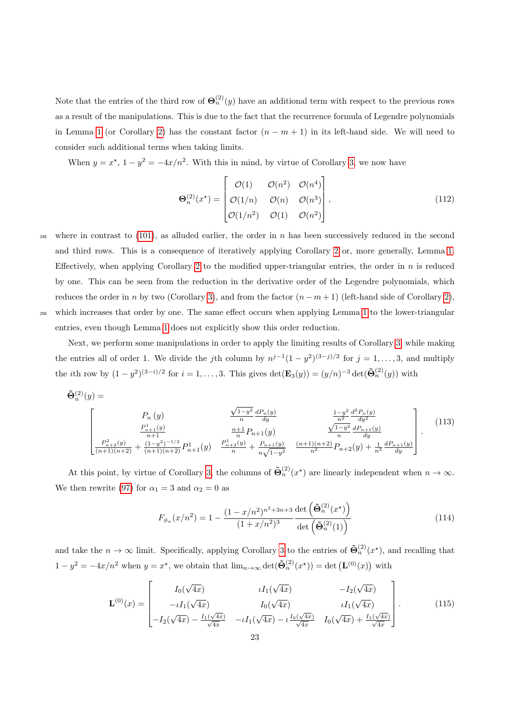Note that the entries of the third row of  $\Theta_n^{(2)}(y)$  have an additional term with respect to the previous rows as a result of the manipulations. This is due to the fact that the recurrence formula of Legendre polynomials in Lemma [1](#page-12-5) (or Corollary [2\)](#page-12-7) has the constant factor  $(n - m + 1)$  in its left-hand side. We will need to consider such additional terms when taking limits.

When  $y = x^*$ ,  $1 - y^2 = -4x/n^2$ . With this in mind, by virtue of Corollary [3,](#page-15-3) we now have

<span id="page-22-1"></span>
$$
\mathbf{\Theta}_{n}^{(2)}(x^{\star}) = \begin{bmatrix} \mathcal{O}(1) & \mathcal{O}(n^{2}) & \mathcal{O}(n^{4}) \\ \mathcal{O}(1/n) & \mathcal{O}(n) & \mathcal{O}(n^{3}) \\ \mathcal{O}(1/n^{2}) & \mathcal{O}(1) & \mathcal{O}(n^{2}) \end{bmatrix},
$$
\n(112)

<sup>245</sup> where in contrast to [\(101\)](#page-20-1), as alluded earlier, the order in n has been successively reduced in the second and third rows. This is a consequence of iteratively applying Corollary [2](#page-12-7) or, more generally, Lemma [1.](#page-12-5) Effectively, when applying Corollary [2](#page-12-7) to the modified upper-triangular entries, the order in  $n$  is reduced by one. This can be seen from the reduction in the derivative order of the Legendre polynomials, which reduces the order in n by two (Corollary [3\)](#page-15-3), and from the factor  $(n - m + 1)$  (left-hand side of Corollary [2\)](#page-12-7), <sup>250</sup> which increases that order by one. The same effect occurs when applying Lemma [1](#page-12-5) to the lower-triangular entries, even though Lemma [1](#page-12-5) does not explicitly show this order reduction.

Next, we perform some manipulations in order to apply the limiting results of Corollary [3,](#page-15-3) while making the entries all of order 1. We divide the jth column by  $n^{j-1}(1-y^2)^{(3-j)/2}$  for  $j=1,\ldots,3$ , and multiply the *i*th row by  $(1-y^2)^{(3-i)/2}$  for  $i=1,\ldots,3$ . This gives  $\det(\mathbf{E}_3(y)) = (y/n)^{-3} \det(\tilde{\mathbf{\Theta}}_n^{(2)}(y))$  with

$$
\tilde{\Theta}_{n}^{(2)}(y) = \n\begin{bmatrix}\nP_n(y) & \frac{\sqrt{1-y^2}}{n} \frac{dP_n(y)}{dy} & \frac{1-y^2}{n^2} \frac{d^2P_n(y)}{dy^2} \\
\frac{P_{n+1}^1(y)}{n+1} & \frac{n+1}{n} P_{n+1}(y) & \frac{\sqrt{1-y^2}}{n} \frac{d^2P_{n+1}(y)}{dy} \\
\frac{P_{n+2}^2(y)}{(n+1)(n+2)} + \frac{(1-y^2)^{-1/2}}{(n+1)(n+2)} P_{n+1}(y) & \frac{P_{n+2}^1(y)}{n} + \frac{P_{n+1}(y)}{n\sqrt{1-y^2}} & \frac{(n+1)(n+2)}{n^2} P_{n+2}(y) + \frac{1}{n^2} \frac{dP_{n+1}(y)}{dy}\n\end{bmatrix}.\n\tag{113}
$$

At this point, by virtue of Corollary [3,](#page-15-3) the columns of  $\tilde{\Theta}_n^{(2)}(x^*)$  are linearly independent when  $n \to \infty$ . We then rewrite [\(97\)](#page-19-0) for  $\alpha_1 = 3$  and  $\alpha_2 = 0$  as

<span id="page-22-0"></span>
$$
F_{\phi_n}(x/n^2) = 1 - \frac{(1 - x/n^2)^{n^2 + 3n + 3}}{(1 + x/n^2)^3} \frac{\det\left(\tilde{\Theta}_n^{(2)}(x^{\star})\right)}{\det\left(\tilde{\Theta}_n^{(2)}(1)\right)}
$$
(114)

and take the  $n \to \infty$  limit. Specifically, applying Corollary [3](#page-15-3) to the entries of  $\tilde{\Theta}_n^{(2)}(x^*)$ , and recalling that  $1 - y^2 = -4x/n^2$  when  $y = x^*$ , we obtain that  $\lim_{n \to \infty} \det(\tilde{\Theta}_n^{(2)}(x^*)) = \det(\mathbf{L}^{(0)}(x))$  with

$$
\mathbf{L}^{(0)}(x) = \begin{bmatrix} I_0(\sqrt{4x}) & \iota I_1(\sqrt{4x}) & -I_2(\sqrt{4x}) \\ -\iota I_1(\sqrt{4x}) & I_0(\sqrt{4x}) & \iota I_1(\sqrt{4x}) \\ -I_2(\sqrt{4x}) - \frac{I_1(\sqrt{4x})}{\sqrt{4x}} & -\iota I_1(\sqrt{4x}) - \iota \frac{I_0(\sqrt{4x})}{\sqrt{4x}} & I_0(\sqrt{4x}) + \frac{I_1(\sqrt{4x})}{\sqrt{4x}} \end{bmatrix} . \tag{115}
$$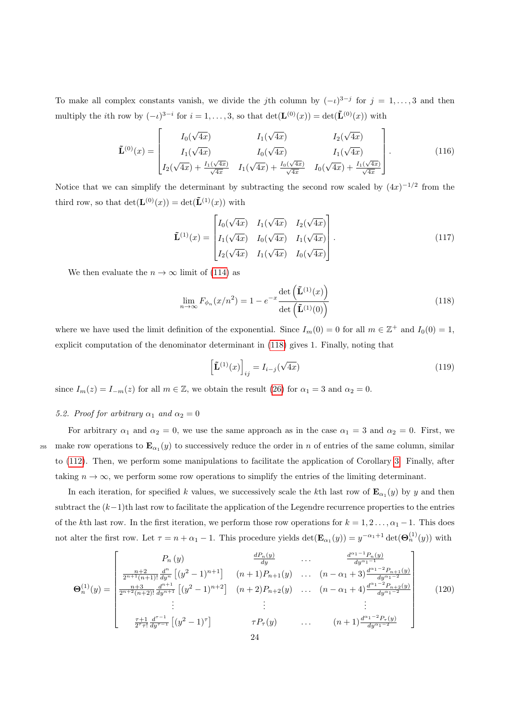To make all complex constants vanish, we divide the jth column by  $(-i)^{3-j}$  for  $j = 1, ..., 3$  and then multiply the *i*th row by  $(-i)^{3-i}$  for  $i = 1, ..., 3$ , so that  $\det(\mathbf{L}^{(0)}(x)) = \det(\mathbf{L}^{(0)}(x))$  with

$$
\tilde{\mathbf{L}}^{(0)}(x) = \begin{bmatrix} I_0(\sqrt{4x}) & I_1(\sqrt{4x}) & I_2(\sqrt{4x}) \\ I_1(\sqrt{4x}) & I_0(\sqrt{4x}) & I_1(\sqrt{4x}) \\ I_2(\sqrt{4x}) + \frac{I_1(\sqrt{4x})}{\sqrt{4x}} & I_1(\sqrt{4x}) + \frac{I_0(\sqrt{4x})}{\sqrt{4x}} & I_0(\sqrt{4x}) + \frac{I_1(\sqrt{4x})}{\sqrt{4x}} \end{bmatrix}.
$$
\n(116)

Notice that we can simplify the determinant by subtracting the second row scaled by  $(4x)^{-1/2}$  from the third row, so that  $\det(\mathbf{L}^{(0)}(x)) = \det(\tilde{\mathbf{L}}^{(1)}(x))$  with

$$
\tilde{\mathbf{L}}^{(1)}(x) = \begin{bmatrix} I_0(\sqrt{4x}) & I_1(\sqrt{4x}) & I_2(\sqrt{4x}) \\ I_1(\sqrt{4x}) & I_0(\sqrt{4x}) & I_1(\sqrt{4x}) \\ I_2(\sqrt{4x}) & I_1(\sqrt{4x}) & I_0(\sqrt{4x}) \end{bmatrix} .
$$
\n(117)

We then evaluate the  $n \to \infty$  limit of [\(114\)](#page-22-0) as

<span id="page-23-0"></span>
$$
\lim_{n \to \infty} F_{\phi_n}(x/n^2) = 1 - e^{-x} \frac{\det\left(\tilde{\mathbf{L}}^{(1)}(x)\right)}{\det\left(\tilde{\mathbf{L}}^{(1)}(0)\right)}
$$
(118)

where we have used the limit definition of the exponential. Since  $I_m(0) = 0$  for all  $m \in \mathbb{Z}^+$  and  $I_0(0) = 1$ , explicit computation of the denominator determinant in [\(118\)](#page-23-0) gives 1. Finally, noting that

$$
\left[\tilde{\mathbf{L}}^{(1)}(x)\right]_{ij} = I_{i-j}(\sqrt{4x})\tag{119}
$$

since  $I_m(z) = I_{-m}(z)$  for all  $m \in \mathbb{Z}$ , we obtain the result [\(26\)](#page-7-2) for  $\alpha_1 = 3$  and  $\alpha_2 = 0$ .

## 5.2. Proof for arbitrary  $\alpha_1$  and  $\alpha_2 = 0$

For arbitrary  $\alpha_1$  and  $\alpha_2 = 0$ , we use the same approach as in the case  $\alpha_1 = 3$  and  $\alpha_2 = 0$ . First, we <sup>255</sup> make row operations to  $\mathbf{E}_{\alpha_1}(y)$  to successively reduce the order in n of entries of the same column, similar to [\(112\)](#page-22-1). Then, we perform some manipulations to facilitate the application of Corollary [3.](#page-15-3) Finally, after taking  $n \to \infty$ , we perform some row operations to simplify the entries of the limiting determinant.

In each iteration, for specified k values, we successively scale the k<sup>th</sup> last row of  $\mathbf{E}_{\alpha_1}(y)$  by y and then subtract the  $(k-1)$ th last row to facilitate the application of the Legendre recurrence properties to the entries of the kth last row. In the first iteration, we perform those row operations for  $k = 1, 2, ..., \alpha_1 - 1$ . This does not alter the first row. Let  $\tau = n + \alpha_1 - 1$ . This procedure yields  $\det(\mathbf{E}_{\alpha_1}(y)) = y^{-\alpha_1+1} \det(\mathbf{\Theta}_n^{(1)}(y))$  with

$$
\mathbf{\Theta}_{n}^{(1)}(y) = \begin{bmatrix} P_{n}(y) & \frac{dP_{n}(y)}{dy} & \cdots & \frac{d^{\alpha_{1}-1}P_{n}(y)}{dy^{\alpha_{1}-1}} \\ \frac{n+2}{2^{n+1}(n+1)!} \frac{d^{n}}{dy^{n}} \left[ (y^{2}-1)^{n+1} \right] & (n+1)P_{n+1}(y) & \cdots & (n-\alpha_{1}+3) \frac{d^{\alpha_{1}-2}P_{n+1}(y)}{dy^{\alpha_{1}-2}} \\ \frac{n+3}{2^{n+2}(n+2)!} \frac{d^{n+1}}{dy^{n+1}} \left[ (y^{2}-1)^{n+2} \right] & (n+2)P_{n+2}(y) & \cdots & (n-\alpha_{1}+4) \frac{d^{\alpha_{1}-2}P_{n+2}(y)}{dy^{\alpha_{1}-2}} \\ \vdots & \vdots & \ddots & \vdots \\ \frac{\tau+1}{2^{\tau}\tau!} \frac{d^{\tau-1}}{dy^{\tau-1}} \left[ (y^{2}-1)^{\tau} \right] & \tau P_{\tau}(y) & \cdots & (n+1) \frac{d^{\alpha_{1}-2}P_{\tau}(y)}{dy^{\alpha_{1}-2}} \end{bmatrix}
$$
(120)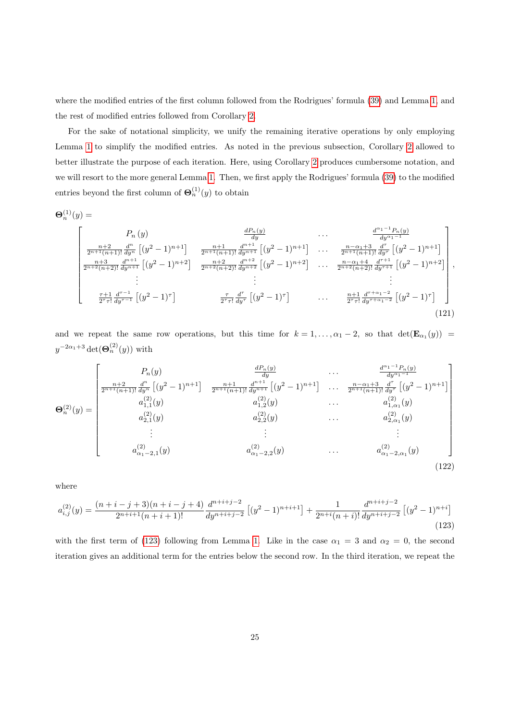where the modified entries of the first column followed from the Rodrigues' formula [\(39\)](#page-12-6) and Lemma [1,](#page-12-5) and the rest of modified entries followed from Corollary [2.](#page-12-7)

For the sake of notational simplicity, we unify the remaining iterative operations by only employing Lemma [1](#page-12-5) to simplify the modified entries. As noted in the previous subsection, Corollary [2](#page-12-7) allowed to better illustrate the purpose of each iteration. Here, using Corollary [2](#page-12-7) produces cumbersome notation, and we will resort to the more general Lemma [1.](#page-12-5) Then, we first apply the Rodrigues' formula [\(39\)](#page-12-6) to the modified entries beyond the first column of  $\Theta_n^{(1)}(y)$  to obtain

$$
\mathbf{\Theta}_n^{(1)}(y) =
$$

$$
\begin{bmatrix}\nP_n(y) & \frac{dP_n(y)}{dy} & \cdots & \frac{d^{\alpha_1-1}P_n(y)}{dy^{\alpha_1-1}} \\
\frac{n+2}{2^{n+1}(n+1)!} \frac{d^n}{dy^n} \left[ (y^2-1)^{n+1} \right] & \frac{n+1}{2^{n+1}(n+1)!} \frac{d^{n+1}}{dy^{n+1}} \left[ (y^2-1)^{n+1} \right] & \cdots & \frac{n-\alpha_1+3}{2^{n+1}(n+1)!} \frac{d^{\tau}}{dy^{\tau}} \left[ (y^2-1)^{n+1} \right] \\
\frac{n+3}{2^{n+2}(n+2)!} \frac{d^{n+1}}{dy^{n+1}} \left[ (y^2-1)^{n+2} \right] & \frac{n+2}{2^{n+2}(n+2)!} \frac{d^{n+2}}{dy^{n+2}} \left[ (y^2-1)^{n+2} \right] & \cdots & \frac{n-\alpha_1+4}{2^{n+2}(n+2)!} \frac{d^{\tau+1}}{dy^{\tau+1}} \left[ (y^2-1)^{n+2} \right] \\
\vdots & \vdots & \vdots \\
\frac{\tau+1}{2^{\tau}\tau!} \frac{d^{\tau-1}}{dy^{\tau-1}} \left[ (y^2-1)^{\tau} \right] & \frac{\tau}{2^{\tau}\tau!} \frac{d^{\tau}}{dy^{\tau}} \left[ (y^2-1)^{\tau} \right] & \cdots & \frac{n+1}{2^{\tau}\tau!} \frac{d^{\tau+\alpha_1-2}}{dy^{\tau+\alpha_1-2}} \left[ (y^2-1)^{\tau} \right]\n\end{bmatrix},\n\tag{121}
$$

and we repeat the same row operations, but this time for  $k = 1, ..., \alpha_1 - 2$ , so that  $\det(\mathbf{E}_{\alpha_1}(y)) =$  $y^{-2\alpha_1+3}\det(\boldsymbol{\Theta}_n^{(2)}(y))$  with

$$
\Theta_n^{(2)}(y) = \begin{bmatrix}\nP_n(y) & \frac{dP_n(y)}{dy} & \cdots & \frac{d^{\alpha_1-1}P_n(y)}{dy^{\alpha_1-1}} \\
\frac{n+2}{2^{n+1}(n+1)!} \frac{d^n}{dy^n} \left[ (y^2 - 1)^{n+1} \right] & \frac{n+1}{2^{n+1}(n+1)!} \frac{d^{n+1}}{dy^{n+1}} \left[ (y^2 - 1)^{n+1} \right] & \cdots & \frac{n-\alpha_1+3}{2^{n+1}(n+1)!} \frac{d^n}{dy^n} \left[ (y^2 - 1)^{n+1} \right] \\
a_{1,1}^{(2)}(y) & a_{1,2}^{(2)}(y) & \cdots & a_{1,\alpha_1}^{(2)}(y) \\
a_{2,1}^{(2)}(y) & a_{2,2}^{(2)}(y) & \cdots & a_{2,\alpha_1}^{(2)}(y)\n\end{bmatrix}
$$
\n
$$
\vdots \qquad \vdots \qquad \vdots
$$
\n
$$
a_{\alpha_1-2,1}^{(2)}(y)
$$
\n
$$
\begin{bmatrix}\n\vdots & \vdots & \vdots \\
a_{\alpha_1-2,1}^{(2)}(y) & a_{\alpha_1-2,2}^{(2)}(y) & \cdots & a_{\alpha_1-2,\alpha_1}^{(2)}(y)\n\end{bmatrix}
$$
\n
$$
(122)
$$

<span id="page-24-0"></span>where

$$
a_{i,j}^{(2)}(y) = \frac{(n+i-j+3)(n+i-j+4)}{2^{n+i+1}(n+i+1)!} \frac{d^{n+i+j-2}}{dy^{n+i+j-2}} \left[ (y^2-1)^{n+i+1} \right] + \frac{1}{2^{n+i}(n+i)!} \frac{d^{n+i+j-2}}{dy^{n+i+j-2}} \left[ (y^2-1)^{n+i} \right] \tag{123}
$$

with the first term of [\(123\)](#page-24-0) following from Lemma [1.](#page-12-5) Like in the case  $\alpha_1 = 3$  and  $\alpha_2 = 0$ , the second iteration gives an additional term for the entries below the second row. In the third iteration, we repeat the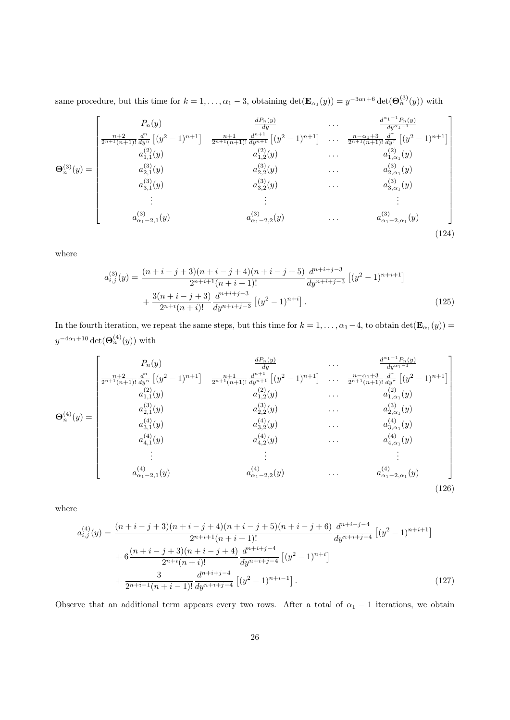same procedure, but this time for  $k = 1, \ldots, \alpha_1 - 3$ , obtaining  $\det(\mathbf{E}_{\alpha_1}(y)) = y^{-3\alpha_1+6} \det(\mathbf{\Theta}_n^{(3)}(y))$  with

$$
\mathbf{\Theta}_{n}^{(3)}(y) = \begin{bmatrix}\nP_{n}(y) & \frac{dP_{n}(y)}{dy} & \cdots & \frac{d^{\alpha_{1}-1}P_{n}(y)}{dy^{\alpha_{1}-1}} \\
\frac{n+2}{2^{n+1}(n+1)!} \frac{d^{n}}{dy^{n}} \left[ (y^{2}-1)^{n+1} \right] & \frac{n+1}{2^{n+1}(n+1)!} \frac{d^{n+1}}{dy^{n+1}} \left[ (y^{2}-1)^{n+1} \right] & \cdots & \frac{n-\alpha_{1}+3}{2^{n+1}(n+1)!} \frac{d^{n}}{dy^{n}} \left[ (y^{2}-1)^{n+1} \right] \\
a_{1,1}^{(2)}(y) & a_{1,2}^{(2)}(y) & \cdots & a_{1,\alpha_{1}}^{(2)}(y) \\
a_{2,1}^{(3)}(y) & a_{2,2}^{(3)}(y) & \cdots & a_{2,\alpha_{1}}^{(3)}(y) \\
\vdots & \vdots & \vdots & \vdots \\
a_{\alpha_{1}-2,1}^{(3)}(y) & a_{\alpha_{1}-2,2}^{(3)}(y) & \cdots & a_{\alpha_{1}-2,\alpha_{1}}^{(3)}(y)\n\end{bmatrix}
$$
\n(124)

where

$$
a_{i,j}^{(3)}(y) = \frac{(n+i-j+3)(n+i-j+4)(n+i-j+5)}{2^{n+i+1}(n+i+1)!} \frac{d^{n+i+j-3}}{dy^{n+i+j-3}} \left[ (y^2-1)^{n+i+1} \right] + \frac{3(n+i-j+3)}{2^{n+i}(n+i)!} \frac{d^{n+i+j-3}}{dy^{n+i+j-3}} \left[ (y^2-1)^{n+i} \right].
$$
\n(125)

In the fourth iteration, we repeat the same steps, but this time for  $k = 1, \ldots, \alpha_1 - 4$ , to obtain  $\det(\mathbf{E}_{\alpha_1}(y)) =$  $y^{-4\alpha_1+10}\det(\boldsymbol{\Theta}_n^{(4)}(y))$  with

$$
\mathbf{\Theta}_{n}^{(4)}(y) = \begin{bmatrix}\nP_{n}(y) & \frac{dP_{n}(y)}{dy} & \cdots & \frac{d^{\alpha_{1}-1}P_{n}(y)}{dy^{\alpha_{1}-1}} \\
\frac{n+2}{2^{n+1}(n+1)!} \frac{d^{n}}{dy^{n}} \left[ (y^{2}-1)^{n+1} \right] & \frac{n+1}{2^{n+1}(n+1)!} \frac{d^{n+1}}{dy^{n+1}} \left[ (y^{2}-1)^{n+1} \right] & \cdots & \frac{n-\alpha_{1}+3}{2^{n+1}(n+1)!} \frac{d^{n}}{dy^{n}} \left[ (y^{2}-1)^{n+1} \right] \\
a_{1,1}^{(2)}(y) & a_{1,2}^{(2)}(y) & \cdots & a_{1,\alpha_{1}}^{(3)}(y) \\
a_{2,1}^{(3)}(y) & a_{2,2}^{(3)}(y) & \cdots & a_{2,\alpha_{1}}^{(3)}(y) \\
a_{3,1}^{(4)}(y) & a_{4,2}^{(4)}(y) & \cdots & a_{4,\alpha_{1}}^{(4)}(y) \\
\vdots & \vdots & \vdots \\
a_{\alpha_{1}-2,1}^{(4)}(y) & a_{\alpha_{1}-2,2}^{(4)}(y) & \cdots & a_{\alpha_{1}-2,\alpha_{1}}^{(4)}(y)\n\end{bmatrix}
$$
\n(126)

where

$$
a_{i,j}^{(4)}(y) = \frac{(n+i-j+3)(n+i-j+4)(n+i-j+5)(n+i-j+6)}{2^{n+i+1}(n+i+1)!} \frac{d^{n+i+j-4}}{dy^{n+i+j-4}} [(y^2-1)^{n+i+1}]
$$
  
+ 
$$
6 \frac{(n+i-j+3)(n+i-j+4)}{2^{n+i}(n+i)!} \frac{d^{n+i+j-4}}{dy^{n+i+j-4}} [(y^2-1)^{n+i}]
$$
  
+ 
$$
\frac{3}{2^{n+i-1}(n+i-1)!} \frac{d^{n+i+j-4}}{dy^{n+i+j-4}} [(y^2-1)^{n+i-1}].
$$
 (127)

Observe that an additional term appears every two rows. After a total of  $\alpha_1 - 1$  iterations, we obtain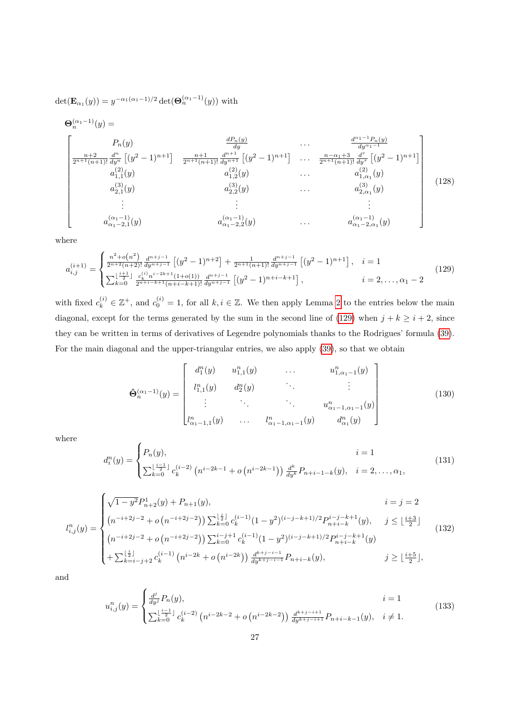$\det(\mathbf{E}_{\alpha_1}(y)) = y^{-\alpha_1(\alpha_1 - 1)/2} \det(\mathbf{\Theta}_n^{(\alpha_1 - 1)}(y))$  with

$$
\Theta_{n}^{(\alpha_{1}-1)}(y) = \n\begin{bmatrix}\nP_{n}(y) & \frac{dP_{n}(y)}{dy} & \cdots & \frac{d^{\alpha_{1}-1}P_{n}(y)}{dy^{\alpha_{1}-1}} \\
\frac{n+2}{2^{n+1}(n+1)!} \frac{d^{n}}{dy^{n}}\left[(y^{2}-1)^{n+1}\right] & \frac{n+1}{2^{n+1}(n+1)!} \frac{d^{n+1}}{dy^{n+1}}\left[(y^{2}-1)^{n+1}\right] & \cdots & \frac{n-\alpha_{1}+3}{2^{n+1}(n+1)!} \frac{d^{r}}{dy^{r}}\left[(y^{2}-1)^{n+1}\right] \\
a_{1,1}^{(2)}(y) & a_{1,2}^{(2)}(y) & \cdots & a_{1,\alpha_{1}}^{(2)}(y) \\
a_{2,1}^{(3)}(y) & a_{2,2}^{(3)}(y) & \cdots & a_{2,\alpha_{1}}^{(3)}(y) \\
\vdots & \vdots & \ddots & \vdots \\
a_{\alpha_{1}-2,1}^{(\alpha_{1}-1)}(y) & a_{\alpha_{1}-2,2}^{(\alpha_{1}-1)}(y) & \cdots & a_{\alpha_{1}-2,\alpha_{1}}^{(\alpha_{1}-1)}(y)\n\end{bmatrix} (128)
$$

where

$$
a_{i,j}^{(i+1)} = \begin{cases} \frac{n^2 + o(n^2)}{2^{n+2}(n+2)!} \frac{d^{n+j-1}}{dy^{n+j-1}} \left[ (y^2 - 1)^{n+2} \right] + \frac{1}{2^{n+1}(n+1)!} \frac{d^{n+j-1}}{dy^{n+j-1}} \left[ (y^2 - 1)^{n+1} \right], & i = 1\\ \sum_{k=0}^{\lfloor \frac{i+1}{2} \rfloor} \frac{c_k^{(i)} n^{i-2k+1} (1+o(1))}{2^{n+i-k+1}(n+i-k+1)!} \frac{d^{n+j-1}}{dy^{n+j-1}} \left[ (y^2 - 1)^{n+i-k+1} \right], & i = 2, \dots, \alpha_1 - 2 \end{cases} \tag{129}
$$

with fixed  $c_k^{(i)} \in \mathbb{Z}^+$ , and  $c_0^{(i)} = 1$ , for all  $k, i \in \mathbb{Z}$ . We then apply Lemma [2](#page-13-4) to the entries below the main diagonal, except for the terms generated by the sum in the second line of [\(129\)](#page-26-0) when  $j + k \geq i + 2$ , since they can be written in terms of derivatives of Legendre polynomials thanks to the Rodrigues' formula [\(39\)](#page-12-6). For the main diagonal and the upper-triangular entries, we also apply [\(39\)](#page-12-6), so that we obtain

<span id="page-26-0"></span>
$$
\hat{\Theta}_n^{(\alpha_1-1)}(y) = \begin{bmatrix} d_1^n(y) & u_{1,1}^n(y) & \cdots & u_{1,\alpha_1-1}^n(y) \\ l_{1,1}^n(y) & d_2^n(y) & \cdots & \vdots \\ \vdots & \ddots & \ddots & u_{\alpha_1-1,\alpha_1-1}^n(y) \\ l_{\alpha_1-1,1}^n(y) & \cdots & l_{\alpha_1-1,\alpha_1-1}^n(y) & d_{\alpha_1}^n(y) \end{bmatrix}
$$
(130)

where

$$
d_i^n(y) = \begin{cases} P_n(y), & i = 1\\ \sum_{k=0}^{\lfloor \frac{i-1}{2} \rfloor} c_k^{(i-2)} \left( n^{i-2k-1} + o\left( n^{i-2k-1} \right) \right) \frac{d^k}{dy^k} P_{n+i-1-k}(y), & i = 2, \dots, \alpha_1, \end{cases}
$$
(131)

$$
l_{i,j}^n(y) = \begin{cases} \sqrt{1 - y^2} P_{n+2}^1(y) + P_{n+1}(y), & i = j = 2\\ \left( n^{-i+2j-2} + o\left( n^{-i+2j-2} \right) \right) \sum_{k=0}^{\lfloor \frac{i}{2} \rfloor} c_k^{(i-1)} (1 - y^2)^{(i-j-k+1)/2} P_{n+i-k}^{i-j-k+1}(y), & j \leq \lfloor \frac{i+3}{2} \rfloor\\ \left( n^{-i+2j-2} + o\left( n^{-i+2j-2} \right) \right) \sum_{k=0}^{i-j+1} c_k^{(i-1)} (1 - y^2)^{(i-j-k+1)/2} P_{n+i-k}^{i-j-k+1}(y) \\ + \sum_{k=i-j+2}^{\lfloor \frac{i}{2} \rfloor} c_k^{(i-1)} \left( n^{i-2k} + o\left( n^{i-2k} \right) \right) \frac{d^{k+j-i-1}}{dy^{k+j-i-1}} P_{n+i-k}(y), & j \geq \lfloor \frac{i+5}{2} \rfloor, \end{cases} \tag{132}
$$

and

$$
u_{i,j}^n(y) = \begin{cases} \frac{d^j}{dy^j} P_n(y), & i = 1\\ \sum_{k=0}^{\lfloor \frac{i-1}{2} \rfloor} c_k^{(i-2)} \left( n^{i-2k-2} + o\left( n^{i-2k-2} \right) \right) \frac{d^{k+j-i+1}}{dy^{k+j-i+1}} P_{n+i-k-1}(y), & i \neq 1. \end{cases}
$$
(133)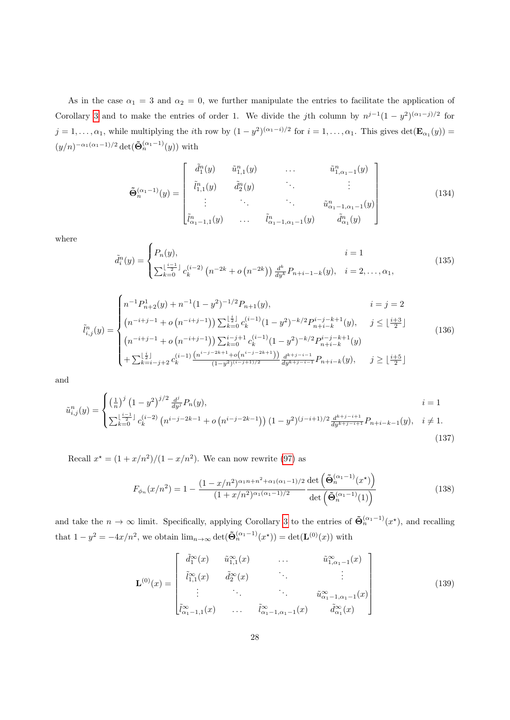As in the case  $\alpha_1 = 3$  and  $\alpha_2 = 0$ , we further manipulate the entries to facilitate the application of Corollary [3](#page-15-3) and to make the entries of order 1. We divide the jth column by  $n^{j-1}(1-y^2)^{(\alpha_1-j)/2}$  for  $j = 1, \ldots, \alpha_1$ , while multiplying the *i*th row by  $(1 - y^2)^{(\alpha_1 - i)/2}$  for  $i = 1, \ldots, \alpha_1$ . This gives  $\det(\mathbf{E}_{\alpha_1}(y)) =$  $(y/n)^{-\alpha_1(\alpha_1-1)/2} \det(\tilde{\Theta}_n^{(\alpha_1-1)}(y))$  with

$$
\tilde{\mathbf{\Theta}}_{n}^{(\alpha_{1}-1)}(y) = \begin{bmatrix} \tilde{d}_{1}^{n}(y) & \tilde{u}_{1,1}^{n}(y) & \cdots & \tilde{u}_{1,\alpha_{1}-1}^{n}(y) \\ \tilde{t}_{1,1}^{n}(y) & \tilde{d}_{2}^{n}(y) & \ddots & \vdots \\ \vdots & \ddots & \ddots & \tilde{u}_{\alpha_{1}-1,\alpha_{1}-1}^{n}(y) \\ \tilde{t}_{\alpha_{1}-1,1}^{n}(y) & \cdots & \tilde{t}_{\alpha_{1}-1,\alpha_{1}-1}^{n}(y) & \tilde{d}_{\alpha_{1}}^{n}(y) \end{bmatrix}
$$
\n(134)

where

$$
\tilde{d}_i^n(y) = \begin{cases} P_n(y), & i = 1 \\ \sum_{k=0}^{\lfloor \frac{i-1}{2} \rfloor} c_k^{(i-2)} \left( n^{-2k} + o\left( n^{-2k} \right) \right) \frac{d^k}{dy^k} P_{n+i-1-k}(y), & i = 2, \dots, \alpha_1, \end{cases}
$$
(135)

$$
\tilde{l}_{i,j}^{n}(y) = \begin{cases}\nn^{-1}P_{n+2}^{1}(y) + n^{-1}(1-y^{2})^{-1/2}P_{n+1}(y), & i = j = 2 \\
(n^{-i+j-1} + o(n^{-i+j-1})) \sum_{k=0}^{\lfloor \frac{i}{2} \rfloor} c_{k}^{(i-1)}(1-y^{2})^{-k/2}P_{n+i-k}^{i-j-k+1}(y), & j \leq \lfloor \frac{i+3}{2} \rfloor \\
(n^{-i+j-1} + o(n^{-i+j-1})) \sum_{k=0}^{i-j+1} c_{k}^{(i-1)}(1-y^{2})^{-k/2}P_{n+i-k}^{i-j-k+1}(y) \\
+ \sum_{k=i-j+2}^{\lfloor \frac{i}{2} \rfloor} c_{k}^{(i-1)} \frac{(n^{i-j-2k+1} + o(n^{i-j-2k+1}))}{(1-y^{2})^{(i-j+1)/2}} \frac{d^{k+j-i-1}}{d y^{k+j-i-1}} P_{n+i-k}(y), & j \geq \lfloor \frac{i+5}{2} \rfloor\n\end{cases}
$$
\n
$$
(136)
$$

and

$$
\tilde{u}_{i,j}^n(y) = \begin{cases}\n\left(\frac{1}{n}\right)^j \left(1 - y^2\right)^{j/2} \frac{d^j}{dy^j} P_n(y), & i = 1 \\
\sum_{k=0}^{\lfloor \frac{i-1}{2} \rfloor} c_k^{(i-2)} \left(n^{i-j-2k-1} + o\left(n^{i-j-2k-1}\right)\right) \left(1 - y^2\right)^{(j-i+1)/2} \frac{d^{k+j-i+1}}{dy^{k+j-i+1}} P_{n+i-k-1}(y), & i \neq 1.\n\end{cases}
$$
\n(137)

Recall  $x^* = (1 + x/n^2)/(1 - x/n^2)$ . We can now rewrite [\(97\)](#page-19-0) as

<span id="page-27-0"></span>
$$
F_{\phi_n}(x/n^2) = 1 - \frac{(1 - x/n^2)^{\alpha_1 n + n^2 + \alpha_1(\alpha_1 - 1)/2}}{(1 + x/n^2)^{\alpha_1(\alpha_1 - 1)/2}} \frac{\det\left(\tilde{\Theta}_n^{(\alpha_1 - 1)}(x^{\star})\right)}{\det\left(\tilde{\Theta}_n^{(\alpha_1 - 1)}(1)\right)}
$$
(138)

and take the  $n \to \infty$  limit. Specifically, applying Corollary [3](#page-15-3) to the entries of  $\tilde{\Theta}_n^{(\alpha_1-1)}(x^*)$ , and recalling that  $1 - y^2 = -4x/n^2$ , we obtain  $\lim_{n \to \infty} \det(\tilde{\Theta}_n^{(\alpha_1 - 1)}(x^*)) = \det(\mathbf{L}^{(0)}(x))$  with

$$
\mathbf{L}^{(0)}(x) = \begin{bmatrix} \tilde{d}_{1}^{\infty}(x) & \tilde{u}_{1,1}^{\infty}(x) & \cdots & \tilde{u}_{1,\alpha_{1}-1}^{\infty}(x) \\ \tilde{l}_{1,1}^{\infty}(x) & \tilde{d}_{2}^{\infty}(x) & \cdots & \vdots \\ \vdots & \ddots & \ddots & \tilde{u}_{\alpha_{1}-1,\alpha_{1}-1}^{\infty}(x) \\ \tilde{l}_{\alpha_{1}-1,1}^{\infty}(x) & \cdots & \tilde{l}_{\alpha_{1}-1,\alpha_{1}-1}^{\infty}(x) & \tilde{d}_{\alpha_{1}}^{\infty}(x) \end{bmatrix}
$$
(139)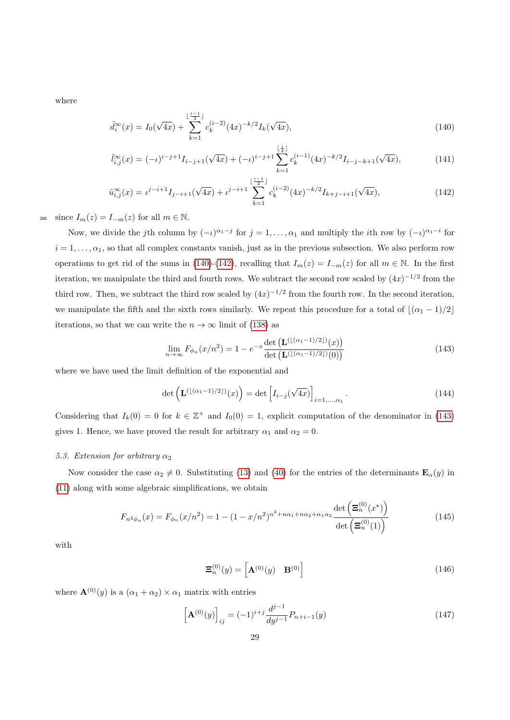where

<span id="page-28-0"></span>
$$
\tilde{d}_i^{\infty}(x) = I_0(\sqrt{4x}) + \sum_{k=1}^{\lfloor \frac{i-1}{2} \rfloor} c_k^{(i-2)} (4x)^{-k/2} I_k(\sqrt{4x}),\tag{140}
$$

$$
\tilde{l}_{i,j}^{\infty}(x) = (-\iota)^{i-j+1} I_{i-j+1}(\sqrt{4x}) + (-\iota)^{i-j+1} \sum_{k=1}^{\lfloor \frac{i}{2} \rfloor} c_k^{(i-1)} (4x)^{-k/2} I_{i-j-k+1}(\sqrt{4x}), \tag{141}
$$

$$
\tilde{u}_{i,j}^{\infty}(x) = \iota^{j-i+1} I_{j-i+1}(\sqrt{4x}) + \iota^{j-i+1} \sum_{k=1}^{\lfloor \frac{i-1}{2} \rfloor} c_k^{(i-2)} (4x)^{-k/2} I_{k+j-i+1}(\sqrt{4x}), \tag{142}
$$

260 since  $I_m(z) = I_{-m}(z)$  for all  $m \in \mathbb{N}$ .

Now, we divide the jth column by  $(-i)^{\alpha_1-j}$  for  $j=1,\ldots,\alpha_1$  and multiply the *i*th row by  $(-i)^{\alpha_1-i}$  for  $i = 1, \ldots, \alpha_1$ , so that all complex constants vanish, just as in the previous subsection. We also perform row operations to get rid of the sums in [\(140\)](#page-28-0)-[\(142\)](#page-28-1), recalling that  $I_m(z) = I_{-m}(z)$  for all  $m \in \mathbb{N}$ . In the first iteration, we manipulate the third and fourth rows. We subtract the second row scaled by  $(4x)^{-1/2}$  from the third row. Then, we subtract the third row scaled by  $(4x)^{-1/2}$  from the fourth row. In the second iteration, we manipulate the fifth and the sixth rows similarly. We repeat this procedure for a total of  $\lfloor (\alpha_1 - 1)/2 \rfloor$ iterations, so that we can write the  $n \to \infty$  limit of [\(138\)](#page-27-0) as

<span id="page-28-2"></span><span id="page-28-1"></span>
$$
\lim_{n \to \infty} F_{\phi_n}(x/n^2) = 1 - e^{-x} \frac{\det\left(\mathbf{L}^{(\lfloor (n_1 - 1)/2 \rfloor)}(x)\right)}{\det\left(\mathbf{L}^{(\lfloor (n_1 - 1)/2 \rfloor)}(0)\right)}\tag{143}
$$

where we have used the limit definition of the exponential and

$$
\det\left(\mathbf{L}^{(\lfloor(\alpha_1-1)/2\rfloor)}(x)\right) = \det\left[I_{i-j}(\sqrt{4x})\right]_{i=1,\ldots,\alpha_1}.\tag{144}
$$

Considering that  $I_k(0) = 0$  for  $k \in \mathbb{Z}^+$  and  $I_0(0) = 1$ , explicit computation of the denominator in [\(143\)](#page-28-2) gives 1. Hence, we have proved the result for arbitrary  $\alpha_1$  and  $\alpha_2 = 0$ .

## <span id="page-28-4"></span>5.3. Extension for arbitrary  $\alpha_2$

Now consider the case  $\alpha_2 \neq 0$ . Substituting [\(13\)](#page-5-6) and [\(40\)](#page-12-8) for the entries of the determinants  $\mathbf{E}_{\alpha}(y)$  in [\(11\)](#page-5-7) along with some algebraic simplifications, we obtain

$$
F_{n^2 \phi_n}(x) = F_{\phi_n}(x/n^2) = 1 - (1 - x/n^2)^{n^2 + n\alpha_1 + n\alpha_2 + \alpha_1\alpha_2} \frac{\det\left(\Xi_n^{(0)}(x^\star)\right)}{\det\left(\Xi_n^{(0)}(1)\right)}
$$
(145)

with

<span id="page-28-3"></span>
$$
\mathbf{\Xi}_n^{(0)}(y) = \left[\mathbf{A}^{(0)}(y) \quad \mathbf{B}^{(0)}\right] \tag{146}
$$

where  $\mathbf{A}^{(0)}(y)$  is a  $(\alpha_1 + \alpha_2) \times \alpha_1$  matrix with entries

$$
\left[\mathbf{A}^{(0)}(y)\right]_{ij} = (-1)^{i+j} \frac{d^{j-1}}{dy^{j-1}} P_{n+i-1}(y) \tag{147}
$$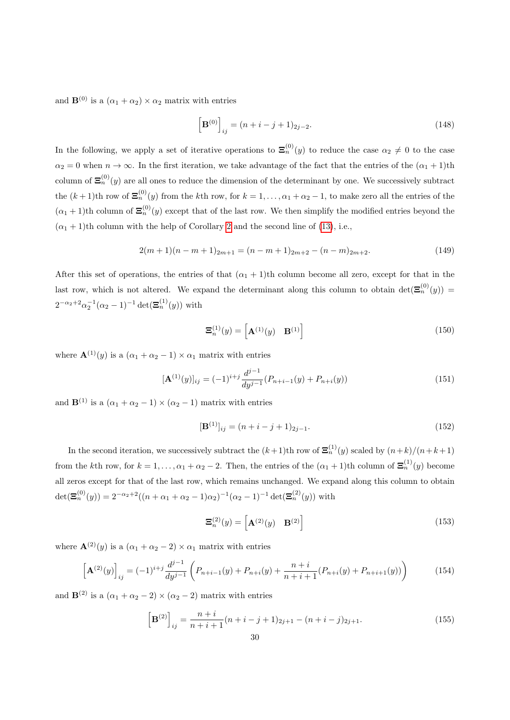and  $\mathbf{B}^{(0)}$  is a  $(\alpha_1 + \alpha_2) \times \alpha_2$  matrix with entries

$$
\left[\mathbf{B}^{(0)}\right]_{ij} = (n+i-j+1)_{2j-2}.\tag{148}
$$

In the following, we apply a set of iterative operations to  $\Xi_n^{(0)}(y)$  to reduce the case  $\alpha_2 \neq 0$  to the case  $\alpha_2 = 0$  when  $n \to \infty$ . In the first iteration, we take advantage of the fact that the entries of the  $(\alpha_1 + 1)$ th column of  $\Xi_n^{(0)}(y)$  are all ones to reduce the dimension of the determinant by one. We successively subtract the  $(k+1)$ th row of  $\Xi_n^{(0)}(y)$  from the kth row, for  $k=1,\ldots,\alpha_1+\alpha_2-1$ , to make zero all the entries of the  $(\alpha_1 + 1)$ th column of  $\mathbf{\Xi}_n^{(0)}(y)$  except that of the last row. We then simplify the modified entries beyond the  $(\alpha_1 + 1)$ th column with the help of Corollary [2](#page-12-7) and the second line of [\(13\)](#page-5-6), i.e.,

$$
2(m+1)(n-m+1)_{2m+1} = (n-m+1)_{2m+2} - (n-m)_{2m+2}.
$$
\n(149)

After this set of operations, the entries of that  $(\alpha_1 + 1)$ th column become all zero, except for that in the last row, which is not altered. We expand the determinant along this column to obtain  $\det(\mathbf{\Xi}_n^{(0)}(y))$  $2^{-\alpha_2+2}\alpha_2^{-1}(\alpha_2-1)^{-1} \det(\Xi_n^{(1)}(y))$  with

$$
\mathbf{\Xi}_n^{(1)}(y) = \left[\mathbf{A}^{(1)}(y) \quad \mathbf{B}^{(1)}\right] \tag{150}
$$

where  $\mathbf{A}^{(1)}(y)$  is a  $(\alpha_1 + \alpha_2 - 1) \times \alpha_1$  matrix with entries

$$
[\mathbf{A}^{(1)}(y)]_{ij} = (-1)^{i+j} \frac{d^{j-1}}{dy^{j-1}} (P_{n+i-1}(y) + P_{n+i}(y))
$$
\n(151)

and  $\mathbf{B}^{(1)}$  is a  $(\alpha_1 + \alpha_2 - 1) \times (\alpha_2 - 1)$  matrix with entries

$$
[\mathbf{B}^{(1)}]_{ij} = (n+i-j+1)_{2j-1}.
$$
\n(152)

In the second iteration, we successively subtract the  $(k+1)$ th row of  $\Xi_n^{(1)}(y)$  scaled by  $(n+k)/(n+k+1)$ from the kth row, for  $k = 1, ..., \alpha_1 + \alpha_2 - 2$ . Then, the entries of the  $(\alpha_1 + 1)$ th column of  $\mathbf{\Xi}_n^{(1)}(y)$  become all zeros except for that of the last row, which remains unchanged. We expand along this column to obtain  $\det(\mathbf{\Xi}_n^{(0)}(y)) = 2^{-\alpha_2+2}((n+\alpha_1+\alpha_2-1)\alpha_2)^{-1}(\alpha_2-1)^{-1} \det(\mathbf{\Xi}_n^{(2)}(y))$  with

$$
\mathbf{\Xi}_n^{(2)}(y) = \left[\mathbf{A}^{(2)}(y) \quad \mathbf{B}^{(2)}\right] \tag{153}
$$

where  $\mathbf{A}^{(2)}(y)$  is a  $(\alpha_1 + \alpha_2 - 2) \times \alpha_1$  matrix with entries

$$
\left[\mathbf{A}^{(2)}(y)\right]_{ij} = (-1)^{i+j} \frac{d^{j-1}}{dy^{j-1}} \left(P_{n+i-1}(y) + P_{n+i}(y) + \frac{n+i}{n+i+1}(P_{n+i}(y) + P_{n+i+1}(y))\right)
$$
(154)

and  $\mathbf{B}^{(2)}$  is a  $(\alpha_1 + \alpha_2 - 2) \times (\alpha_2 - 2)$  matrix with entries

$$
\left[\mathbf{B}^{(2)}\right]_{ij} = \frac{n+i}{n+i+1}(n+i-j+1)_{2j+1} - (n+i-j)_{2j+1}.
$$
\n(155)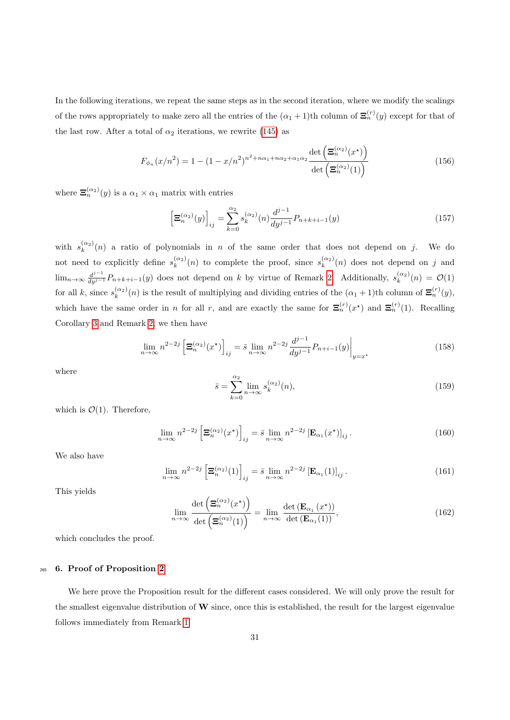In the following iterations, we repeat the same steps as in the second iteration, where we modify the scalings of the rows appropriately to make zero all the entries of the  $(\alpha_1 + 1)$ th column of  $\Xi_n^{(r)}(y)$  except for that of the last row. After a total of  $\alpha_2$  iterations, we rewrite [\(145\)](#page-28-3) as

$$
F_{\phi_n}(x/n^2) = 1 - (1 - x/n^2)^{n^2 + n\alpha_1 + n\alpha_2 + \alpha_1\alpha_2} \frac{\det\left(\Xi_n^{(\alpha_2)}(x^{\star})\right)}{\det\left(\Xi_n^{(\alpha_2)}(1)\right)}
$$
(156)

where  $\mathbf{\Xi}_n^{(\alpha_2)}(y)$  is a  $\alpha_1 \times \alpha_1$  matrix with entries

<span id="page-30-1"></span>
$$
\left[\Xi_n^{(\alpha_2)}(y)\right]_{ij} = \sum_{k=0}^{\alpha_2} s_k^{(\alpha_2)}(n) \frac{d^{j-1}}{dy^{j-1}} P_{n+k+i-1}(y)
$$
\n(157)

with  $s_k^{(\alpha_2)}(n)$  a ratio of polynomials in n of the same order that does not depend on j. We do not need to explicitly define  $s_k^{(\alpha_2)}(n)$  to complete the proof, since  $s_k^{(\alpha_2)}(n)$  does not depend on j and  $\lim_{n\to\infty}\frac{d^{j-1}}{dy^{j-1}}P_{n+k+i-1}(y)$  does not depend on k by virtue of Remark [2.](#page-16-4) Additionally,  $s_k^{(\alpha_2)}(n) = \mathcal{O}(1)$ for all k, since  $s_k^{(\alpha_2)}(n)$  is the result of multiplying and dividing entries of the  $(\alpha_1 + 1)$ th column of  $\Xi_n^{(r)}(y)$ , which have the same order in *n* for all *r*, and are exactly the same for  $\Xi_n^{(r)}(x^*)$  and  $\Xi_n^{(r)}(1)$ . Recalling Corollary [3](#page-15-3) and Remark [2,](#page-16-4) we then have

$$
\lim_{n \to \infty} n^{2-2j} \left[ \Xi_n^{(\alpha_2)}(x^{\star}) \right]_{ij} = \bar{s} \lim_{n \to \infty} n^{2-2j} \frac{d^{j-1}}{dy^{j-1}} P_{n+i-1}(y) \Big|_{y=x^{\star}}
$$
(158)

where

$$
\bar{s} = \sum_{k=0}^{\alpha_2} \lim_{n \to \infty} s_k^{(\alpha_2)}(n),\tag{159}
$$

which is  $\mathcal{O}(1)$ . Therefore,

$$
\lim_{n \to \infty} n^{2-2j} \left[ \Xi_n^{(\alpha_2)}(x^{\star}) \right]_{ij} = \bar{s} \lim_{n \to \infty} n^{2-2j} \left[ \mathbf{E}_{\alpha_1}(x^{\star}) \right]_{ij}.
$$
\n(160)

We also have

$$
\lim_{n \to \infty} n^{2-2j} \left[ \mathbf{\Xi}_n^{(\alpha_2)}(1) \right]_{ij} = \bar{s} \lim_{n \to \infty} n^{2-2j} \left[ \mathbf{E}_{\alpha_1}(1) \right]_{ij} . \tag{161}
$$

This yields

$$
\lim_{n \to \infty} \frac{\det\left(\mathbf{\Xi}_n^{(\alpha_2)}(x^{\star})\right)}{\det\left(\mathbf{\Xi}_n^{(\alpha_2)}(1)\right)} = \lim_{n \to \infty} \frac{\det\left(\mathbf{E}_{\alpha_1}\left(x^{\star}\right)\right)}{\det\left(\mathbf{E}_{\alpha_1}(1)\right)},\tag{162}
$$

which concludes the proof.

# <span id="page-30-0"></span><sup>265</sup> 6. Proof of Proposition [2](#page-8-0)

We here prove the Proposition result for the different cases considered. We will only prove the result for the smallest eigenvalue distribution of  $W$  since, once this is established, the result for the largest eigenvalue follows immediately from Remark [1.](#page-4-5)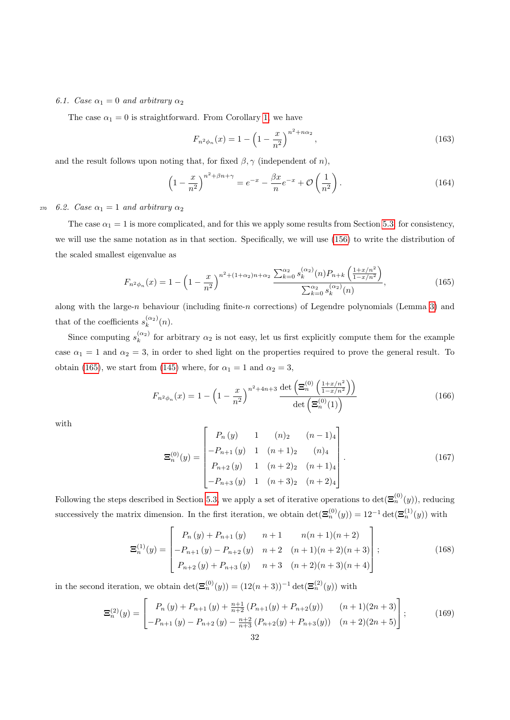# 6.1. Case  $\alpha_1 = 0$  and arbitrary  $\alpha_2$

The case  $\alpha_1 = 0$  is straightforward. From Corollary [1,](#page-5-8) we have

<span id="page-31-2"></span>
$$
F_{n^2 \phi_n}(x) = 1 - \left(1 - \frac{x}{n^2}\right)^{n^2 + n\alpha_2},\tag{163}
$$

and the result follows upon noting that, for fixed  $\beta$ ,  $\gamma$  (independent of n),

$$
\left(1 - \frac{x}{n^2}\right)^{n^2 + \beta n + \gamma} = e^{-x} - \frac{\beta x}{n}e^{-x} + \mathcal{O}\left(\frac{1}{n^2}\right). \tag{164}
$$

<sup>270</sup> 6.2. Case  $\alpha_1 = 1$  and arbitrary  $\alpha_2$ 

The case  $\alpha_1 = 1$  is more complicated, and for this we apply some results from Section [5.3;](#page-28-4) for consistency, we will use the same notation as in that section. Specifically, we will use [\(156\)](#page-30-1) to write the distribution of the scaled smallest eigenvalue as

<span id="page-31-0"></span>
$$
F_{n^2\phi_n}(x) = 1 - \left(1 - \frac{x}{n^2}\right)^{n^2 + (1+\alpha_2)n + \alpha_2} \frac{\sum_{k=0}^{\alpha_2} s_k^{(\alpha_2)}(n) P_{n+k} \left(\frac{1+x/n^2}{1-x/n^2}\right)}{\sum_{k=0}^{\alpha_2} s_k^{(\alpha_2)}(n)},
$$
(165)

along with the large-n behaviour (including finite-n corrections) of Legendre polynomials (Lemma [3\)](#page-13-3) and that of the coefficients  $s_k^{(\alpha_2)}(n)$ .

Since computing  $s_k^{(\alpha_2)}$  for arbitrary  $\alpha_2$  is not easy, let us first explicitly compute them for the example case  $\alpha_1 = 1$  and  $\alpha_2 = 3$ , in order to shed light on the properties required to prove the general result. To obtain [\(165\)](#page-31-0), we start from [\(145\)](#page-28-3) where, for  $\alpha_1 = 1$  and  $\alpha_2 = 3$ ,

<span id="page-31-1"></span>
$$
F_{n^2 \phi_n}(x) = 1 - \left(1 - \frac{x}{n^2}\right)^{n^2 + 4n + 3} \frac{\det\left(\Xi_n^{(0)}\left(\frac{1 + x/n^2}{1 - x/n^2}\right)\right)}{\det\left(\Xi_n^{(0)}(1)\right)}
$$
(166)

<span id="page-31-3"></span>with

$$
\mathbf{E}_{n}^{(0)}(y) = \begin{bmatrix} P_{n}(y) & 1 & (n)_{2} & (n-1)_{4} \\ -P_{n+1}(y) & 1 & (n+1)_{2} & (n)_{4} \\ P_{n+2}(y) & 1 & (n+2)_{2} & (n+1)_{4} \\ -P_{n+3}(y) & 1 & (n+3)_{2} & (n+2)_{4} \end{bmatrix} .
$$
 (167)

Following the steps described in Section [5.3,](#page-28-4) we apply a set of iterative operations to  $\det(\mathbf{\Xi}_n^{(0)}(y))$ , reducing successively the matrix dimension. In the first iteration, we obtain  $\det(\mathbf{\Xi}_n^{(0)}(y)) = 12^{-1} \det(\mathbf{\Xi}_n^{(1)}(y))$  with

$$
\Xi_n^{(1)}(y) = \begin{bmatrix} P_n(y) + P_{n+1}(y) & n+1 & n(n+1)(n+2) \\ -P_{n+1}(y) - P_{n+2}(y) & n+2 & (n+1)(n+2)(n+3) \\ P_{n+2}(y) + P_{n+3}(y) & n+3 & (n+2)(n+3)(n+4) \end{bmatrix};
$$
(168)

in the second iteration, we obtain  $\det(\mathbf{\Xi}_n^{(0)}(y)) = (12(n+3))^{-1} \det(\mathbf{\Xi}_n^{(2)}(y))$  with

$$
\Xi_n^{(2)}(y) = \begin{bmatrix} P_n(y) + P_{n+1}(y) + \frac{n+1}{n+2} (P_{n+1}(y) + P_{n+2}(y)) & (n+1)(2n+3) \\ -P_{n+1}(y) - P_{n+2}(y) - \frac{n+2}{n+3} (P_{n+2}(y) + P_{n+3}(y)) & (n+2)(2n+5) \end{bmatrix};\tag{169}
$$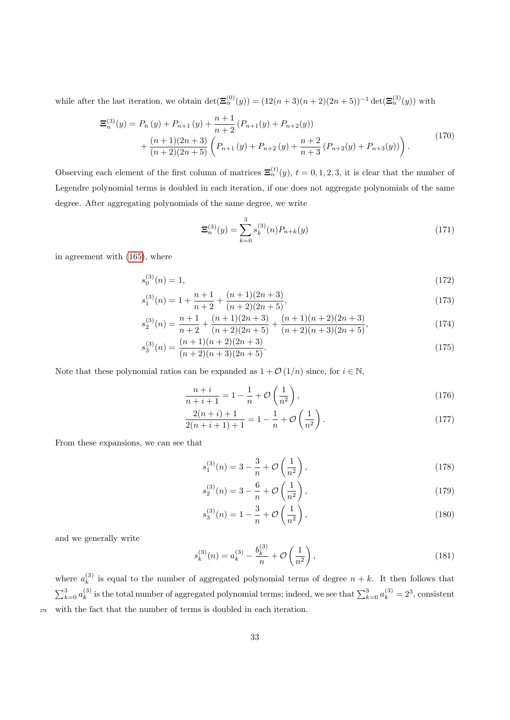while after the last iteration, we obtain  $\det(\mathbf{\Xi}_n^{(0)}(y)) = (12(n+3)(n+2)(2n+5))^{-1} \det(\mathbf{\Xi}_n^{(3)}(y))$  with

$$
\mathbf{\Xi}_{n}^{(3)}(y) = P_{n}(y) + P_{n+1}(y) + \frac{n+1}{n+2} (P_{n+1}(y) + P_{n+2}(y)) \n+ \frac{(n+1)(2n+3)}{(n+2)(2n+5)} \left( P_{n+1}(y) + P_{n+2}(y) + \frac{n+2}{n+3} (P_{n+2}(y) + P_{n+3}(y)) \right).
$$
\n(170)

Observing each element of the first column of matrices  $\Xi_n^{(t)}(y)$ ,  $t = 0, 1, 2, 3$ , it is clear that the number of Legendre polynomial terms is doubled in each iteration, if one does not aggregate polynomials of the same degree. After aggregating polynomials of the same degree, we write

<span id="page-32-1"></span><span id="page-32-0"></span>
$$
\Xi_n^{(3)}(y) = \sum_{k=0}^3 s_k^{(3)}(n) P_{n+k}(y)
$$
\n(171)

in agreement with [\(165\)](#page-31-0), where

$$
s_0^{(3)}(n) = 1,\t(172)
$$

$$
s_1^{(3)}(n) = 1 + \frac{n+1}{n+2} + \frac{(n+1)(2n+3)}{(n+2)(2n+5)},
$$
\n(173)

$$
s_2^{(3)}(n) = \frac{n+1}{n+2} + \frac{(n+1)(2n+3)}{(n+2)(2n+5)} + \frac{(n+1)(n+2)(2n+3)}{(n+2)(n+3)(2n+5)},
$$
\n(174)

$$
s_3^{(3)}(n) = \frac{(n+1)(n+2)(2n+3)}{(n+2)(n+3)(2n+5)}.\t(175)
$$

Note that these polynomial ratios can be expanded as  $1 + \mathcal{O}(1/n)$  since, for  $i \in \mathbb{N}$ ,

$$
\frac{n+i}{n+i+1} = 1 - \frac{1}{n} + \mathcal{O}\left(\frac{1}{n^2}\right),\tag{176}
$$

$$
\frac{2(n+i)+1}{2(n+i+1)+1} = 1 - \frac{1}{n} + \mathcal{O}\left(\frac{1}{n^2}\right). \tag{177}
$$

From these expansions, we can see that

$$
s_1^{(3)}(n) = 3 - \frac{3}{n} + \mathcal{O}\left(\frac{1}{n^2}\right),\tag{178}
$$

$$
s_2^{(3)}(n) = 3 - \frac{6}{n} + \mathcal{O}\left(\frac{1}{n^2}\right),\tag{179}
$$

$$
s_3^{(3)}(n) = 1 - \frac{3}{n} + \mathcal{O}\left(\frac{1}{n^2}\right),\tag{180}
$$

and we generally write

$$
s_k^{(3)}(n) = a_k^{(3)} - \frac{b_k^{(3)}}{n} + \mathcal{O}\left(\frac{1}{n^2}\right),\tag{181}
$$

where  $a_k^{(3)}$  $\kappa_k^{(0)}$  is equal to the number of aggregated polynomial terms of degree  $n + k$ . It then follows that  $\sum_{k=0}^{3} a_k^{(3)}$ <sup>(3)</sup> is the total number of aggregated polynomial terms; indeed, we see that  $\sum_{k=0}^{3} a_k^{(3)} = 2^3$ , consistent <sup>275</sup> with the fact that the number of terms is doubled in each iteration.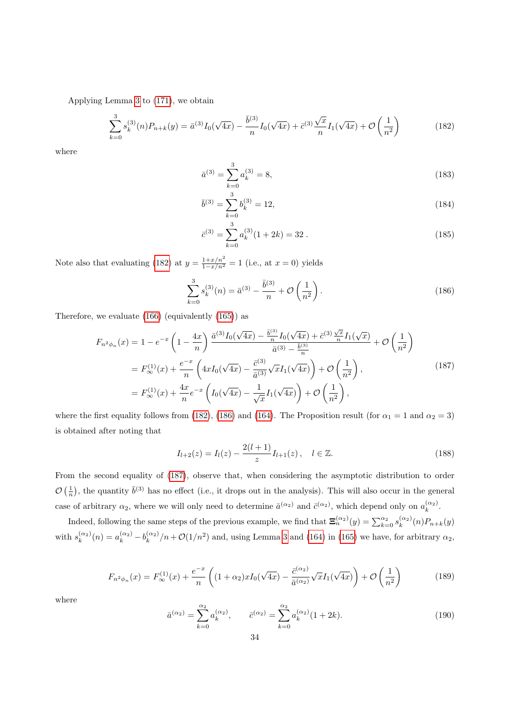Applying Lemma [3](#page-13-3) to [\(171\)](#page-32-0), we obtain

$$
\sum_{k=0}^{3} s_k^{(3)}(n) P_{n+k}(y) = \bar{a}^{(3)} I_0(\sqrt{4x}) - \frac{\bar{b}^{(3)}}{n} I_0(\sqrt{4x}) + \bar{c}^{(3)} \frac{\sqrt{x}}{n} I_1(\sqrt{4x}) + \mathcal{O}\left(\frac{1}{n^2}\right)
$$
(182)

where

<span id="page-33-0"></span>
$$
\bar{a}^{(3)} = \sum_{k=0}^{3} a_k^{(3)} = 8,\tag{183}
$$

$$
\bar{b}^{(3)} = \sum_{k=0}^{3} b_k^{(3)} = 12,\tag{184}
$$

<span id="page-33-1"></span>
$$
\bar{c}^{(3)} = \sum_{k=0}^{3} a_k^{(3)} (1 + 2k) = 32.
$$
\n(185)

Note also that evaluating [\(182\)](#page-33-0) at  $y = \frac{1+x/n^2}{1-x/n^2} = 1$  (i.e., at  $x = 0$ ) yields

<span id="page-33-2"></span>
$$
\sum_{k=0}^{3} s_k^{(3)}(n) = \bar{a}^{(3)} - \frac{\bar{b}^{(3)}}{n} + \mathcal{O}\left(\frac{1}{n^2}\right). \tag{186}
$$

Therefore, we evaluate [\(166\)](#page-31-1) (equivalently [\(165\)](#page-31-0)) as

$$
F_{n^2\phi_n}(x) = 1 - e^{-x} \left( 1 - \frac{4x}{n} \right) \frac{\bar{a}^{(3)} I_0(\sqrt{4x}) - \frac{\bar{b}^{(3)}}{n} I_0(\sqrt{4x}) + \bar{c}^{(3)} \frac{\sqrt{x}}{n} I_1(\sqrt{x})}{\bar{a}^{(3)} - \frac{\bar{b}^{(3)}}{n}} + \mathcal{O}\left(\frac{1}{n^2}\right)
$$
  
\n
$$
= F_{\infty}^{(1)}(x) + \frac{e^{-x}}{n} \left( 4x I_0(\sqrt{4x}) - \frac{\bar{c}^{(3)}}{\bar{a}^{(3)}} \sqrt{x} I_1(\sqrt{4x}) \right) + \mathcal{O}\left(\frac{1}{n^2}\right),
$$
  
\n
$$
= F_{\infty}^{(1)}(x) + \frac{4x}{n} e^{-x} \left( I_0(\sqrt{4x}) - \frac{1}{\sqrt{x}} I_1(\sqrt{4x}) \right) + \mathcal{O}\left(\frac{1}{n^2}\right),
$$
  
\n(187)

where the first equality follows from [\(182\)](#page-33-0), [\(186\)](#page-33-1) and [\(164\)](#page-31-2). The Proposition result (for  $\alpha_1 = 1$  and  $\alpha_2 = 3$ ) is obtained after noting that

<span id="page-33-3"></span>
$$
I_{l+2}(z) = I_l(z) - \frac{2(l+1)}{z} I_{l+1}(z), \quad l \in \mathbb{Z}.
$$
 (188)

From the second equality of [\(187\)](#page-33-2), observe that, when considering the asymptotic distribution to order  $\mathcal{O}\left(\frac{1}{n}\right)$ , the quantity  $\bar{b}^{(3)}$  has no effect (i.e., it drops out in the analysis). This will also occur in the general case of arbitrary  $\alpha_2$ , where we will only need to determine  $\bar{a}^{(\alpha_2)}$  and  $\bar{c}^{(\alpha_2)}$ , which depend only on  $a_k^{(\alpha_2)}$ .

<span id="page-33-5"></span>Indeed, following the same steps of the previous example, we find that  $\Xi_n^{(\alpha_2)}(y) = \sum_{k=0}^{\alpha_2} s_k^{(\alpha_2)}(n) P_{n+k}(y)$ with  $s_k^{(\alpha_2)}(n) = a_k^{(\alpha_2)} - b_k^{(\alpha_2)} / n + \mathcal{O}(1/n^2)$  and, using Lemma [3](#page-13-3) and [\(164\)](#page-31-2) in [\(165\)](#page-31-0) we have, for arbitrary  $\alpha_2$ ,

$$
F_{n^2\phi_n}(x) = F_{\infty}^{(1)}(x) + \frac{e^{-x}}{n} \left( (1+\alpha_2)x I_0(\sqrt{4x}) - \frac{\bar{c}^{(\alpha_2)}}{\bar{a}^{(\alpha_2)}} \sqrt{x} I_1(\sqrt{4x}) \right) + \mathcal{O}\left(\frac{1}{n^2}\right)
$$
(189)

<span id="page-33-4"></span>where

$$
\bar{a}^{(\alpha_2)} = \sum_{k=0}^{\alpha_2} a_k^{(\alpha_2)}, \qquad \bar{c}^{(\alpha_2)} = \sum_{k=0}^{\alpha_2} a_k^{(\alpha_2)} (1+2k). \tag{190}
$$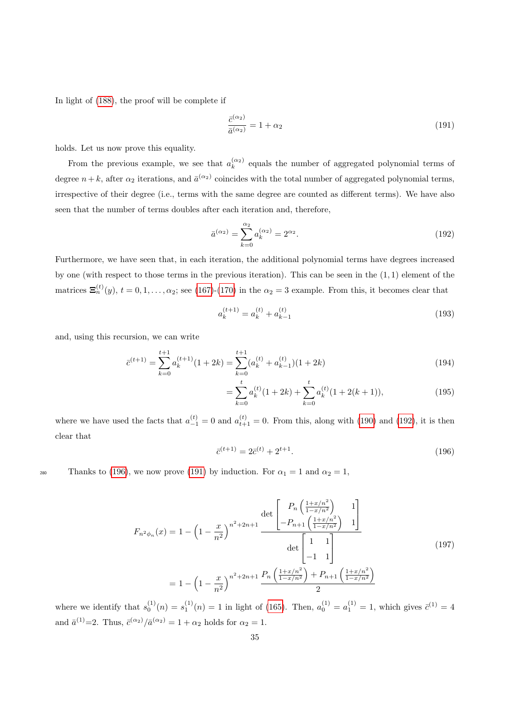In light of [\(188\)](#page-33-3), the proof will be complete if

<span id="page-34-2"></span>
$$
\frac{\bar{c}^{(\alpha_2)}}{\bar{a}^{(\alpha_2)}} = 1 + \alpha_2 \tag{191}
$$

holds. Let us now prove this equality.

From the previous example, we see that  $a_k^{(\alpha_2)}$  equals the number of aggregated polynomial terms of degree  $n+k$ , after  $\alpha_2$  iterations, and  $\bar{a}^{(\alpha_2)}$  coincides with the total number of aggregated polynomial terms, irrespective of their degree (i.e., terms with the same degree are counted as different terms). We have also seen that the number of terms doubles after each iteration and, therefore,

<span id="page-34-0"></span>
$$
\bar{a}^{(\alpha_2)} = \sum_{k=0}^{\alpha_2} a_k^{(\alpha_2)} = 2^{\alpha_2}.
$$
\n(192)

Furthermore, we have seen that, in each iteration, the additional polynomial terms have degrees increased by one (with respect to those terms in the previous iteration). This can be seen in the (1, 1) element of the matrices  $\mathbf{\Xi}_n^{(t)}(y)$ ,  $t = 0, 1, \ldots, \alpha_2$ ; see [\(167\)](#page-31-3)-[\(170\)](#page-32-1) in the  $\alpha_2 = 3$  example. From this, it becomes clear that

$$
a_k^{(t+1)} = a_k^{(t)} + a_{k-1}^{(t)}
$$
\n(193)

and, using this recursion, we can write

$$
\bar{c}^{(t+1)} = \sum_{k=0}^{t+1} a_k^{(t+1)} (1+2k) = \sum_{k=0}^{t+1} (a_k^{(t)} + a_{k-1}^{(t)}) (1+2k)
$$
\n(194)

$$
= \sum_{k=0}^{t} a_k^{(t)}(1+2k) + \sum_{k=0}^{t} a_k^{(t)}(1+2(k+1)),
$$
\n(195)

<span id="page-34-1"></span>where we have used the facts that  $a_{-1}^{(t)} = 0$  and  $a_{t+1}^{(t)} = 0$ . From this, along with [\(190\)](#page-33-4) and [\(192\)](#page-34-0), it is then clear that

$$
\bar{c}^{(t+1)} = 2\bar{c}^{(t)} + 2^{t+1}.\tag{196}
$$

280 Thanks to [\(196\)](#page-34-1), we now prove [\(191\)](#page-34-2) by induction. For  $\alpha_1 = 1$  and  $\alpha_2 = 1$ ,

$$
F_{n^2\phi_n}(x) = 1 - \left(1 - \frac{x}{n^2}\right)^{n^2 + 2n + 1} \frac{\det\begin{bmatrix} P_n\left(\frac{1+x/n^2}{1-x/n^2}\right) & 1\\ -P_{n+1}\left(\frac{1+x/n^2}{1-x/n^2}\right) & 1 \end{bmatrix}}{\det\begin{bmatrix} 1 & 1\\ -1 & 1 \end{bmatrix}}
$$
\n
$$
= 1 - \left(1 - \frac{x}{n^2}\right)^{n^2 + 2n + 1} \frac{P_n\left(\frac{1+x/n^2}{1-x/n^2}\right) + P_{n+1}\left(\frac{1+x/n^2}{1-x/n^2}\right)}{2}
$$
\n(197)

where we identify that  $s_0^{(1)}(n) = s_1^{(1)}(n) = 1$  in light of [\(165\)](#page-31-0). Then,  $a_0^{(1)} = a_1^{(1)} = 1$ , which gives  $\bar{c}^{(1)} = 4$ and  $\bar{a}^{(1)}=2$ . Thus,  $\bar{c}^{(\alpha_2)}/\bar{a}^{(\alpha_2)}=1+\alpha_2$  holds for  $\alpha_2=1$ .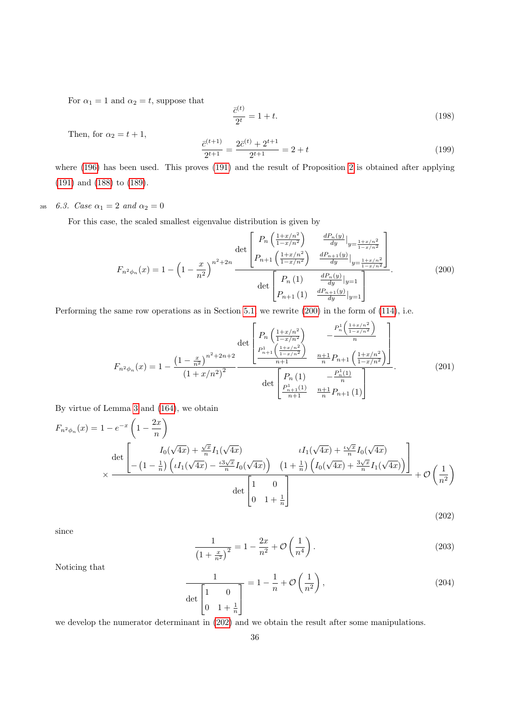For  $\alpha_1 = 1$  and  $\alpha_2 = t$ , suppose that

<span id="page-35-0"></span>
$$
\frac{\bar{c}^{(t)}}{2^t} = 1 + t.
$$
\n(198)

Then, for  $\alpha_2 = t + 1$ ,

$$
\frac{\bar{c}^{(t+1)}}{2^{t+1}} = \frac{2\bar{c}^{(t)} + 2^{t+1}}{2^{t+1}} = 2 + t
$$
\n(199)

where [\(196\)](#page-34-1) has been used. This proves [\(191\)](#page-34-2) and the result of Proposition [2](#page-8-0) is obtained after applying [\(191\)](#page-34-2) and [\(188\)](#page-33-3) to [\(189\)](#page-33-5).

285 6.3. Case  $\alpha_1 = 2$  and  $\alpha_2 = 0$ 

For this case, the scaled smallest eigenvalue distribution is given by

$$
F_{n^2\phi_n}(x) = 1 - \left(1 - \frac{x}{n^2}\right)^{n^2 + 2n} \frac{\det\begin{bmatrix} P_n\left(\frac{1+x/n^2}{1-x/n^2}\right) & \frac{dP_n(y)}{dy}|_{y=\frac{1+x/n^2}{1-x/n^2}} \\ P_{n+1}\left(\frac{1+x/n^2}{1-x/n^2}\right) & \frac{dP_{n+1}(y)}{dy}|_{y=\frac{1+x/n^2}{1-x/n^2}} \end{bmatrix}}{\det\begin{bmatrix} P_n\left(1\right) & \frac{dP_n(y)}{dy}|_{y=1} \\ P_{n+1}\left(1\right) & \frac{dP_{n+1}(y)}{dy}|_{y=1} \end{bmatrix}}.
$$
(200)

Performing the same row operations as in Section [5.1,](#page-20-0) we rewrite [\(200\)](#page-35-0) in the form of [\(114\)](#page-22-0), i.e.

<span id="page-35-1"></span>
$$
F_{n^2\phi_n}(x) = 1 - \frac{\left(1 - \frac{x}{n^2}\right)^{n^2 + 2n + 2}}{\left(1 + x/n^2\right)^2} - \frac{P_n^1\left(\frac{1 + x/n^2}{1 - x/n^2}\right)}{n}
$$

$$
\frac{P_{n+1}^1\left(\frac{1 + x/n^2}{1 - x/n^2}\right)}{\frac{P_{n+1}^1\left(\frac{1 + x/n^2}{1 - x/n^2}\right)}{n + 1}} - \frac{n + 1}{n}P_{n+1}\left(\frac{1 + x/n^2}{1 - x/n^2}\right)
$$

$$
\frac{P_n^1(1)}{\left(P_n(1) - P_n^1(1)\right)} - \frac{P_n^1(1)}{n}
$$

$$
\frac{P_{n+1}^1(1)}{\left(P_{n+1}^1 - P_{n+1}^1(1)\right)} - \frac{n + 1}{n}P_{n+1}(1)
$$
(201)

By virtue of Lemma [3](#page-13-3) and [\(164\)](#page-31-2), we obtain

$$
F_{n^2\phi_n}(x) = 1 - e^{-x} \left( 1 - \frac{2x}{n} \right)
$$
  
 
$$
\times \frac{\det \left[ -\left( 1 - \frac{1}{n} \right) \left( \iota I_1(\sqrt{4x}) - \frac{\iota 3\sqrt{x}}{n} I_0(\sqrt{4x}) \right) - \left( 1 - \frac{1}{n} \right) \left( \iota I_1(\sqrt{4x}) - \frac{\iota 3\sqrt{x}}{n} I_0(\sqrt{4x}) \right) - \left( 1 + \frac{1}{n} \right) \left( I_0(\sqrt{4x}) + \frac{3\sqrt{x}}{n} I_1(\sqrt{4x}) \right) \right]}{\det \left[ 1 - \left( 1 - \frac{1}{n} \right) \left( \iota I_1(\sqrt{4x}) - \frac{\iota 3\sqrt{x}}{n} I_0(\sqrt{4x}) \right) - \left( 1 + \frac{1}{n} \right) \left( I_0(\sqrt{4x}) + \frac{3\sqrt{x}}{n} I_1(\sqrt{4x}) \right) \right]} + \mathcal{O}\left(\frac{1}{n^2}\right)
$$
\n(202)

since

$$
\frac{1}{\left(1+\frac{x}{n^2}\right)^2} = 1 - \frac{2x}{n^2} + \mathcal{O}\left(\frac{1}{n^4}\right). \tag{203}
$$

Noticing that

$$
\frac{1}{\det\begin{bmatrix} 1 & 0\\ 0 & 1+\frac{1}{n} \end{bmatrix}} = 1 - \frac{1}{n} + \mathcal{O}\left(\frac{1}{n^2}\right),\tag{204}
$$

we develop the numerator determinant in [\(202\)](#page-35-1) and we obtain the result after some manipulations.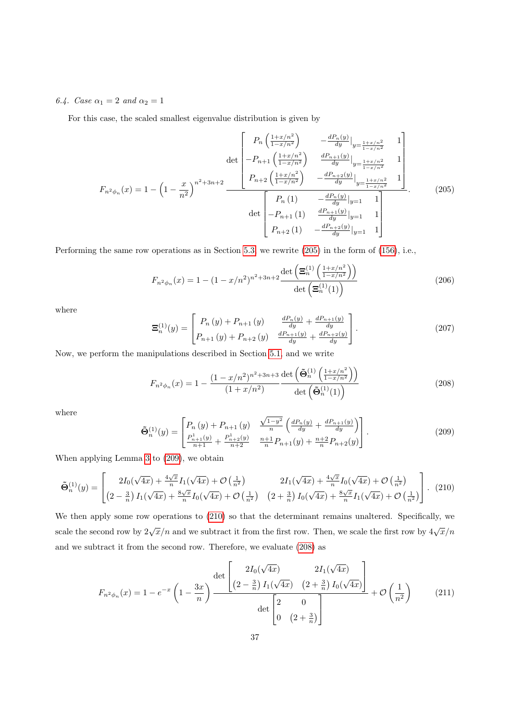6.4. Case  $\alpha_1 = 2$  and  $\alpha_2 = 1$ 

For this case, the scaled smallest eigenvalue distribution is given by

<span id="page-36-0"></span>
$$
F_{n^2\phi_n}(x) = 1 - \left(1 - \frac{x}{n^2}\right)^{n^2 + 3n + 2} \frac{\det\begin{bmatrix} P_n\left(\frac{1+x/n^2}{1-x/n^2}\right) & -\frac{dP_n(y)}{dy} \big|_{y=\frac{1+x/n^2}{1-x/n^2}} & 1\\ -P_{n+1}\left(\frac{1+x/n^2}{1-x/n^2}\right) & \frac{dP_{n+1}(y)}{dy} \big|_{y=\frac{1+x/n^2}{1-x/n^2}} & 1 \end{bmatrix}}{\det\begin{bmatrix} P_n\left(1\right) & -\frac{dP_n(y)}{dy} \big|_{y=1} & 1\\ -P_{n+1}\left(1\right) & \frac{dP_n(y)}{dy} \big|_{y=1} & 1\\ -P_{n+1}\left(1\right) & \frac{dP_{n+1}(y)}{dy} \big|_{y=1} & 1\\ P_{n+2}\left(1\right) & -\frac{dP_n(y)}{dy} \big|_{y=1} & 1 \end{bmatrix}}.
$$
\n(205)

Performing the same row operations as in Section [5.3,](#page-28-4) we rewrite [\(205\)](#page-36-0) in the form of [\(156\)](#page-30-1), i.e.,

$$
F_{n^2 \phi_n}(x) = 1 - (1 - x/n^2)^{n^2 + 3n + 2} \frac{\det \left( \mathbf{\Xi}_n^{(1)} \left( \frac{1 + x/n^2}{1 - x/n^2} \right) \right)}{\det \left( \mathbf{\Xi}_n^{(1)}(1) \right)}
$$
(206)

where

$$
\Xi_n^{(1)}(y) = \begin{bmatrix} P_n(y) + P_{n+1}(y) & \frac{dP_n(y)}{dy} + \frac{dP_{n+1}(y)}{dy} \\ P_{n+1}(y) + P_{n+2}(y) & \frac{dP_{n+1}(y)}{dy} + \frac{dP_{n+2}(y)}{dy} \end{bmatrix} .
$$
 (207)

Now, we perform the manipulations described in Section [5.1,](#page-20-0) and we write

<span id="page-36-3"></span>
$$
F_{n^2\phi_n}(x) = 1 - \frac{(1 - x/n^2)^{n^2 + 3n + 3}}{(1 + x/n^2)} \frac{\det\left(\tilde{\Theta}_n^{(1)}\left(\frac{1 + x/n^2}{1 - x/n^2}\right)\right)}{\det\left(\tilde{\Theta}_n^{(1)}(1)\right)}
$$
(208)

<span id="page-36-1"></span>where

<span id="page-36-4"></span><span id="page-36-2"></span>
$$
\tilde{\mathbf{\Theta}}_{n}^{(1)}(y) = \begin{bmatrix} P_n(y) + P_{n+1}(y) & \frac{\sqrt{1-y^2}}{n} \left( \frac{dP_n(y)}{dy} + \frac{dP_{n+1}(y)}{dy} \right) \\ \frac{P_{n+1}^1(y)}{n+1} + \frac{P_{n+2}^1(y)}{n+2} & \frac{n+1}{n} P_{n+1}(y) + \frac{n+2}{n} P_{n+2}(y) \end{bmatrix} . \tag{209}
$$

When applying Lemma [3](#page-13-3) to [\(209\)](#page-36-1), we obtain

$$
\tilde{\Theta}_{n}^{(1)}(y) = \begin{bmatrix} 2I_0(\sqrt{4x}) + \frac{4\sqrt{x}}{n}I_1(\sqrt{4x}) + \mathcal{O}\left(\frac{1}{n^2}\right) & 2I_1(\sqrt{4x}) + \frac{4\sqrt{x}}{n}I_0(\sqrt{4x}) + \mathcal{O}\left(\frac{1}{n^2}\right) \\ \left(2 - \frac{3}{n}\right)I_1(\sqrt{4x}) + \frac{8\sqrt{x}}{n}I_0(\sqrt{4x}) + \mathcal{O}\left(\frac{1}{n^2}\right) & \left(2 + \frac{3}{n}\right)I_0(\sqrt{4x}) + \frac{8\sqrt{x}}{n}I_1(\sqrt{4x}) + \mathcal{O}\left(\frac{1}{n^2}\right) \end{bmatrix} . \tag{210}
$$

We then apply some row operations to [\(210\)](#page-36-2) so that the determinant remains unaltered. Specifically, we scale the second row by  $2\sqrt{x}/n$  and we subtract it from the first row. Then, we scale the first row by  $4\sqrt{x}/n$ and we subtract it from the second row. Therefore, we evaluate [\(208\)](#page-36-3) as

$$
F_{n^2 \phi_n}(x) = 1 - e^{-x} \left( 1 - \frac{3x}{n} \right) \frac{\det \left[ \frac{2I_0(\sqrt{4x})}{(2 - \frac{3}{n}) I_1(\sqrt{4x})} \frac{2I_1(\sqrt{4x})}{(2 + \frac{3}{n}) I_0(\sqrt{4x})} \right]}{\det \left[ \begin{array}{cc} 2 & 0 \\ 0 & (2 + \frac{3}{n}) \end{array} \right]} + \mathcal{O}\left(\frac{1}{n^2}\right) \tag{211}
$$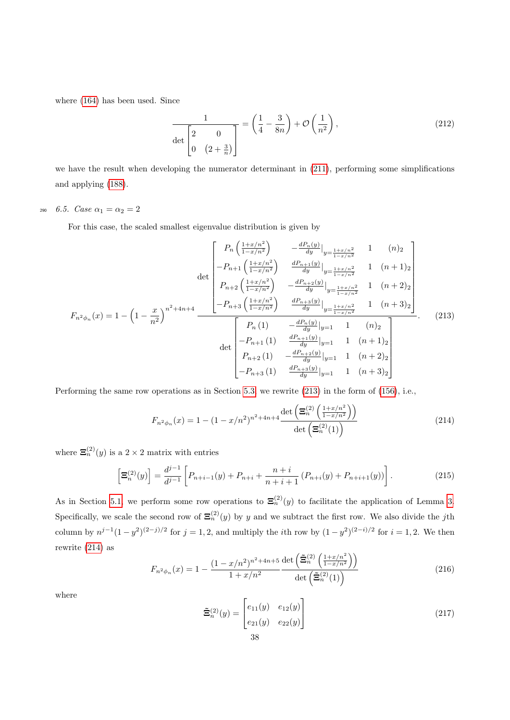where [\(164\)](#page-31-2) has been used. Since

<span id="page-37-0"></span>
$$
\frac{1}{\det\begin{bmatrix} 2 & 0 \\ 0 & \left(2 + \frac{3}{n}\right) \end{bmatrix}} = \left(\frac{1}{4} - \frac{3}{8n}\right) + \mathcal{O}\left(\frac{1}{n^2}\right),\tag{212}
$$

we have the result when developing the numerator determinant in [\(211\)](#page-36-4), performing some simplifications and applying [\(188\)](#page-33-3).

290 6.5. Case  $\alpha_1 = \alpha_2 = 2$ 

For this case, the scaled smallest eigenvalue distribution is given by

$$
F_{n^2\phi_n}(x) = 1 - \left(1 - \frac{x}{n^2}\right)^{n^2 + 4n + 4} \frac{\det\begin{bmatrix} P_n\left(\frac{1+x/n^2}{1-x/n^2}\right) & -\frac{dP_n(y)}{dy}|_{y=\frac{1+x/n^2}{1-x/n^2}} & 1 & (n)_2\\ -P_{n+1}\left(\frac{1+x/n^2}{1-x/n^2}\right) & \frac{dP_{n+1}(y)}{dy}|_{y=\frac{1+x/n^2}{1-x/n^2}} & 1 & (n+1)_2\\ P_{n+2}\left(\frac{1+x/n^2}{1-x/n^2}\right) & -\frac{dP_{n+2}(y)}{dy}|_{y=\frac{1+x/n^2}{1-x/n^2}} & 1 & (n+2)_2\\ -P_{n+3}\left(\frac{1+x/n^2}{1-x/n^2}\right) & \frac{dP_{n+3}(y)}{dy}|_{y=\frac{1+x/n^2}{1-x/n^2}} & 1 & (n+3)_2 \end{bmatrix}}{\det\begin{bmatrix} P_n\left(1\right) & -\frac{dP_n(y)}{dy}|_{y=1} & 1 & (n)_2\\ -P_{n+1}\left(1\right) & \frac{dP_{n+1}(y)}{dy}|_{y=1} & 1 & (n+1)_2\\ -P_{n+2}\left(1\right) & -\frac{dP_{n+2}(y)}{dy}|_{y=1} & 1 & (n+2)_2\\ -P_{n+3}\left(1\right) & \frac{dP_{n+3}(y)}{dy}|_{y=1} & 1 & (n+3)_2 \end{bmatrix}}.\tag{213}
$$

Performing the same row operations as in Section [5.3,](#page-28-4) we rewrite [\(213\)](#page-37-0) in the form of [\(156\)](#page-30-1), i.e.,

<span id="page-37-1"></span>
$$
F_{n^2\phi_n}(x) = 1 - (1 - x/n^2)^{n^2 + 4n + 4} \frac{\det\left(\mathbf{\Xi}_n^{(2)}\left(\frac{1 + x/n^2}{1 - x/n^2}\right)\right)}{\det\left(\mathbf{\Xi}_n^{(2)}(1)\right)}
$$
(214)

where  $\mathbf{\Xi}_n^{(2)}(y)$  is a  $2 \times 2$  matrix with entries

$$
\left[\Xi_n^{(2)}(y)\right] = \frac{d^{j-1}}{d^{j-1}} \left[ P_{n+i-1}(y) + P_{n+i} + \frac{n+i}{n+i+1} \left( P_{n+i}(y) + P_{n+i+1}(y) \right) \right].
$$
 (215)

As in Section [5.1,](#page-20-0) we perform some row operations to  $\Xi_n^{(2)}(y)$  to facilitate the application of Lemma [3.](#page-13-3) Specifically, we scale the second row of  $\Xi_n^{(2)}(y)$  by y and we subtract the first row. We also divide the jth column by  $n^{j-1}(1-y^2)^{(2-j)/2}$  for  $j=1,2$ , and multiply the *i*th row by  $(1-y^2)^{(2-i)/2}$  for  $i=1,2$ . We then rewrite [\(214\)](#page-37-1) as

<span id="page-37-2"></span>
$$
F_{n^2 \phi_n}(x) = 1 - \frac{(1 - x/n^2)^{n^2 + 4n + 5}}{1 + x/n^2} \frac{\det\left(\tilde{\Xi}_n^{(2)}\left(\frac{1 + x/n^2}{1 - x/n^2}\right)\right)}{\det\left(\tilde{\Xi}_n^{(2)}(1)\right)}
$$
(216)

where

$$
\tilde{\Xi}_n^{(2)}(y) = \begin{bmatrix} e_{11}(y) & e_{12}(y) \\ e_{21}(y) & e_{22}(y) \end{bmatrix}
$$
\n(217)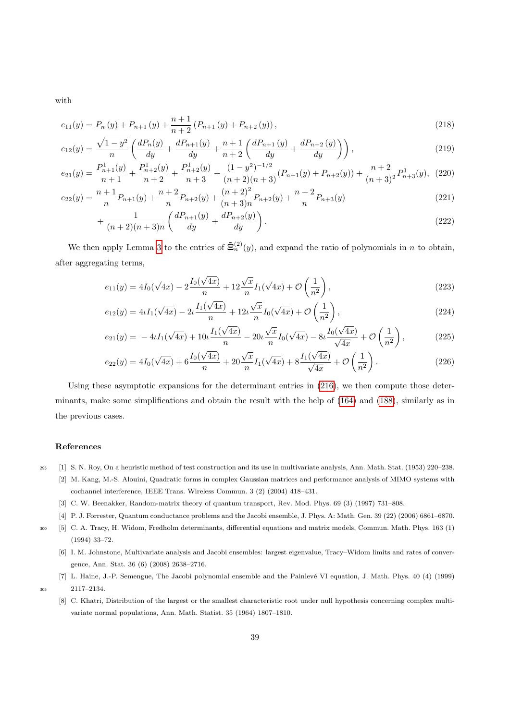with

$$
e_{11}(y) = P_n(y) + P_{n+1}(y) + \frac{n+1}{n+2} (P_{n+1}(y) + P_{n+2}(y)),
$$
\n(218)

$$
e_{12}(y) = \frac{\sqrt{1-y^2}}{n} \left( \frac{dP_n(y)}{dy} + \frac{dP_{n+1}(y)}{dy} + \frac{n+1}{n+2} \left( \frac{dP_{n+1}(y)}{dy} + \frac{dP_{n+2}(y)}{dy} \right) \right),\tag{219}
$$

$$
e_{21}(y) = \frac{P_{n+1}^1(y)}{n+1} + \frac{P_{n+2}^1(y)}{n+2} + \frac{P_{n+2}^1(y)}{n+3} + \frac{(1-y^2)^{-1/2}}{(n+2)(n+3)}(P_{n+1}(y) + P_{n+2}(y)) + \frac{n+2}{(n+3)^2}P_{n+3}^1(y), (220)
$$

$$
e_{22}(y) = \frac{n+1}{n}P_{n+1}(y) + \frac{n+2}{n}P_{n+2}(y) + \frac{(n+2)^2}{(n+3)n}P_{n+2}(y) + \frac{n+2}{n}P_{n+3}(y)
$$
\n(221)

$$
+\frac{1}{(n+2)(n+3)n} \left( \frac{dP_{n+1}(y)}{dy} + \frac{dP_{n+2}(y)}{dy} \right). \tag{222}
$$

We then apply Lemma [3](#page-13-3) to the entries of  $\tilde{\Xi}_n^{(2)}(y)$ , and expand the ratio of polynomials in n to obtain, after aggregating terms,

$$
e_{11}(y) = 4I_0(\sqrt{4x}) - 2\frac{I_0(\sqrt{4x})}{n} + 12\frac{\sqrt{x}}{n}I_1(\sqrt{4x}) + \mathcal{O}\left(\frac{1}{n^2}\right),\tag{223}
$$

$$
e_{12}(y) = 4\iota I_1(\sqrt{4x}) - 2\iota \frac{I_1(\sqrt{4x})}{n} + 12\iota \frac{\sqrt{x}}{n} I_0(\sqrt{4x}) + \mathcal{O}\left(\frac{1}{n^2}\right),\tag{224}
$$

$$
e_{21}(y) = -4\iota I_1(\sqrt{4x}) + 10\iota \frac{I_1(\sqrt{4x})}{n} - 20\iota \frac{\sqrt{x}}{n} I_0(\sqrt{4x}) - 8\iota \frac{I_0(\sqrt{4x})}{\sqrt{4x}} + \mathcal{O}\left(\frac{1}{n^2}\right),\tag{225}
$$

$$
e_{22}(y) = 4I_0(\sqrt{4x}) + 6\frac{I_0(\sqrt{4x})}{n} + 20\frac{\sqrt{x}}{n}I_1(\sqrt{4x}) + 8\frac{I_1(\sqrt{4x})}{\sqrt{4x}} + \mathcal{O}\left(\frac{1}{n^2}\right). \tag{226}
$$

Using these asymptotic expansions for the determinant entries in [\(216\)](#page-37-2), we then compute those determinants, make some simplifications and obtain the result with the help of [\(164\)](#page-31-2) and [\(188\)](#page-33-3), similarly as in the previous cases.

# <span id="page-38-0"></span>References

- <span id="page-38-1"></span><sup>295</sup> [1] S. N. Roy, On a heuristic method of test construction and its use in multivariate analysis, Ann. Math. Stat. (1953) 220–238.
	- [2] M. Kang, M.-S. Alouini, Quadratic forms in complex Gaussian matrices and performance analysis of MIMO systems with cochannel interference, IEEE Trans. Wireless Commun. 3 (2) (2004) 418–431.
	- [3] C. W. Beenakker, Random-matrix theory of quantum transport, Rev. Mod. Phys. 69 (3) (1997) 731–808.
	- [4] P. J. Forrester, Quantum conductance problems and the Jacobi ensemble, J. Phys. A: Math. Gen. 39 (22) (2006) 6861–6870.
- <span id="page-38-5"></span><span id="page-38-4"></span><span id="page-38-3"></span><span id="page-38-2"></span><sup>300</sup> [5] C. A. Tracy, H. Widom, Fredholm determinants, differential equations and matrix models, Commun. Math. Phys. 163 (1) (1994) 33–72.
	- [6] I. M. Johnstone, Multivariate analysis and Jacobi ensembles: largest eigenvalue, Tracy–Widom limits and rates of convergence, Ann. Stat. 36 (6) (2008) 2638–2716.
	- [7] L. Haine, J.-P. Semengue, The Jacobi polynomial ensemble and the Painlevé VI equation, J. Math. Phys. 40 (4) (1999)

<span id="page-38-6"></span><sup>305</sup> 2117–2134.

<span id="page-38-7"></span>[8] C. Khatri, Distribution of the largest or the smallest characteristic root under null hypothesis concerning complex multivariate normal populations, Ann. Math. Statist. 35 (1964) 1807–1810.